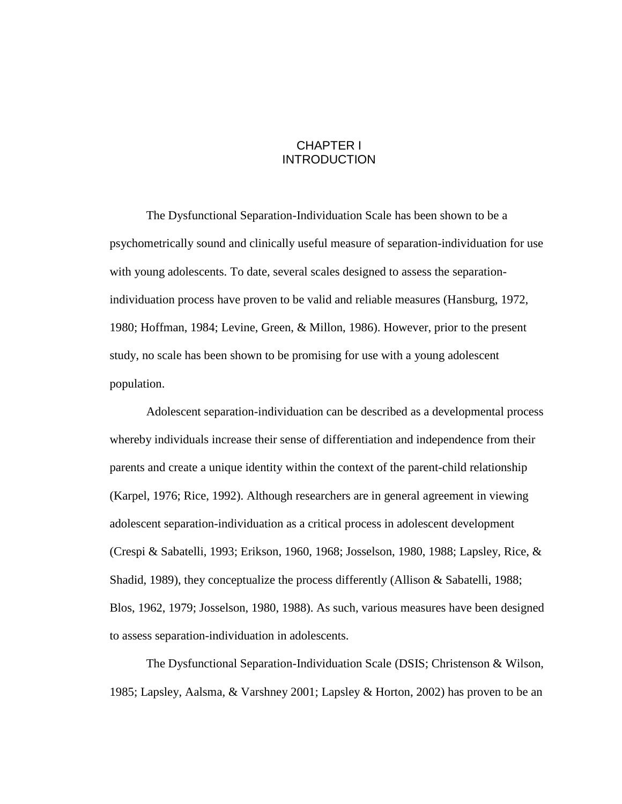# CHAPTER I **INTRODUCTION**

The Dysfunctional Separation-Individuation Scale has been shown to be a psychometrically sound and clinically useful measure of separation-individuation for use with young adolescents. To date, several scales designed to assess the separationindividuation process have proven to be valid and reliable measures (Hansburg, 1972, 1980; Hoffman, 1984; Levine, Green, & Millon, 1986). However, prior to the present study, no scale has been shown to be promising for use with a young adolescent population.

Adolescent separation-individuation can be described as a developmental process whereby individuals increase their sense of differentiation and independence from their parents and create a unique identity within the context of the parent-child relationship (Karpel, 1976; Rice, 1992). Although researchers are in general agreement in viewing adolescent separation-individuation as a critical process in adolescent development (Crespi & Sabatelli, 1993; Erikson, 1960, 1968; Josselson, 1980, 1988; Lapsley, Rice, & Shadid, 1989), they conceptualize the process differently (Allison & Sabatelli, 1988; Blos, 1962, 1979; Josselson, 1980, 1988). As such, various measures have been designed to assess separation-individuation in adolescents.

The Dysfunctional Separation-Individuation Scale (DSIS; Christenson & Wilson, 1985; Lapsley, Aalsma, & Varshney 2001; Lapsley & Horton, 2002) has proven to be an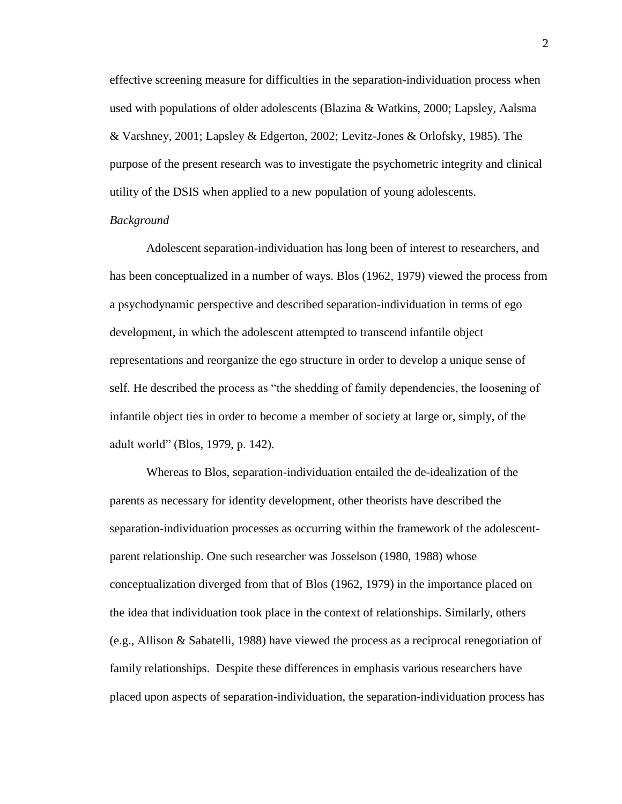effective screening measure for difficulties in the separation-individuation process when used with populations of older adolescents (Blazina & Watkins, 2000; Lapsley, Aalsma & Varshney, 2001; Lapsley & Edgerton, 2002; Levitz-Jones & Orlofsky, 1985). The purpose of the present research was to investigate the psychometric integrity and clinical utility of the DSIS when applied to a new population of young adolescents.

# *Background*

Adolescent separation-individuation has long been of interest to researchers, and has been conceptualized in a number of ways. Blos (1962, 1979) viewed the process from a psychodynamic perspective and described separation-individuation in terms of ego development, in which the adolescent attempted to transcend infantile object representations and reorganize the ego structure in order to develop a unique sense of self. He described the process as "the shedding of family dependencies, the loosening of infantile object ties in order to become a member of society at large or, simply, of the adult world" (Blos, 1979, p. 142).

Whereas to Blos, separation-individuation entailed the de-idealization of the parents as necessary for identity development, other theorists have described the separation-individuation processes as occurring within the framework of the adolescentparent relationship. One such researcher was Josselson (1980, 1988) whose conceptualization diverged from that of Blos (1962, 1979) in the importance placed on the idea that individuation took place in the context of relationships. Similarly, others (e.g., Allison & Sabatelli, 1988) have viewed the process as a reciprocal renegotiation of family relationships. Despite these differences in emphasis various researchers have placed upon aspects of separation-individuation, the separation-individuation process has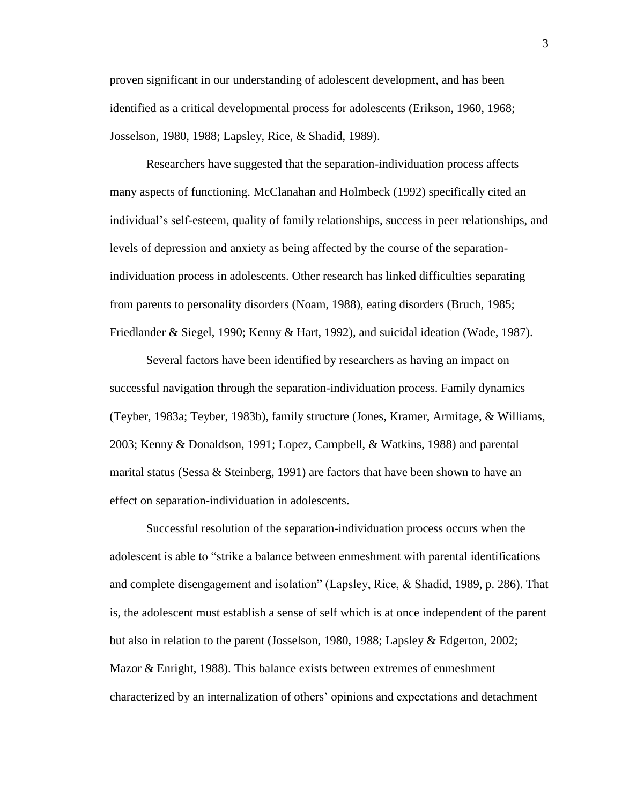proven significant in our understanding of adolescent development, and has been identified as a critical developmental process for adolescents (Erikson, 1960, 1968; Josselson, 1980, 1988; Lapsley, Rice, & Shadid, 1989).

Researchers have suggested that the separation-individuation process affects many aspects of functioning. McClanahan and Holmbeck (1992) specifically cited an individual"s self-esteem, quality of family relationships, success in peer relationships, and levels of depression and anxiety as being affected by the course of the separationindividuation process in adolescents. Other research has linked difficulties separating from parents to personality disorders (Noam, 1988), eating disorders (Bruch, 1985; Friedlander & Siegel, 1990; Kenny & Hart, 1992), and suicidal ideation (Wade, 1987).

Several factors have been identified by researchers as having an impact on successful navigation through the separation-individuation process. Family dynamics (Teyber, 1983a; Teyber, 1983b), family structure (Jones, Kramer, Armitage, & Williams, 2003; Kenny & Donaldson, 1991; Lopez, Campbell, & Watkins, 1988) and parental marital status (Sessa & Steinberg, 1991) are factors that have been shown to have an effect on separation-individuation in adolescents.

Successful resolution of the separation-individuation process occurs when the adolescent is able to "strike a balance between enmeshment with parental identifications and complete disengagement and isolation" (Lapsley, Rice, & Shadid, 1989, p. 286). That is, the adolescent must establish a sense of self which is at once independent of the parent but also in relation to the parent (Josselson, 1980, 1988; Lapsley & Edgerton, 2002; Mazor & Enright, 1988). This balance exists between extremes of enmeshment characterized by an internalization of others" opinions and expectations and detachment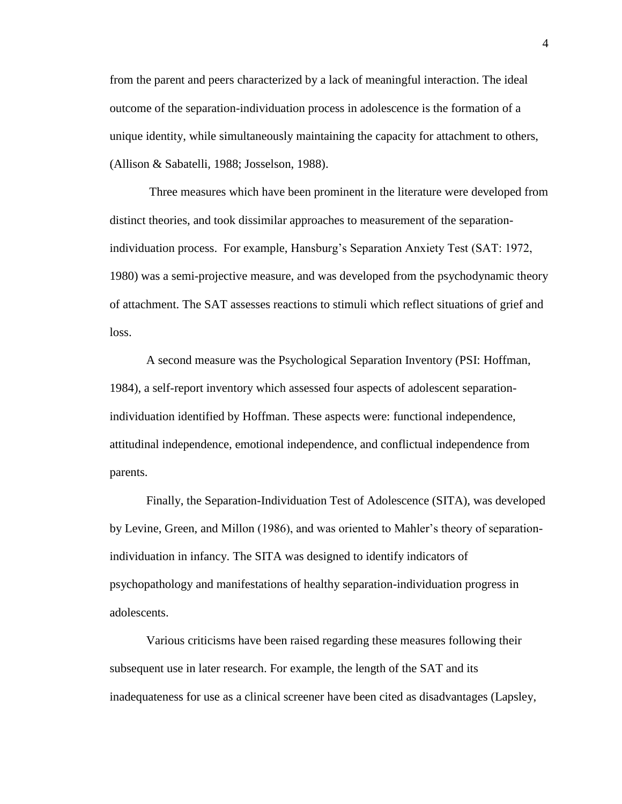from the parent and peers characterized by a lack of meaningful interaction. The ideal outcome of the separation-individuation process in adolescence is the formation of a unique identity, while simultaneously maintaining the capacity for attachment to others, (Allison & Sabatelli, 1988; Josselson, 1988).

Three measures which have been prominent in the literature were developed from distinct theories, and took dissimilar approaches to measurement of the separationindividuation process. For example, Hansburg"s Separation Anxiety Test (SAT: 1972, 1980) was a semi-projective measure, and was developed from the psychodynamic theory of attachment. The SAT assesses reactions to stimuli which reflect situations of grief and loss.

A second measure was the Psychological Separation Inventory (PSI: Hoffman, 1984), a self-report inventory which assessed four aspects of adolescent separationindividuation identified by Hoffman. These aspects were: functional independence, attitudinal independence, emotional independence, and conflictual independence from parents.

Finally, the Separation-Individuation Test of Adolescence (SITA), was developed by Levine, Green, and Millon (1986), and was oriented to Mahler"s theory of separationindividuation in infancy. The SITA was designed to identify indicators of psychopathology and manifestations of healthy separation-individuation progress in adolescents.

Various criticisms have been raised regarding these measures following their subsequent use in later research. For example, the length of the SAT and its inadequateness for use as a clinical screener have been cited as disadvantages (Lapsley,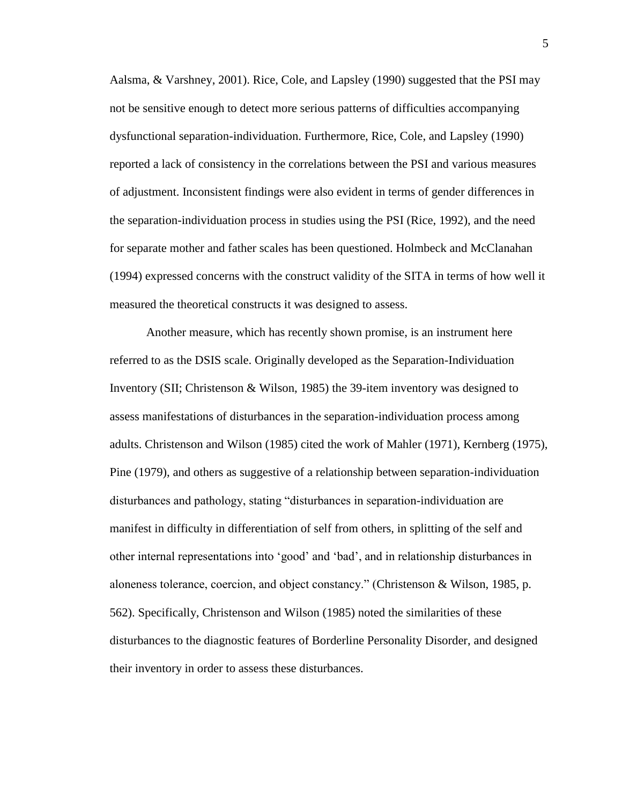Aalsma, & Varshney, 2001). Rice, Cole, and Lapsley (1990) suggested that the PSI may not be sensitive enough to detect more serious patterns of difficulties accompanying dysfunctional separation-individuation. Furthermore, Rice, Cole, and Lapsley (1990) reported a lack of consistency in the correlations between the PSI and various measures of adjustment. Inconsistent findings were also evident in terms of gender differences in the separation-individuation process in studies using the PSI (Rice, 1992), and the need for separate mother and father scales has been questioned. Holmbeck and McClanahan (1994) expressed concerns with the construct validity of the SITA in terms of how well it measured the theoretical constructs it was designed to assess.

Another measure, which has recently shown promise, is an instrument here referred to as the DSIS scale. Originally developed as the Separation-Individuation Inventory (SII; Christenson & Wilson, 1985) the 39-item inventory was designed to assess manifestations of disturbances in the separation-individuation process among adults. Christenson and Wilson (1985) cited the work of Mahler (1971), Kernberg (1975), Pine (1979), and others as suggestive of a relationship between separation-individuation disturbances and pathology, stating "disturbances in separation-individuation are manifest in difficulty in differentiation of self from others, in splitting of the self and other internal representations into "good" and "bad", and in relationship disturbances in aloneness tolerance, coercion, and object constancy." (Christenson & Wilson, 1985, p. 562). Specifically, Christenson and Wilson (1985) noted the similarities of these disturbances to the diagnostic features of Borderline Personality Disorder, and designed their inventory in order to assess these disturbances.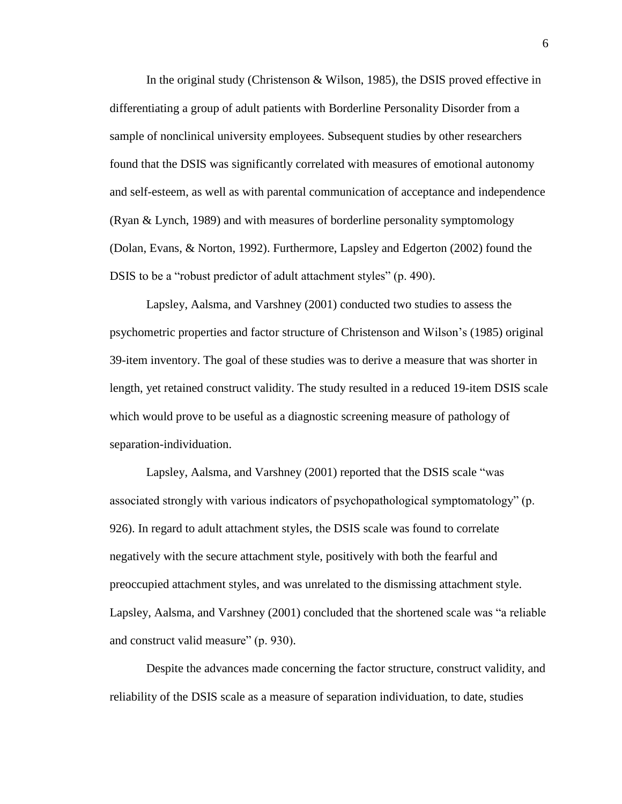In the original study (Christenson & Wilson, 1985), the DSIS proved effective in differentiating a group of adult patients with Borderline Personality Disorder from a sample of nonclinical university employees. Subsequent studies by other researchers found that the DSIS was significantly correlated with measures of emotional autonomy and self-esteem, as well as with parental communication of acceptance and independence (Ryan & Lynch, 1989) and with measures of borderline personality symptomology (Dolan, Evans, & Norton, 1992). Furthermore, Lapsley and Edgerton (2002) found the DSIS to be a "robust predictor of adult attachment styles" (p. 490).

Lapsley, Aalsma, and Varshney (2001) conducted two studies to assess the psychometric properties and factor structure of Christenson and Wilson"s (1985) original 39-item inventory. The goal of these studies was to derive a measure that was shorter in length, yet retained construct validity. The study resulted in a reduced 19-item DSIS scale which would prove to be useful as a diagnostic screening measure of pathology of separation-individuation.

Lapsley, Aalsma, and Varshney (2001) reported that the DSIS scale "was associated strongly with various indicators of psychopathological symptomatology" (p. 926). In regard to adult attachment styles, the DSIS scale was found to correlate negatively with the secure attachment style, positively with both the fearful and preoccupied attachment styles, and was unrelated to the dismissing attachment style. Lapsley, Aalsma, and Varshney (2001) concluded that the shortened scale was "a reliable and construct valid measure" (p. 930).

Despite the advances made concerning the factor structure, construct validity, and reliability of the DSIS scale as a measure of separation individuation, to date, studies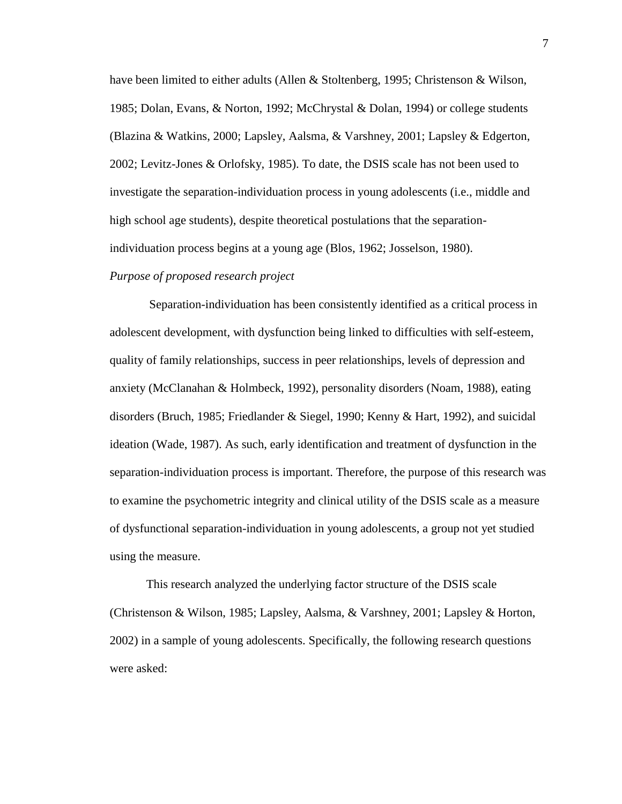have been limited to either adults (Allen & Stoltenberg, 1995; Christenson & Wilson, 1985; Dolan, Evans, & Norton, 1992; McChrystal & Dolan, 1994) or college students (Blazina & Watkins, 2000; Lapsley, Aalsma, & Varshney, 2001; Lapsley & Edgerton, 2002; Levitz-Jones & Orlofsky, 1985). To date, the DSIS scale has not been used to investigate the separation-individuation process in young adolescents (i.e., middle and high school age students), despite theoretical postulations that the separationindividuation process begins at a young age (Blos, 1962; Josselson, 1980).

#### *Purpose of proposed research project*

Separation-individuation has been consistently identified as a critical process in adolescent development, with dysfunction being linked to difficulties with self-esteem, quality of family relationships, success in peer relationships, levels of depression and anxiety (McClanahan & Holmbeck, 1992), personality disorders (Noam, 1988), eating disorders (Bruch, 1985; Friedlander & Siegel, 1990; Kenny & Hart, 1992), and suicidal ideation (Wade, 1987). As such, early identification and treatment of dysfunction in the separation-individuation process is important. Therefore, the purpose of this research was to examine the psychometric integrity and clinical utility of the DSIS scale as a measure of dysfunctional separation-individuation in young adolescents, a group not yet studied using the measure.

This research analyzed the underlying factor structure of the DSIS scale (Christenson & Wilson, 1985; Lapsley, Aalsma, & Varshney, 2001; Lapsley & Horton, 2002) in a sample of young adolescents. Specifically, the following research questions were asked: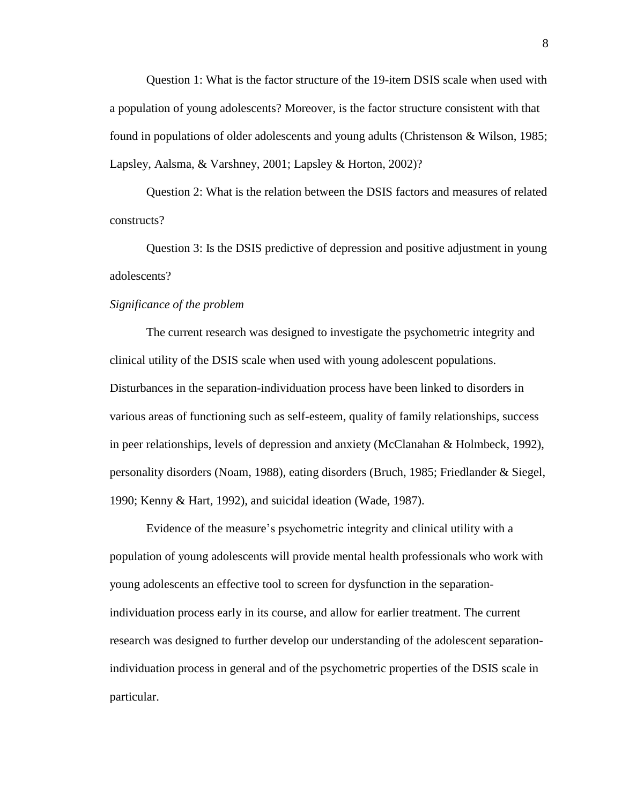Question 1: What is the factor structure of the 19-item DSIS scale when used with a population of young adolescents? Moreover, is the factor structure consistent with that found in populations of older adolescents and young adults (Christenson & Wilson, 1985; Lapsley, Aalsma, & Varshney, 2001; Lapsley & Horton, 2002)?

Question 2: What is the relation between the DSIS factors and measures of related constructs?

Question 3: Is the DSIS predictive of depression and positive adjustment in young adolescents?

# *Significance of the problem*

The current research was designed to investigate the psychometric integrity and clinical utility of the DSIS scale when used with young adolescent populations. Disturbances in the separation-individuation process have been linked to disorders in various areas of functioning such as self-esteem, quality of family relationships, success in peer relationships, levels of depression and anxiety (McClanahan & Holmbeck, 1992), personality disorders (Noam, 1988), eating disorders (Bruch, 1985; Friedlander & Siegel, 1990; Kenny & Hart, 1992), and suicidal ideation (Wade, 1987).

Evidence of the measure"s psychometric integrity and clinical utility with a population of young adolescents will provide mental health professionals who work with young adolescents an effective tool to screen for dysfunction in the separationindividuation process early in its course, and allow for earlier treatment. The current research was designed to further develop our understanding of the adolescent separationindividuation process in general and of the psychometric properties of the DSIS scale in particular.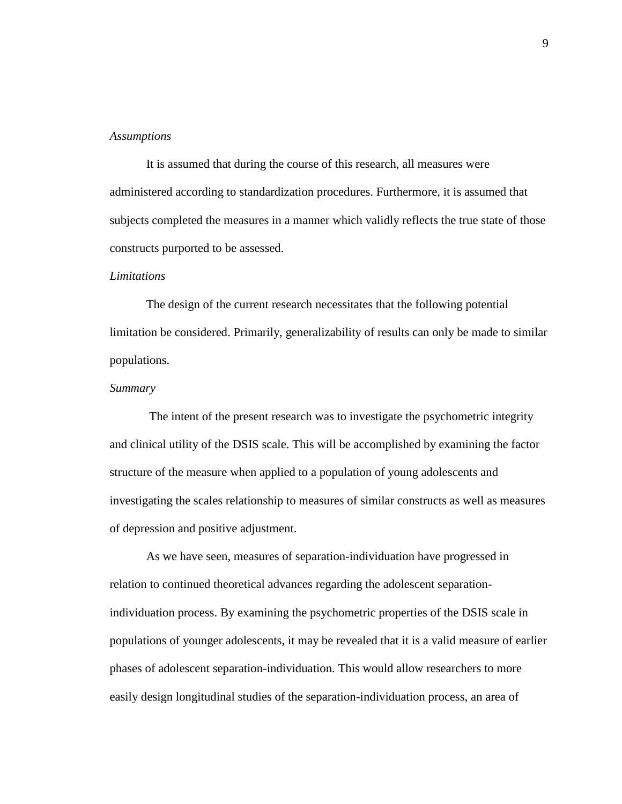#### *Assumptions*

It is assumed that during the course of this research, all measures were administered according to standardization procedures. Furthermore, it is assumed that subjects completed the measures in a manner which validly reflects the true state of those constructs purported to be assessed.

#### *Limitations*

The design of the current research necessitates that the following potential limitation be considered. Primarily, generalizability of results can only be made to similar populations.

#### *Summary*

The intent of the present research was to investigate the psychometric integrity and clinical utility of the DSIS scale. This will be accomplished by examining the factor structure of the measure when applied to a population of young adolescents and investigating the scales relationship to measures of similar constructs as well as measures of depression and positive adjustment.

As we have seen, measures of separation-individuation have progressed in relation to continued theoretical advances regarding the adolescent separationindividuation process. By examining the psychometric properties of the DSIS scale in populations of younger adolescents, it may be revealed that it is a valid measure of earlier phases of adolescent separation-individuation. This would allow researchers to more easily design longitudinal studies of the separation-individuation process, an area of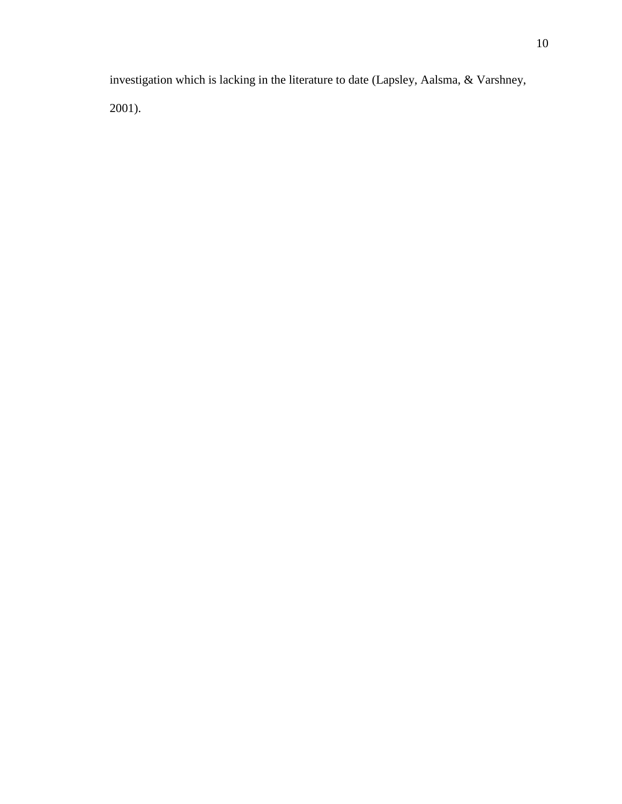investigation which is lacking in the literature to date (Lapsley, Aalsma, & Varshney, 2001).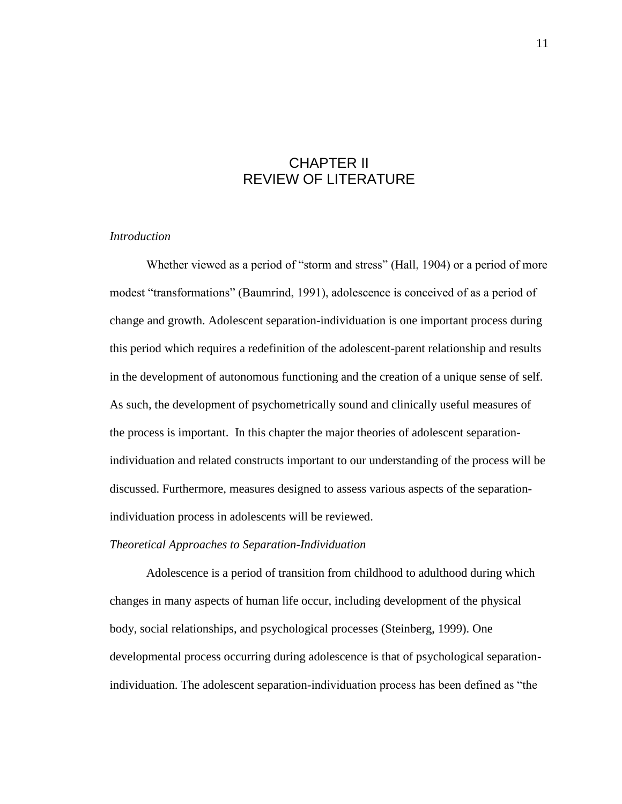# CHAPTER II REVIEW OF LITERATURE

# *Introduction*

Whether viewed as a period of "storm and stress" (Hall, 1904) or a period of more modest "transformations" (Baumrind, 1991), adolescence is conceived of as a period of change and growth. Adolescent separation-individuation is one important process during this period which requires a redefinition of the adolescent-parent relationship and results in the development of autonomous functioning and the creation of a unique sense of self. As such, the development of psychometrically sound and clinically useful measures of the process is important. In this chapter the major theories of adolescent separationindividuation and related constructs important to our understanding of the process will be discussed. Furthermore, measures designed to assess various aspects of the separationindividuation process in adolescents will be reviewed.

### *Theoretical Approaches to Separation-Individuation*

Adolescence is a period of transition from childhood to adulthood during which changes in many aspects of human life occur, including development of the physical body, social relationships, and psychological processes (Steinberg, 1999). One developmental process occurring during adolescence is that of psychological separationindividuation. The adolescent separation-individuation process has been defined as "the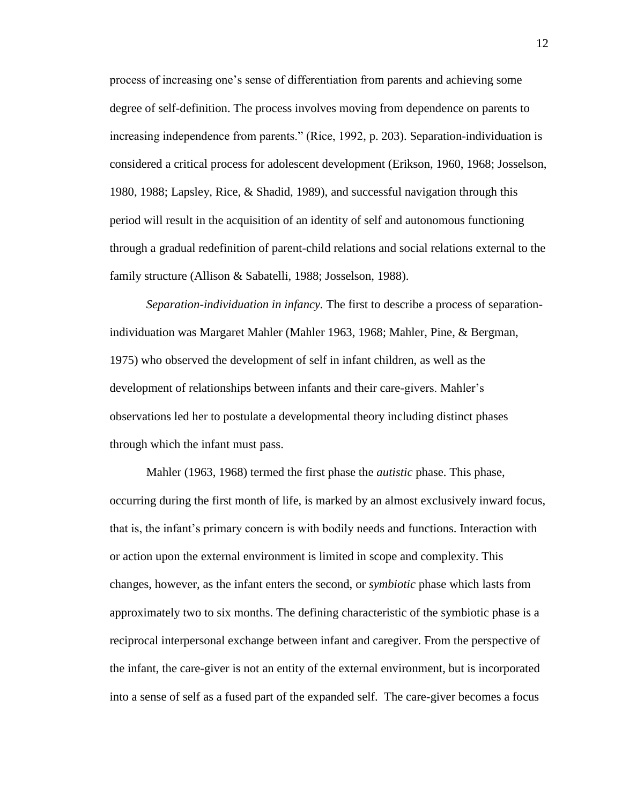process of increasing one"s sense of differentiation from parents and achieving some degree of self-definition. The process involves moving from dependence on parents to increasing independence from parents." (Rice, 1992, p. 203). Separation-individuation is considered a critical process for adolescent development (Erikson, 1960, 1968; Josselson, 1980, 1988; Lapsley, Rice, & Shadid, 1989), and successful navigation through this period will result in the acquisition of an identity of self and autonomous functioning through a gradual redefinition of parent-child relations and social relations external to the family structure (Allison & Sabatelli, 1988; Josselson, 1988).

*Separation-individuation in infancy.* The first to describe a process of separationindividuation was Margaret Mahler (Mahler 1963, 1968; Mahler, Pine, & Bergman, 1975) who observed the development of self in infant children, as well as the development of relationships between infants and their care-givers. Mahler"s observations led her to postulate a developmental theory including distinct phases through which the infant must pass.

Mahler (1963, 1968) termed the first phase the *autistic* phase. This phase, occurring during the first month of life, is marked by an almost exclusively inward focus, that is, the infant"s primary concern is with bodily needs and functions. Interaction with or action upon the external environment is limited in scope and complexity. This changes, however, as the infant enters the second, or *symbiotic* phase which lasts from approximately two to six months. The defining characteristic of the symbiotic phase is a reciprocal interpersonal exchange between infant and caregiver. From the perspective of the infant, the care-giver is not an entity of the external environment, but is incorporated into a sense of self as a fused part of the expanded self. The care-giver becomes a focus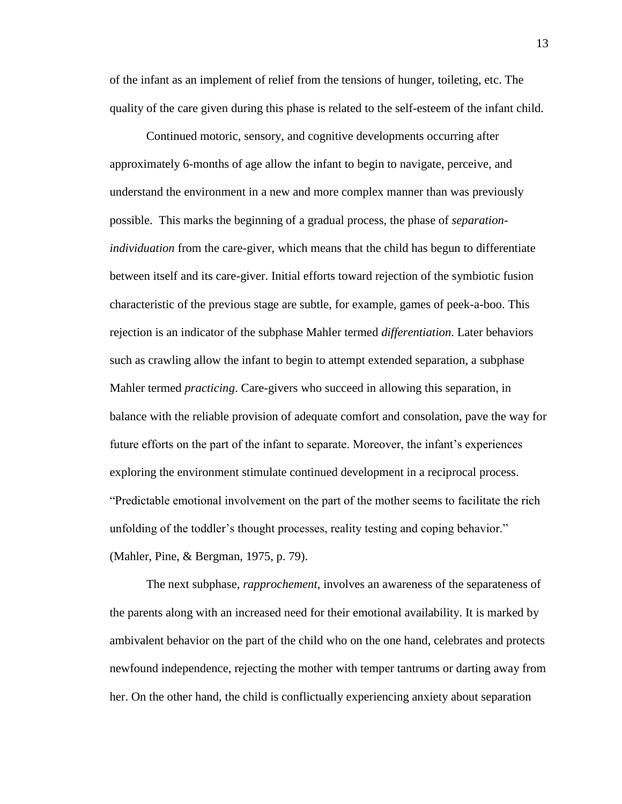of the infant as an implement of relief from the tensions of hunger, toileting, etc. The quality of the care given during this phase is related to the self-esteem of the infant child.

Continued motoric, sensory, and cognitive developments occurring after approximately 6-months of age allow the infant to begin to navigate, perceive, and understand the environment in a new and more complex manner than was previously possible. This marks the beginning of a gradual process, the phase of *separationindividuation* from the care-giver, which means that the child has begun to differentiate between itself and its care-giver. Initial efforts toward rejection of the symbiotic fusion characteristic of the previous stage are subtle, for example, games of peek-a-boo. This rejection is an indicator of the subphase Mahler termed *differentiation*. Later behaviors such as crawling allow the infant to begin to attempt extended separation, a subphase Mahler termed *practicing*. Care-givers who succeed in allowing this separation, in balance with the reliable provision of adequate comfort and consolation, pave the way for future efforts on the part of the infant to separate. Moreover, the infant's experiences exploring the environment stimulate continued development in a reciprocal process. "Predictable emotional involvement on the part of the mother seems to facilitate the rich unfolding of the toddler"s thought processes, reality testing and coping behavior." (Mahler, Pine, & Bergman, 1975, p. 79).

The next subphase, *rapprochement*, involves an awareness of the separateness of the parents along with an increased need for their emotional availability. It is marked by ambivalent behavior on the part of the child who on the one hand, celebrates and protects newfound independence, rejecting the mother with temper tantrums or darting away from her. On the other hand, the child is conflictually experiencing anxiety about separation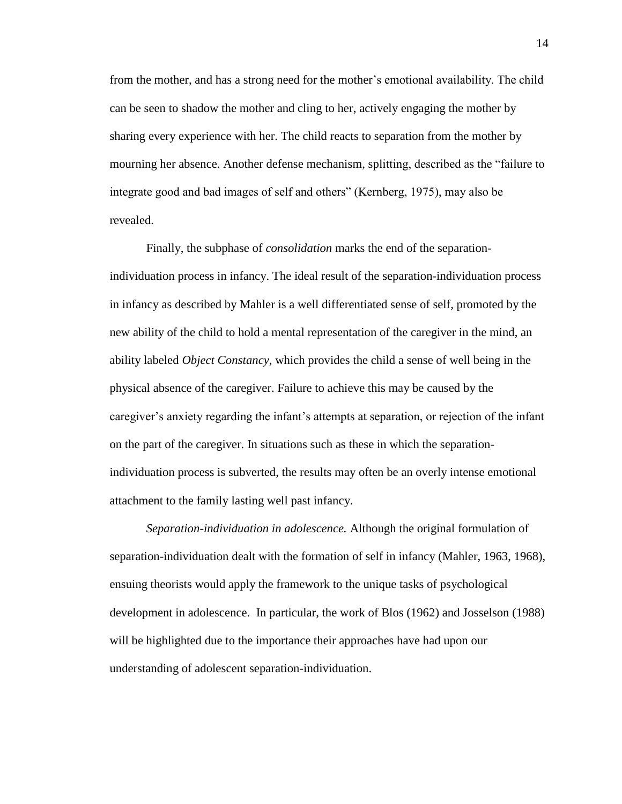from the mother, and has a strong need for the mother"s emotional availability. The child can be seen to shadow the mother and cling to her, actively engaging the mother by sharing every experience with her. The child reacts to separation from the mother by mourning her absence. Another defense mechanism, splitting, described as the "failure to integrate good and bad images of self and others" (Kernberg, 1975), may also be revealed.

Finally, the subphase of *consolidation* marks the end of the separationindividuation process in infancy. The ideal result of the separation-individuation process in infancy as described by Mahler is a well differentiated sense of self, promoted by the new ability of the child to hold a mental representation of the caregiver in the mind, an ability labeled *Object Constancy*, which provides the child a sense of well being in the physical absence of the caregiver. Failure to achieve this may be caused by the caregiver"s anxiety regarding the infant"s attempts at separation, or rejection of the infant on the part of the caregiver. In situations such as these in which the separationindividuation process is subverted, the results may often be an overly intense emotional attachment to the family lasting well past infancy.

*Separation-individuation in adolescence.* Although the original formulation of separation-individuation dealt with the formation of self in infancy (Mahler, 1963, 1968), ensuing theorists would apply the framework to the unique tasks of psychological development in adolescence. In particular, the work of Blos (1962) and Josselson (1988) will be highlighted due to the importance their approaches have had upon our understanding of adolescent separation-individuation.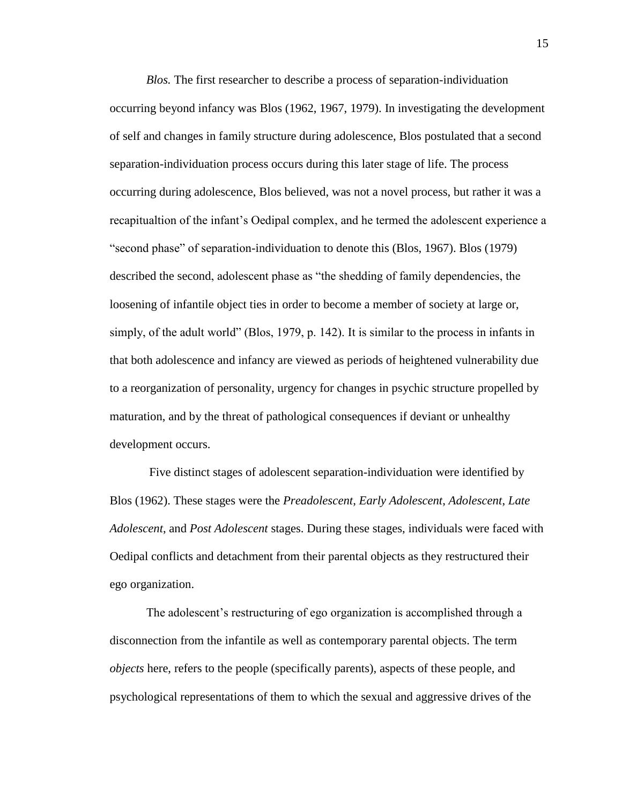*Blos.* The first researcher to describe a process of separation-individuation occurring beyond infancy was Blos (1962, 1967, 1979). In investigating the development of self and changes in family structure during adolescence, Blos postulated that a second separation-individuation process occurs during this later stage of life. The process occurring during adolescence, Blos believed, was not a novel process, but rather it was a recapitualtion of the infant"s Oedipal complex, and he termed the adolescent experience a "second phase" of separation-individuation to denote this (Blos, 1967). Blos (1979) described the second, adolescent phase as "the shedding of family dependencies, the loosening of infantile object ties in order to become a member of society at large or, simply, of the adult world" (Blos, 1979, p. 142). It is similar to the process in infants in that both adolescence and infancy are viewed as periods of heightened vulnerability due to a reorganization of personality, urgency for changes in psychic structure propelled by maturation, and by the threat of pathological consequences if deviant or unhealthy development occurs.

Five distinct stages of adolescent separation-individuation were identified by Blos (1962). These stages were the *Preadolescent*, *Early Adolescent*, *Adolescent*, *Late Adolescent*, and *Post Adolescent* stages. During these stages, individuals were faced with Oedipal conflicts and detachment from their parental objects as they restructured their ego organization.

The adolescent's restructuring of ego organization is accomplished through a disconnection from the infantile as well as contemporary parental objects. The term *objects* here, refers to the people (specifically parents), aspects of these people, and psychological representations of them to which the sexual and aggressive drives of the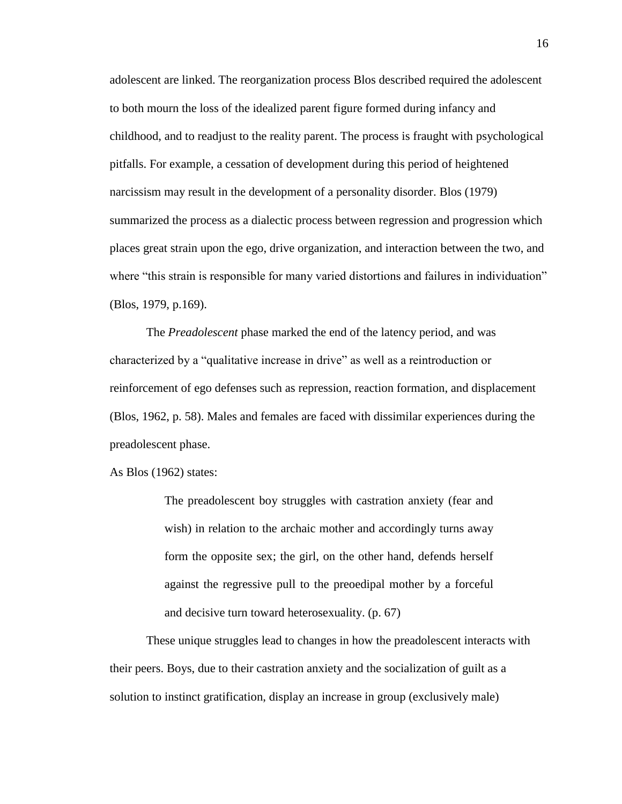adolescent are linked. The reorganization process Blos described required the adolescent to both mourn the loss of the idealized parent figure formed during infancy and childhood, and to readjust to the reality parent. The process is fraught with psychological pitfalls. For example, a cessation of development during this period of heightened narcissism may result in the development of a personality disorder. Blos (1979) summarized the process as a dialectic process between regression and progression which places great strain upon the ego, drive organization, and interaction between the two, and where "this strain is responsible for many varied distortions and failures in individuation" (Blos, 1979, p.169).

The *Preadolescent* phase marked the end of the latency period, and was characterized by a "qualitative increase in drive" as well as a reintroduction or reinforcement of ego defenses such as repression, reaction formation, and displacement (Blos, 1962, p. 58). Males and females are faced with dissimilar experiences during the preadolescent phase.

As Blos (1962) states:

The preadolescent boy struggles with castration anxiety (fear and wish) in relation to the archaic mother and accordingly turns away form the opposite sex; the girl, on the other hand, defends herself against the regressive pull to the preoedipal mother by a forceful and decisive turn toward heterosexuality. (p. 67)

These unique struggles lead to changes in how the preadolescent interacts with their peers. Boys, due to their castration anxiety and the socialization of guilt as a solution to instinct gratification, display an increase in group (exclusively male)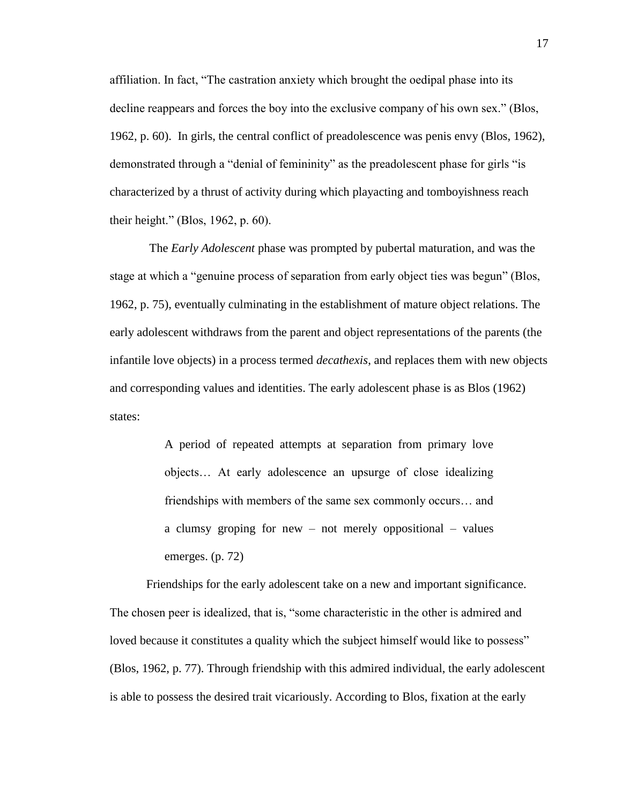affiliation. In fact, "The castration anxiety which brought the oedipal phase into its decline reappears and forces the boy into the exclusive company of his own sex." (Blos, 1962, p. 60). In girls, the central conflict of preadolescence was penis envy (Blos, 1962), demonstrated through a "denial of femininity" as the preadolescent phase for girls "is characterized by a thrust of activity during which playacting and tomboyishness reach their height." (Blos, 1962, p. 60).

The *Early Adolescent* phase was prompted by pubertal maturation, and was the stage at which a "genuine process of separation from early object ties was begun" (Blos, 1962, p. 75), eventually culminating in the establishment of mature object relations. The early adolescent withdraws from the parent and object representations of the parents (the infantile love objects) in a process termed *decathexis*, and replaces them with new objects and corresponding values and identities. The early adolescent phase is as Blos (1962) states:

> A period of repeated attempts at separation from primary love objects… At early adolescence an upsurge of close idealizing friendships with members of the same sex commonly occurs… and a clumsy groping for new – not merely oppositional – values emerges. (p. 72)

Friendships for the early adolescent take on a new and important significance. The chosen peer is idealized, that is, "some characteristic in the other is admired and loved because it constitutes a quality which the subject himself would like to possess" (Blos, 1962, p. 77). Through friendship with this admired individual, the early adolescent is able to possess the desired trait vicariously. According to Blos, fixation at the early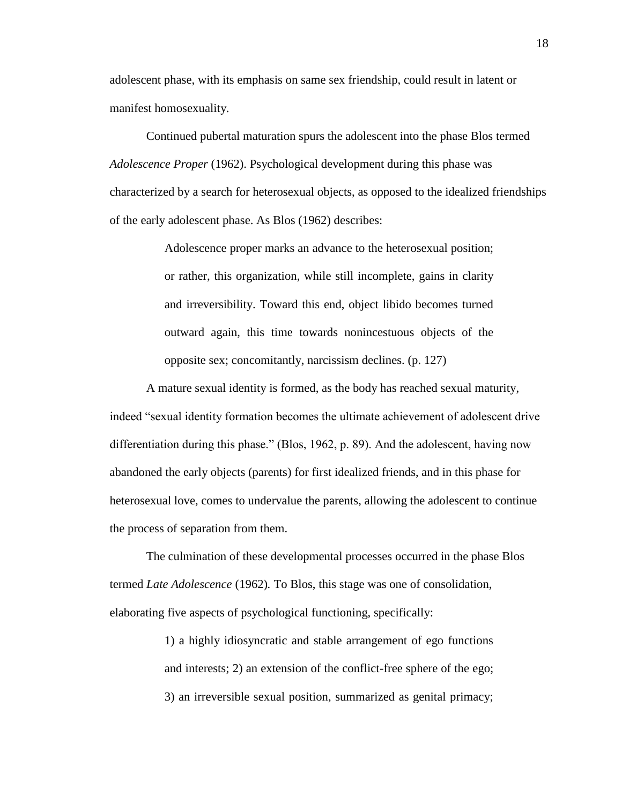adolescent phase, with its emphasis on same sex friendship, could result in latent or manifest homosexuality.

Continued pubertal maturation spurs the adolescent into the phase Blos termed *Adolescence Proper* (1962). Psychological development during this phase was characterized by a search for heterosexual objects, as opposed to the idealized friendships of the early adolescent phase. As Blos (1962) describes:

> Adolescence proper marks an advance to the heterosexual position; or rather, this organization, while still incomplete, gains in clarity and irreversibility. Toward this end, object libido becomes turned outward again, this time towards nonincestuous objects of the opposite sex; concomitantly, narcissism declines. (p. 127)

A mature sexual identity is formed, as the body has reached sexual maturity, indeed "sexual identity formation becomes the ultimate achievement of adolescent drive differentiation during this phase." (Blos, 1962, p. 89). And the adolescent, having now abandoned the early objects (parents) for first idealized friends, and in this phase for heterosexual love, comes to undervalue the parents, allowing the adolescent to continue the process of separation from them.

The culmination of these developmental processes occurred in the phase Blos termed *Late Adolescence* (1962)*.* To Blos, this stage was one of consolidation, elaborating five aspects of psychological functioning, specifically:

> 1) a highly idiosyncratic and stable arrangement of ego functions and interests; 2) an extension of the conflict-free sphere of the ego; 3) an irreversible sexual position, summarized as genital primacy;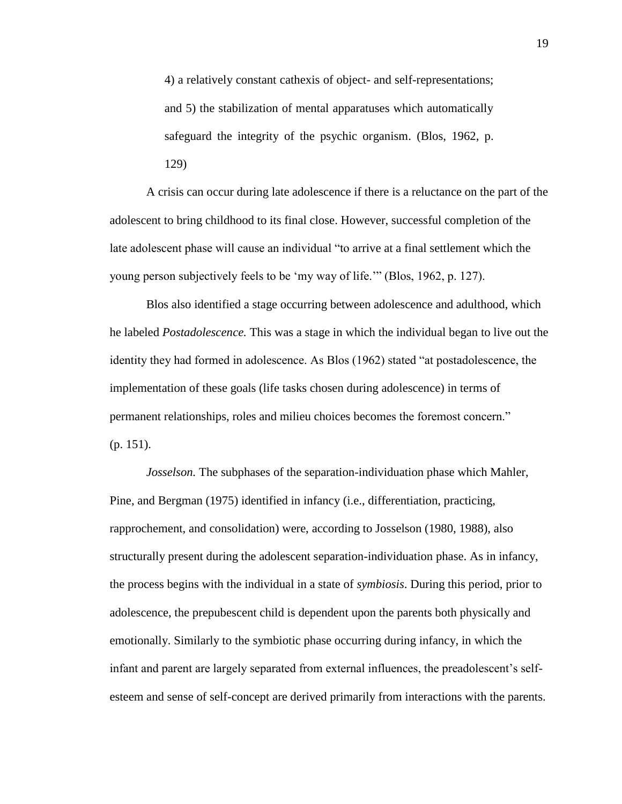4) a relatively constant cathexis of object- and self-representations; and 5) the stabilization of mental apparatuses which automatically safeguard the integrity of the psychic organism. (Blos, 1962, p. 129)

A crisis can occur during late adolescence if there is a reluctance on the part of the adolescent to bring childhood to its final close. However, successful completion of the late adolescent phase will cause an individual "to arrive at a final settlement which the young person subjectively feels to be "my way of life."" (Blos, 1962, p. 127).

Blos also identified a stage occurring between adolescence and adulthood, which he labeled *Postadolescence.* This was a stage in which the individual began to live out the identity they had formed in adolescence. As Blos (1962) stated "at postadolescence, the implementation of these goals (life tasks chosen during adolescence) in terms of permanent relationships, roles and milieu choices becomes the foremost concern." (p. 151).

*Josselson*. The subphases of the separation-individuation phase which Mahler, Pine, and Bergman (1975) identified in infancy (i.e., differentiation, practicing, rapprochement, and consolidation) were, according to Josselson (1980, 1988), also structurally present during the adolescent separation-individuation phase. As in infancy, the process begins with the individual in a state of *symbiosis*. During this period, prior to adolescence, the prepubescent child is dependent upon the parents both physically and emotionally. Similarly to the symbiotic phase occurring during infancy, in which the infant and parent are largely separated from external influences, the preadolescent's selfesteem and sense of self-concept are derived primarily from interactions with the parents.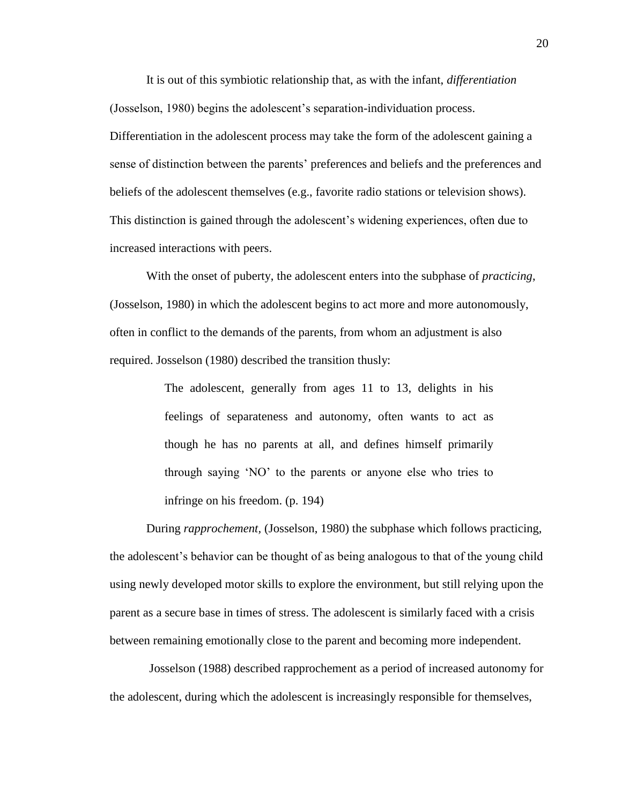It is out of this symbiotic relationship that, as with the infant, *differentiation* (Josselson, 1980) begins the adolescent's separation-individuation process. Differentiation in the adolescent process may take the form of the adolescent gaining a sense of distinction between the parents" preferences and beliefs and the preferences and beliefs of the adolescent themselves (e.g., favorite radio stations or television shows). This distinction is gained through the adolescent"s widening experiences, often due to increased interactions with peers.

With the onset of puberty, the adolescent enters into the subphase of *practicing*, (Josselson, 1980) in which the adolescent begins to act more and more autonomously, often in conflict to the demands of the parents, from whom an adjustment is also required. Josselson (1980) described the transition thusly:

> The adolescent, generally from ages 11 to 13, delights in his feelings of separateness and autonomy, often wants to act as though he has no parents at all, and defines himself primarily through saying "NO" to the parents or anyone else who tries to infringe on his freedom. (p. 194)

During *rapprochement,* (Josselson, 1980) the subphase which follows practicing, the adolescent"s behavior can be thought of as being analogous to that of the young child using newly developed motor skills to explore the environment, but still relying upon the parent as a secure base in times of stress. The adolescent is similarly faced with a crisis between remaining emotionally close to the parent and becoming more independent.

Josselson (1988) described rapprochement as a period of increased autonomy for the adolescent, during which the adolescent is increasingly responsible for themselves,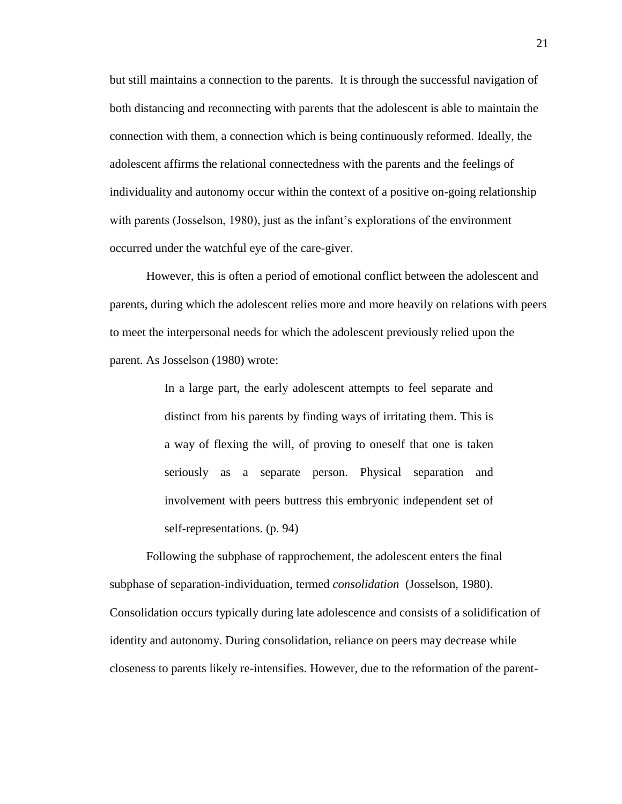but still maintains a connection to the parents. It is through the successful navigation of both distancing and reconnecting with parents that the adolescent is able to maintain the connection with them, a connection which is being continuously reformed. Ideally, the adolescent affirms the relational connectedness with the parents and the feelings of individuality and autonomy occur within the context of a positive on-going relationship with parents (Josselson, 1980), just as the infant's explorations of the environment occurred under the watchful eye of the care-giver.

However, this is often a period of emotional conflict between the adolescent and parents, during which the adolescent relies more and more heavily on relations with peers to meet the interpersonal needs for which the adolescent previously relied upon the parent. As Josselson (1980) wrote:

> In a large part, the early adolescent attempts to feel separate and distinct from his parents by finding ways of irritating them. This is a way of flexing the will, of proving to oneself that one is taken seriously as a separate person. Physical separation and involvement with peers buttress this embryonic independent set of self-representations. (p. 94)

Following the subphase of rapprochement, the adolescent enters the final subphase of separation-individuation, termed *consolidation* (Josselson, 1980). Consolidation occurs typically during late adolescence and consists of a solidification of identity and autonomy. During consolidation, reliance on peers may decrease while closeness to parents likely re-intensifies. However, due to the reformation of the parent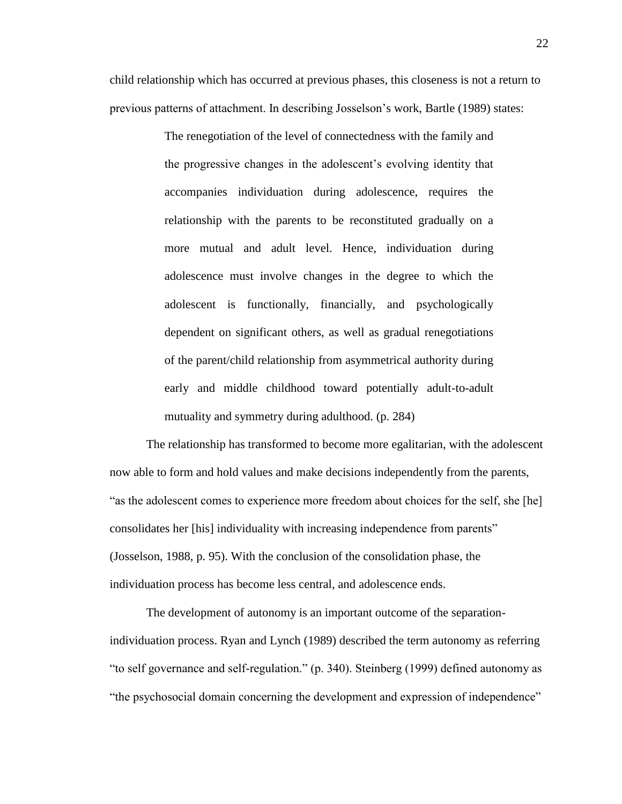child relationship which has occurred at previous phases, this closeness is not a return to previous patterns of attachment. In describing Josselson"s work, Bartle (1989) states:

> The renegotiation of the level of connectedness with the family and the progressive changes in the adolescent"s evolving identity that accompanies individuation during adolescence, requires the relationship with the parents to be reconstituted gradually on a more mutual and adult level. Hence, individuation during adolescence must involve changes in the degree to which the adolescent is functionally, financially, and psychologically dependent on significant others, as well as gradual renegotiations of the parent/child relationship from asymmetrical authority during early and middle childhood toward potentially adult-to-adult mutuality and symmetry during adulthood. (p. 284)

The relationship has transformed to become more egalitarian, with the adolescent now able to form and hold values and make decisions independently from the parents, "as the adolescent comes to experience more freedom about choices for the self, she [he] consolidates her [his] individuality with increasing independence from parents" (Josselson, 1988, p. 95). With the conclusion of the consolidation phase, the individuation process has become less central, and adolescence ends.

The development of autonomy is an important outcome of the separationindividuation process. Ryan and Lynch (1989) described the term autonomy as referring "to self governance and self-regulation." (p. 340). Steinberg (1999) defined autonomy as "the psychosocial domain concerning the development and expression of independence"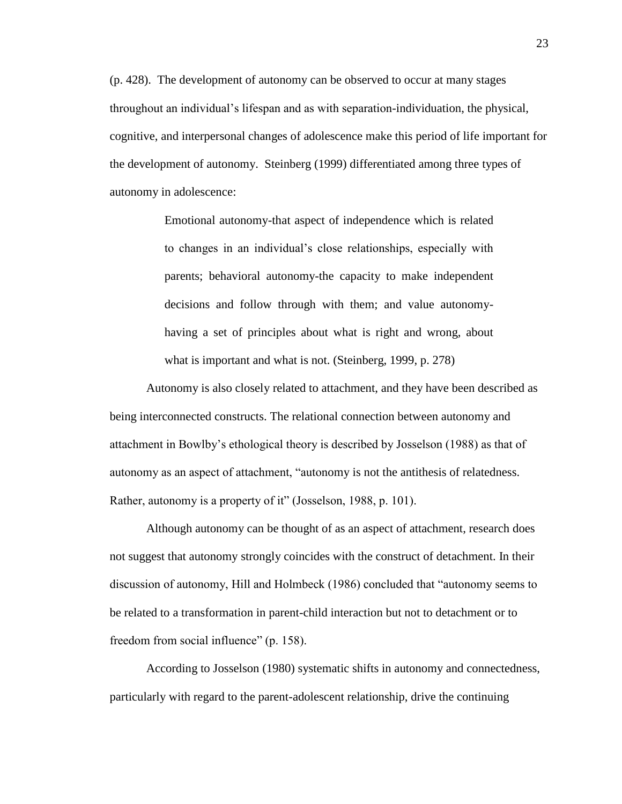(p. 428). The development of autonomy can be observed to occur at many stages throughout an individual"s lifespan and as with separation-individuation, the physical, cognitive, and interpersonal changes of adolescence make this period of life important for the development of autonomy. Steinberg (1999) differentiated among three types of autonomy in adolescence:

> Emotional autonomy-that aspect of independence which is related to changes in an individual"s close relationships, especially with parents; behavioral autonomy-the capacity to make independent decisions and follow through with them; and value autonomyhaving a set of principles about what is right and wrong, about what is important and what is not. (Steinberg, 1999, p. 278)

Autonomy is also closely related to attachment, and they have been described as being interconnected constructs. The relational connection between autonomy and attachment in Bowlby"s ethological theory is described by Josselson (1988) as that of autonomy as an aspect of attachment, "autonomy is not the antithesis of relatedness. Rather, autonomy is a property of it" (Josselson, 1988, p. 101).

Although autonomy can be thought of as an aspect of attachment, research does not suggest that autonomy strongly coincides with the construct of detachment. In their discussion of autonomy, Hill and Holmbeck (1986) concluded that "autonomy seems to be related to a transformation in parent-child interaction but not to detachment or to freedom from social influence" (p. 158).

According to Josselson (1980) systematic shifts in autonomy and connectedness, particularly with regard to the parent-adolescent relationship, drive the continuing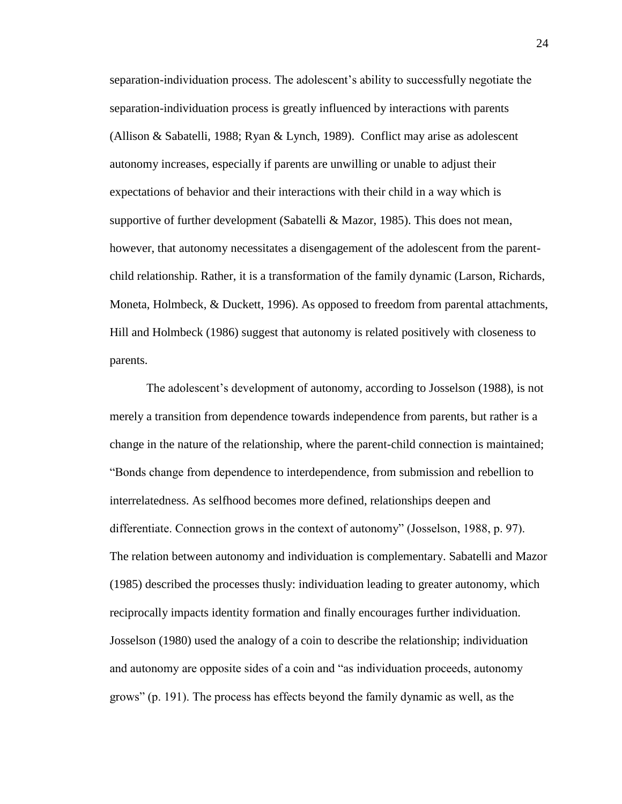separation-individuation process. The adolescent"s ability to successfully negotiate the separation-individuation process is greatly influenced by interactions with parents (Allison & Sabatelli, 1988; Ryan & Lynch, 1989). Conflict may arise as adolescent autonomy increases, especially if parents are unwilling or unable to adjust their expectations of behavior and their interactions with their child in a way which is supportive of further development (Sabatelli & Mazor, 1985). This does not mean, however, that autonomy necessitates a disengagement of the adolescent from the parentchild relationship. Rather, it is a transformation of the family dynamic (Larson, Richards, Moneta, Holmbeck, & Duckett, 1996). As opposed to freedom from parental attachments, Hill and Holmbeck (1986) suggest that autonomy is related positively with closeness to parents.

The adolescent"s development of autonomy, according to Josselson (1988), is not merely a transition from dependence towards independence from parents, but rather is a change in the nature of the relationship, where the parent-child connection is maintained; "Bonds change from dependence to interdependence, from submission and rebellion to interrelatedness. As selfhood becomes more defined, relationships deepen and differentiate. Connection grows in the context of autonomy" (Josselson, 1988, p. 97). The relation between autonomy and individuation is complementary. Sabatelli and Mazor (1985) described the processes thusly: individuation leading to greater autonomy, which reciprocally impacts identity formation and finally encourages further individuation. Josselson (1980) used the analogy of a coin to describe the relationship; individuation and autonomy are opposite sides of a coin and "as individuation proceeds, autonomy grows" (p. 191). The process has effects beyond the family dynamic as well, as the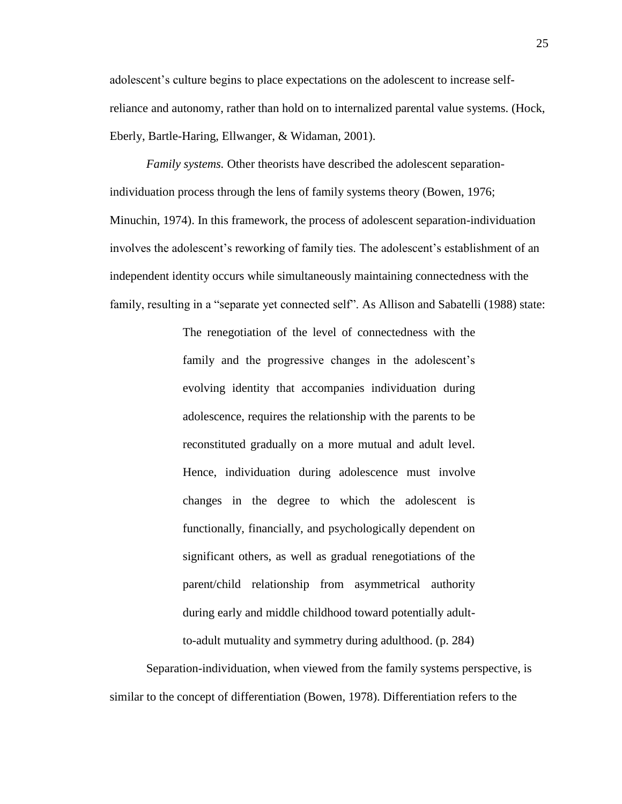adolescent"s culture begins to place expectations on the adolescent to increase selfreliance and autonomy, rather than hold on to internalized parental value systems. (Hock, Eberly, Bartle-Haring, Ellwanger, & Widaman, 2001).

*Family systems.* Other theorists have described the adolescent separationindividuation process through the lens of family systems theory (Bowen, 1976; Minuchin, 1974). In this framework, the process of adolescent separation-individuation involves the adolescent's reworking of family ties. The adolescent's establishment of an independent identity occurs while simultaneously maintaining connectedness with the family, resulting in a "separate yet connected self". As Allison and Sabatelli (1988) state:

> The renegotiation of the level of connectedness with the family and the progressive changes in the adolescent's evolving identity that accompanies individuation during adolescence, requires the relationship with the parents to be reconstituted gradually on a more mutual and adult level. Hence, individuation during adolescence must involve changes in the degree to which the adolescent is functionally, financially, and psychologically dependent on significant others, as well as gradual renegotiations of the parent/child relationship from asymmetrical authority during early and middle childhood toward potentially adultto-adult mutuality and symmetry during adulthood. (p. 284)

Separation-individuation, when viewed from the family systems perspective, is similar to the concept of differentiation (Bowen, 1978). Differentiation refers to the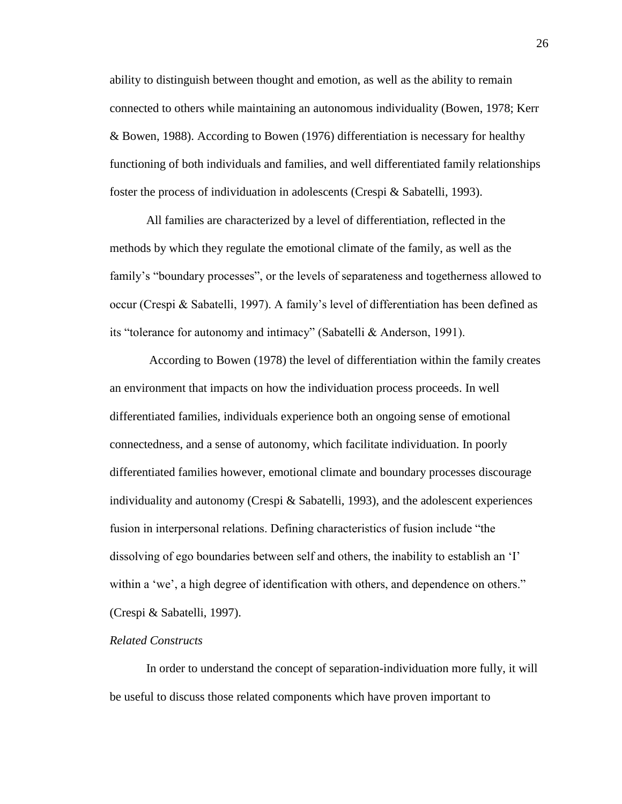ability to distinguish between thought and emotion, as well as the ability to remain connected to others while maintaining an autonomous individuality (Bowen, 1978; Kerr & Bowen, 1988). According to Bowen (1976) differentiation is necessary for healthy functioning of both individuals and families, and well differentiated family relationships foster the process of individuation in adolescents (Crespi & Sabatelli, 1993).

All families are characterized by a level of differentiation, reflected in the methods by which they regulate the emotional climate of the family, as well as the family's "boundary processes", or the levels of separateness and togetherness allowed to occur (Crespi & Sabatelli, 1997). A family"s level of differentiation has been defined as its "tolerance for autonomy and intimacy" (Sabatelli & Anderson, 1991).

According to Bowen (1978) the level of differentiation within the family creates an environment that impacts on how the individuation process proceeds. In well differentiated families, individuals experience both an ongoing sense of emotional connectedness, and a sense of autonomy, which facilitate individuation. In poorly differentiated families however, emotional climate and boundary processes discourage individuality and autonomy (Crespi & Sabatelli, 1993), and the adolescent experiences fusion in interpersonal relations. Defining characteristics of fusion include "the dissolving of ego boundaries between self and others, the inability to establish an "I" within a 'we', a high degree of identification with others, and dependence on others." (Crespi & Sabatelli, 1997).

# *Related Constructs*

In order to understand the concept of separation-individuation more fully, it will be useful to discuss those related components which have proven important to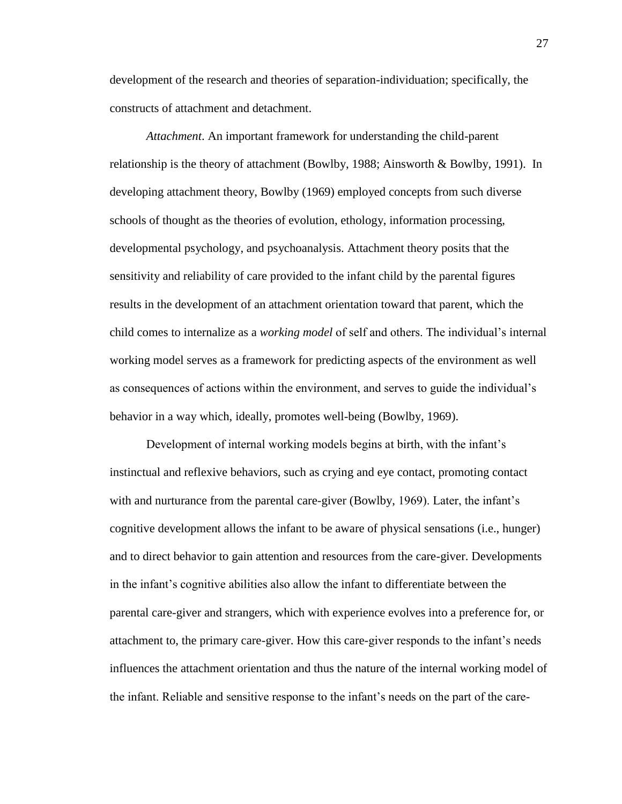development of the research and theories of separation-individuation; specifically, the constructs of attachment and detachment.

*Attachment*. An important framework for understanding the child-parent relationship is the theory of attachment (Bowlby, 1988; Ainsworth & Bowlby, 1991). In developing attachment theory, Bowlby (1969) employed concepts from such diverse schools of thought as the theories of evolution, ethology, information processing, developmental psychology, and psychoanalysis. Attachment theory posits that the sensitivity and reliability of care provided to the infant child by the parental figures results in the development of an attachment orientation toward that parent, which the child comes to internalize as a *working model* of self and others. The individual"s internal working model serves as a framework for predicting aspects of the environment as well as consequences of actions within the environment, and serves to guide the individual"s behavior in a way which, ideally, promotes well-being (Bowlby, 1969).

Development of internal working models begins at birth, with the infant"s instinctual and reflexive behaviors, such as crying and eye contact, promoting contact with and nurturance from the parental care-giver (Bowlby, 1969). Later, the infant's cognitive development allows the infant to be aware of physical sensations (i.e., hunger) and to direct behavior to gain attention and resources from the care-giver. Developments in the infant"s cognitive abilities also allow the infant to differentiate between the parental care-giver and strangers, which with experience evolves into a preference for, or attachment to, the primary care-giver. How this care-giver responds to the infant"s needs influences the attachment orientation and thus the nature of the internal working model of the infant. Reliable and sensitive response to the infant"s needs on the part of the care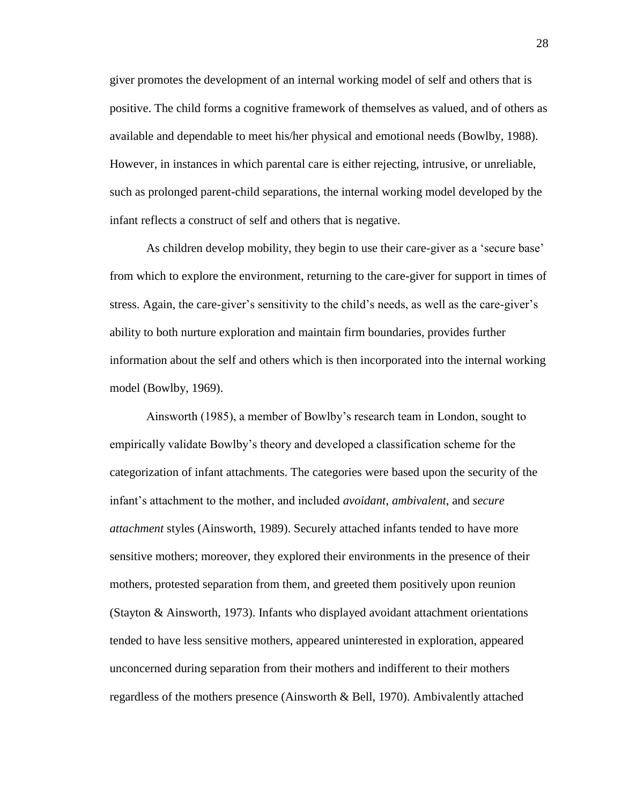giver promotes the development of an internal working model of self and others that is positive. The child forms a cognitive framework of themselves as valued, and of others as available and dependable to meet his/her physical and emotional needs (Bowlby, 1988). However, in instances in which parental care is either rejecting, intrusive, or unreliable, such as prolonged parent-child separations, the internal working model developed by the infant reflects a construct of self and others that is negative.

As children develop mobility, they begin to use their care-giver as a 'secure base' from which to explore the environment, returning to the care-giver for support in times of stress. Again, the care-giver"s sensitivity to the child"s needs, as well as the care-giver"s ability to both nurture exploration and maintain firm boundaries, provides further information about the self and others which is then incorporated into the internal working model (Bowlby, 1969).

Ainsworth (1985), a member of Bowlby"s research team in London, sought to empirically validate Bowlby"s theory and developed a classification scheme for the categorization of infant attachments. The categories were based upon the security of the infant"s attachment to the mother, and included *avoidant*, *ambivalent*, and *secure attachment* styles (Ainsworth, 1989). Securely attached infants tended to have more sensitive mothers; moreover, they explored their environments in the presence of their mothers, protested separation from them, and greeted them positively upon reunion (Stayton & Ainsworth, 1973). Infants who displayed avoidant attachment orientations tended to have less sensitive mothers, appeared uninterested in exploration, appeared unconcerned during separation from their mothers and indifferent to their mothers regardless of the mothers presence (Ainsworth & Bell, 1970). Ambivalently attached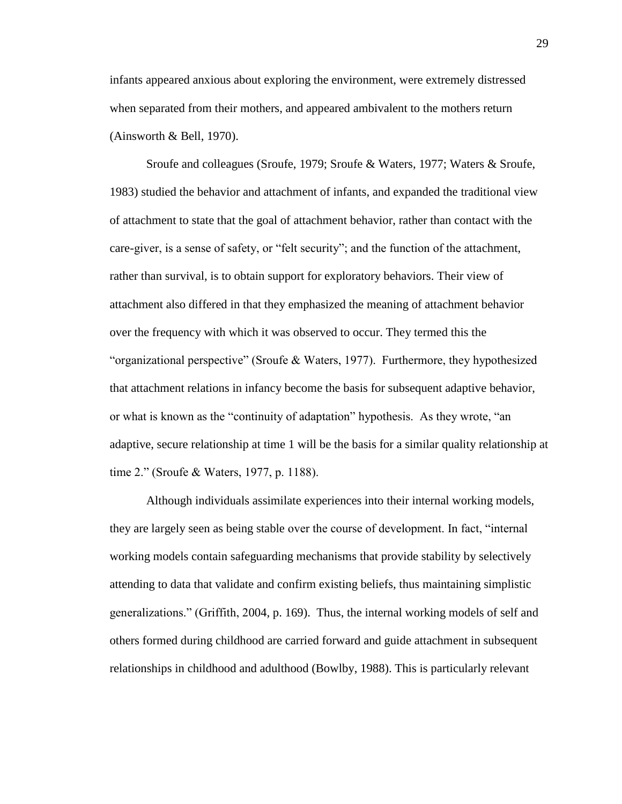infants appeared anxious about exploring the environment, were extremely distressed when separated from their mothers, and appeared ambivalent to the mothers return (Ainsworth & Bell, 1970).

Sroufe and colleagues (Sroufe, 1979; Sroufe & Waters, 1977; Waters & Sroufe, 1983) studied the behavior and attachment of infants, and expanded the traditional view of attachment to state that the goal of attachment behavior, rather than contact with the care-giver, is a sense of safety, or "felt security"; and the function of the attachment, rather than survival, is to obtain support for exploratory behaviors. Their view of attachment also differed in that they emphasized the meaning of attachment behavior over the frequency with which it was observed to occur. They termed this the "organizational perspective" (Sroufe & Waters, 1977). Furthermore, they hypothesized that attachment relations in infancy become the basis for subsequent adaptive behavior, or what is known as the "continuity of adaptation" hypothesis. As they wrote, "an adaptive, secure relationship at time 1 will be the basis for a similar quality relationship at time 2." (Sroufe & Waters, 1977, p. 1188).

Although individuals assimilate experiences into their internal working models, they are largely seen as being stable over the course of development. In fact, "internal working models contain safeguarding mechanisms that provide stability by selectively attending to data that validate and confirm existing beliefs, thus maintaining simplistic generalizations." (Griffith, 2004, p. 169). Thus, the internal working models of self and others formed during childhood are carried forward and guide attachment in subsequent relationships in childhood and adulthood (Bowlby, 1988). This is particularly relevant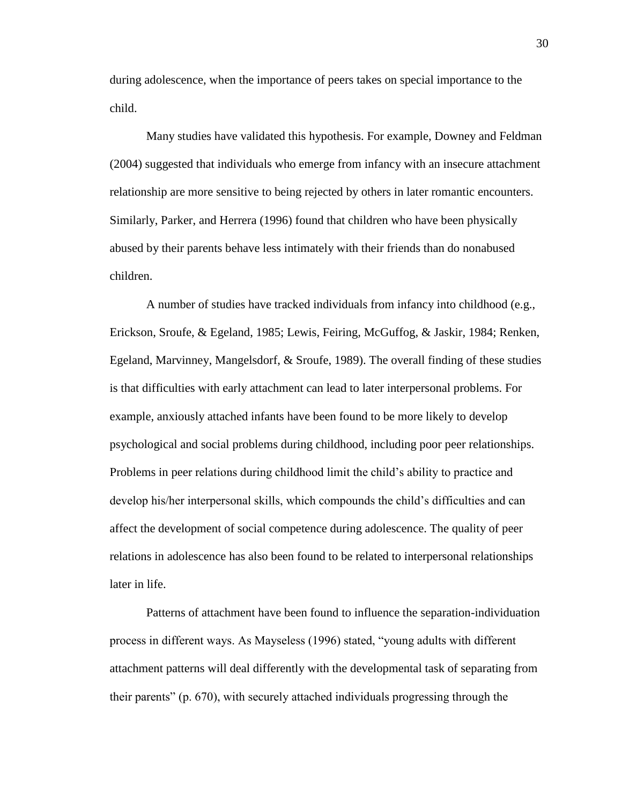during adolescence, when the importance of peers takes on special importance to the child.

Many studies have validated this hypothesis. For example, Downey and Feldman (2004) suggested that individuals who emerge from infancy with an insecure attachment relationship are more sensitive to being rejected by others in later romantic encounters. Similarly, Parker, and Herrera (1996) found that children who have been physically abused by their parents behave less intimately with their friends than do nonabused children.

A number of studies have tracked individuals from infancy into childhood (e.g., Erickson, Sroufe, & Egeland, 1985; Lewis, Feiring, McGuffog, & Jaskir, 1984; Renken, Egeland, Marvinney, Mangelsdorf, & Sroufe, 1989). The overall finding of these studies is that difficulties with early attachment can lead to later interpersonal problems. For example, anxiously attached infants have been found to be more likely to develop psychological and social problems during childhood, including poor peer relationships. Problems in peer relations during childhood limit the child"s ability to practice and develop his/her interpersonal skills, which compounds the child"s difficulties and can affect the development of social competence during adolescence. The quality of peer relations in adolescence has also been found to be related to interpersonal relationships later in life.

Patterns of attachment have been found to influence the separation-individuation process in different ways. As Mayseless (1996) stated, "young adults with different attachment patterns will deal differently with the developmental task of separating from their parents" (p. 670), with securely attached individuals progressing through the

30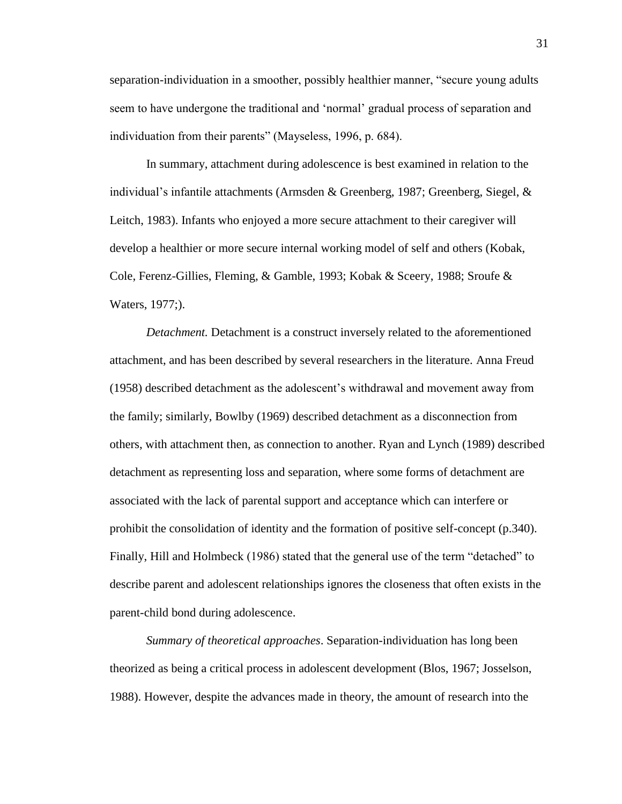separation-individuation in a smoother, possibly healthier manner, "secure young adults seem to have undergone the traditional and "normal" gradual process of separation and individuation from their parents" (Mayseless, 1996, p. 684).

In summary, attachment during adolescence is best examined in relation to the individual"s infantile attachments (Armsden & Greenberg, 1987; Greenberg, Siegel, & Leitch, 1983). Infants who enjoyed a more secure attachment to their caregiver will develop a healthier or more secure internal working model of self and others (Kobak, Cole, Ferenz-Gillies, Fleming, & Gamble, 1993; Kobak & Sceery, 1988; Sroufe & Waters, 1977;).

*Detachment.* Detachment is a construct inversely related to the aforementioned attachment, and has been described by several researchers in the literature. Anna Freud (1958) described detachment as the adolescent"s withdrawal and movement away from the family; similarly, Bowlby (1969) described detachment as a disconnection from others, with attachment then, as connection to another. Ryan and Lynch (1989) described detachment as representing loss and separation, where some forms of detachment are associated with the lack of parental support and acceptance which can interfere or prohibit the consolidation of identity and the formation of positive self-concept (p.340). Finally, Hill and Holmbeck (1986) stated that the general use of the term "detached" to describe parent and adolescent relationships ignores the closeness that often exists in the parent-child bond during adolescence.

*Summary of theoretical approaches*. Separation-individuation has long been theorized as being a critical process in adolescent development (Blos, 1967; Josselson, 1988). However, despite the advances made in theory, the amount of research into the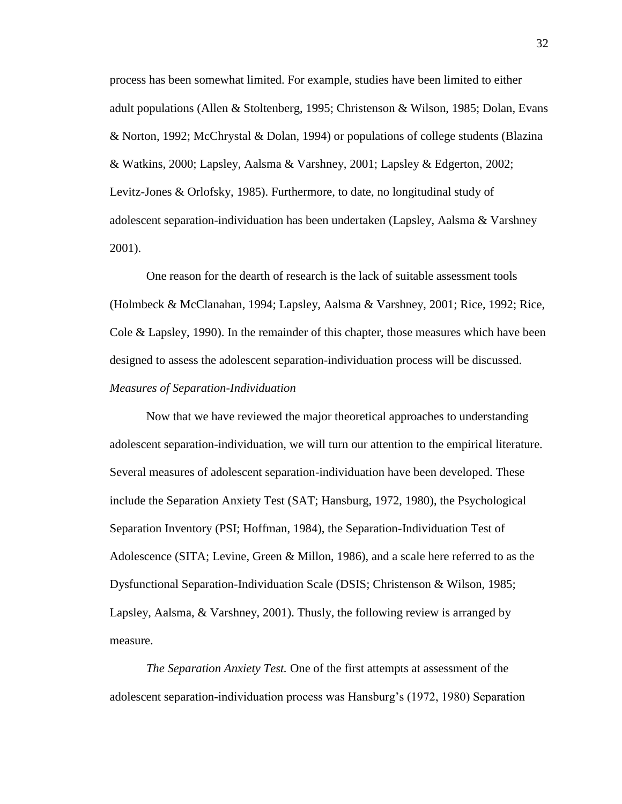process has been somewhat limited. For example, studies have been limited to either adult populations (Allen & Stoltenberg, 1995; Christenson & Wilson, 1985; Dolan, Evans & Norton, 1992; McChrystal & Dolan, 1994) or populations of college students (Blazina & Watkins, 2000; Lapsley, Aalsma & Varshney, 2001; Lapsley & Edgerton, 2002; Levitz-Jones & Orlofsky, 1985). Furthermore, to date, no longitudinal study of adolescent separation-individuation has been undertaken (Lapsley, Aalsma & Varshney 2001).

One reason for the dearth of research is the lack of suitable assessment tools (Holmbeck & McClanahan, 1994; Lapsley, Aalsma & Varshney, 2001; Rice, 1992; Rice, Cole & Lapsley, 1990). In the remainder of this chapter, those measures which have been designed to assess the adolescent separation-individuation process will be discussed. *Measures of Separation-Individuation*

Now that we have reviewed the major theoretical approaches to understanding adolescent separation-individuation, we will turn our attention to the empirical literature. Several measures of adolescent separation-individuation have been developed. These include the Separation Anxiety Test (SAT; Hansburg, 1972, 1980), the Psychological Separation Inventory (PSI; Hoffman, 1984), the Separation-Individuation Test of Adolescence (SITA; Levine, Green & Millon, 1986), and a scale here referred to as the Dysfunctional Separation-Individuation Scale (DSIS; Christenson & Wilson, 1985; Lapsley, Aalsma, & Varshney, 2001). Thusly, the following review is arranged by measure.

*The Separation Anxiety Test.* One of the first attempts at assessment of the adolescent separation-individuation process was Hansburg"s (1972, 1980) Separation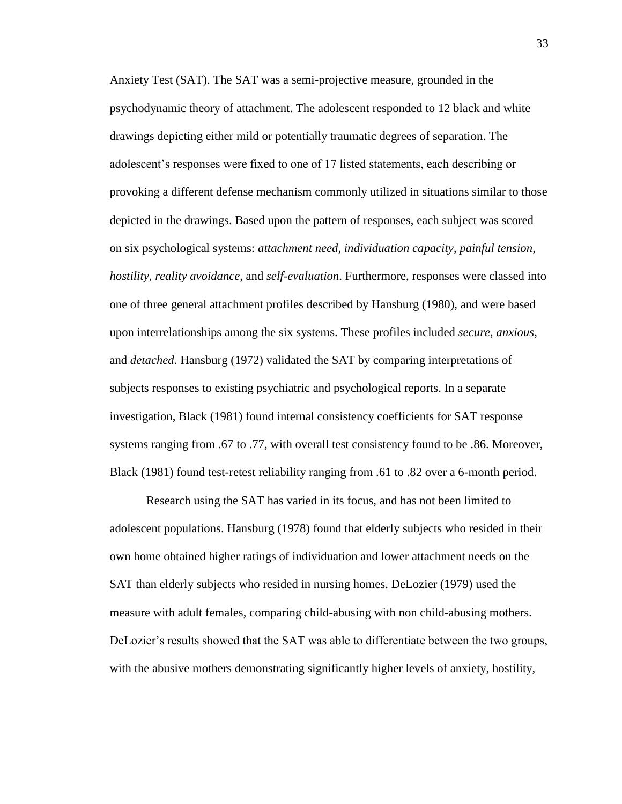Anxiety Test (SAT). The SAT was a semi-projective measure, grounded in the psychodynamic theory of attachment. The adolescent responded to 12 black and white drawings depicting either mild or potentially traumatic degrees of separation. The adolescent"s responses were fixed to one of 17 listed statements, each describing or provoking a different defense mechanism commonly utilized in situations similar to those depicted in the drawings. Based upon the pattern of responses, each subject was scored on six psychological systems: *attachment need*, *individuation capacity*, *painful tension*, *hostility*, *reality avoidance*, and *self-evaluation*. Furthermore, responses were classed into one of three general attachment profiles described by Hansburg (1980), and were based upon interrelationships among the six systems. These profiles included *secure*, *anxious*, and *detached*. Hansburg (1972) validated the SAT by comparing interpretations of subjects responses to existing psychiatric and psychological reports. In a separate investigation, Black (1981) found internal consistency coefficients for SAT response systems ranging from .67 to .77, with overall test consistency found to be .86. Moreover, Black (1981) found test-retest reliability ranging from .61 to .82 over a 6-month period.

Research using the SAT has varied in its focus, and has not been limited to adolescent populations. Hansburg (1978) found that elderly subjects who resided in their own home obtained higher ratings of individuation and lower attachment needs on the SAT than elderly subjects who resided in nursing homes. DeLozier (1979) used the measure with adult females, comparing child-abusing with non child-abusing mothers. DeLozier's results showed that the SAT was able to differentiate between the two groups, with the abusive mothers demonstrating significantly higher levels of anxiety, hostility,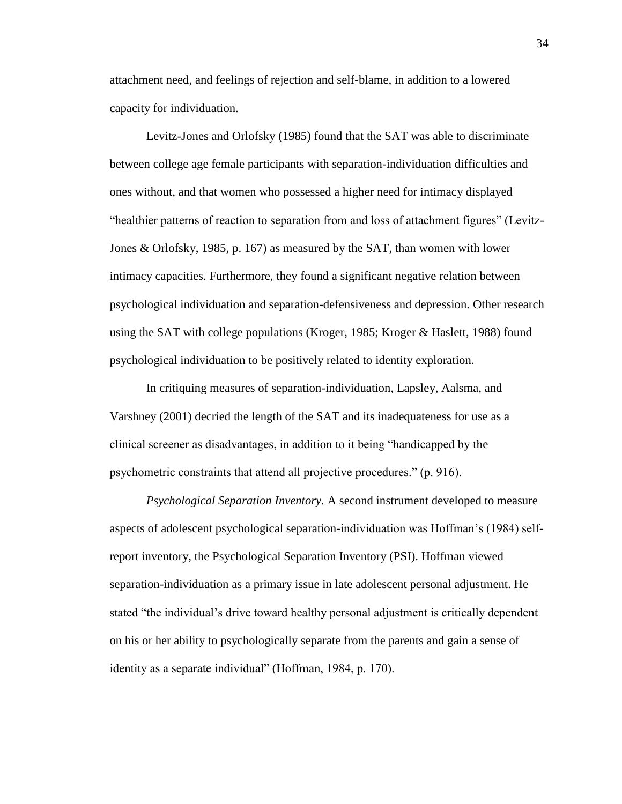attachment need, and feelings of rejection and self-blame, in addition to a lowered capacity for individuation.

Levitz-Jones and Orlofsky (1985) found that the SAT was able to discriminate between college age female participants with separation-individuation difficulties and ones without, and that women who possessed a higher need for intimacy displayed "healthier patterns of reaction to separation from and loss of attachment figures" (Levitz-Jones & Orlofsky, 1985, p. 167) as measured by the SAT, than women with lower intimacy capacities. Furthermore, they found a significant negative relation between psychological individuation and separation-defensiveness and depression. Other research using the SAT with college populations (Kroger, 1985; Kroger & Haslett, 1988) found psychological individuation to be positively related to identity exploration.

In critiquing measures of separation-individuation, Lapsley, Aalsma, and Varshney (2001) decried the length of the SAT and its inadequateness for use as a clinical screener as disadvantages, in addition to it being "handicapped by the psychometric constraints that attend all projective procedures." (p. 916).

*Psychological Separation Inventory.* A second instrument developed to measure aspects of adolescent psychological separation-individuation was Hoffman"s (1984) selfreport inventory, the Psychological Separation Inventory (PSI). Hoffman viewed separation-individuation as a primary issue in late adolescent personal adjustment. He stated "the individual"s drive toward healthy personal adjustment is critically dependent on his or her ability to psychologically separate from the parents and gain a sense of identity as a separate individual" (Hoffman, 1984, p. 170).

34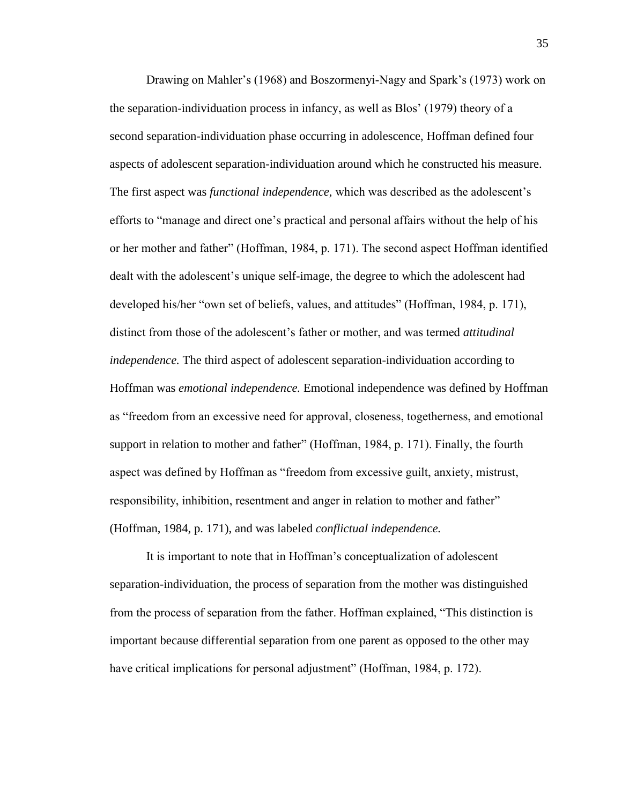Drawing on Mahler"s (1968) and Boszormenyi-Nagy and Spark"s (1973) work on the separation-individuation process in infancy, as well as Blos" (1979) theory of a second separation-individuation phase occurring in adolescence, Hoffman defined four aspects of adolescent separation-individuation around which he constructed his measure. The first aspect was *functional independence*, which was described as the adolescent"s efforts to "manage and direct one"s practical and personal affairs without the help of his or her mother and father" (Hoffman, 1984, p. 171). The second aspect Hoffman identified dealt with the adolescent"s unique self-image, the degree to which the adolescent had developed his/her "own set of beliefs, values, and attitudes" (Hoffman, 1984, p. 171), distinct from those of the adolescent"s father or mother, and was termed *attitudinal independence.* The third aspect of adolescent separation-individuation according to Hoffman was *emotional independence.* Emotional independence was defined by Hoffman as "freedom from an excessive need for approval, closeness, togetherness, and emotional support in relation to mother and father" (Hoffman, 1984, p. 171). Finally, the fourth aspect was defined by Hoffman as "freedom from excessive guilt, anxiety, mistrust, responsibility, inhibition, resentment and anger in relation to mother and father" (Hoffman, 1984, p. 171), and was labeled *conflictual independence.*

It is important to note that in Hoffman"s conceptualization of adolescent separation-individuation, the process of separation from the mother was distinguished from the process of separation from the father. Hoffman explained, "This distinction is important because differential separation from one parent as opposed to the other may have critical implications for personal adjustment" (Hoffman, 1984, p. 172).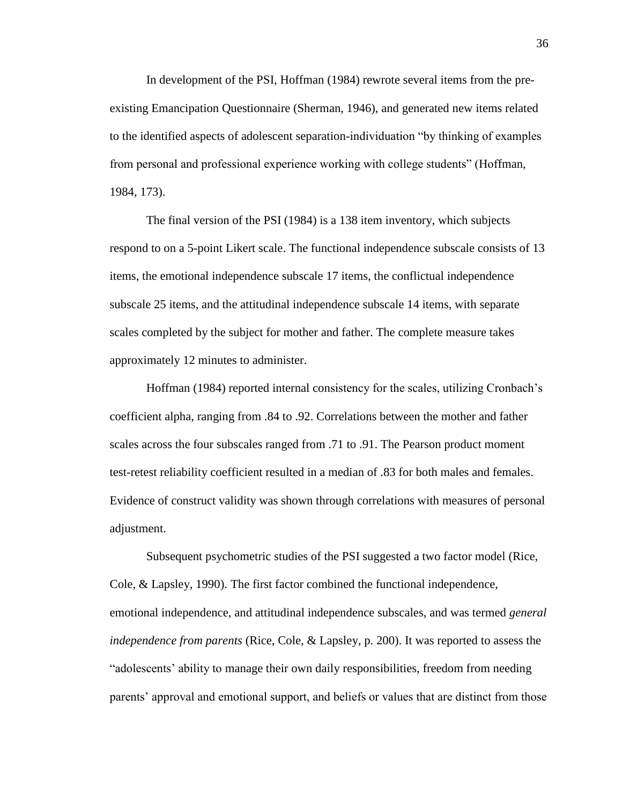In development of the PSI, Hoffman (1984) rewrote several items from the preexisting Emancipation Questionnaire (Sherman, 1946), and generated new items related to the identified aspects of adolescent separation-individuation "by thinking of examples from personal and professional experience working with college students" (Hoffman, 1984, 173).

The final version of the PSI (1984) is a 138 item inventory, which subjects respond to on a 5-point Likert scale. The functional independence subscale consists of 13 items, the emotional independence subscale 17 items, the conflictual independence subscale 25 items, and the attitudinal independence subscale 14 items, with separate scales completed by the subject for mother and father. The complete measure takes approximately 12 minutes to administer.

Hoffman (1984) reported internal consistency for the scales, utilizing Cronbach"s coefficient alpha, ranging from .84 to .92. Correlations between the mother and father scales across the four subscales ranged from .71 to .91. The Pearson product moment test-retest reliability coefficient resulted in a median of .83 for both males and females. Evidence of construct validity was shown through correlations with measures of personal adjustment.

Subsequent psychometric studies of the PSI suggested a two factor model (Rice, Cole, & Lapsley, 1990). The first factor combined the functional independence, emotional independence, and attitudinal independence subscales, and was termed *general independence from parents* (Rice, Cole, & Lapsley, p. 200). It was reported to assess the "adolescents" ability to manage their own daily responsibilities, freedom from needing parents" approval and emotional support, and beliefs or values that are distinct from those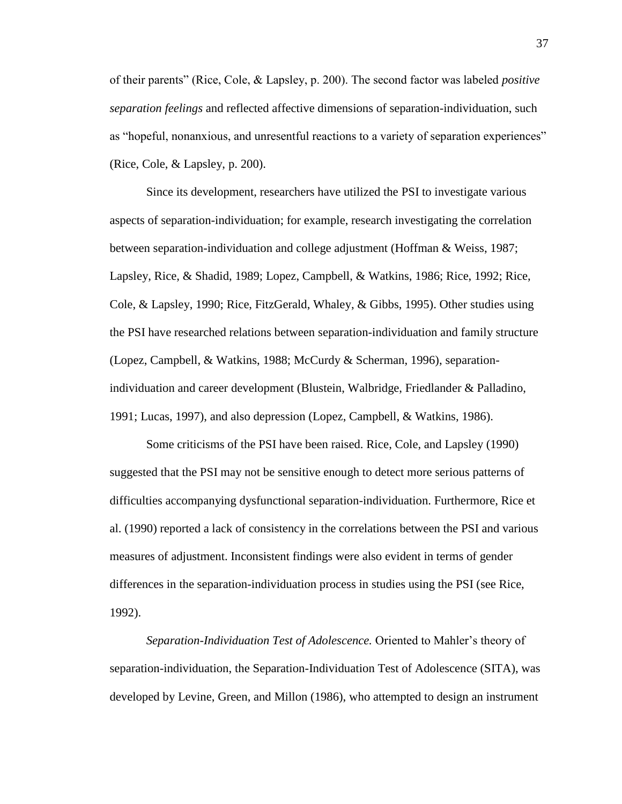of their parents" (Rice, Cole, & Lapsley, p. 200). The second factor was labeled *positive separation feelings* and reflected affective dimensions of separation-individuation, such as "hopeful, nonanxious, and unresentful reactions to a variety of separation experiences" (Rice, Cole, & Lapsley, p. 200).

Since its development, researchers have utilized the PSI to investigate various aspects of separation-individuation; for example, research investigating the correlation between separation-individuation and college adjustment (Hoffman & Weiss, 1987; Lapsley, Rice, & Shadid, 1989; Lopez, Campbell, & Watkins, 1986; Rice, 1992; Rice, Cole, & Lapsley, 1990; Rice, FitzGerald, Whaley, & Gibbs, 1995). Other studies using the PSI have researched relations between separation-individuation and family structure (Lopez, Campbell, & Watkins, 1988; McCurdy & Scherman, 1996), separationindividuation and career development (Blustein, Walbridge, Friedlander & Palladino, 1991; Lucas, 1997), and also depression (Lopez, Campbell, & Watkins, 1986).

Some criticisms of the PSI have been raised. Rice, Cole, and Lapsley (1990) suggested that the PSI may not be sensitive enough to detect more serious patterns of difficulties accompanying dysfunctional separation-individuation. Furthermore, Rice et al. (1990) reported a lack of consistency in the correlations between the PSI and various measures of adjustment. Inconsistent findings were also evident in terms of gender differences in the separation-individuation process in studies using the PSI (see Rice, 1992).

*Separation-Individuation Test of Adolescence.* Oriented to Mahler"s theory of separation-individuation, the Separation-Individuation Test of Adolescence (SITA), was developed by Levine, Green, and Millon (1986), who attempted to design an instrument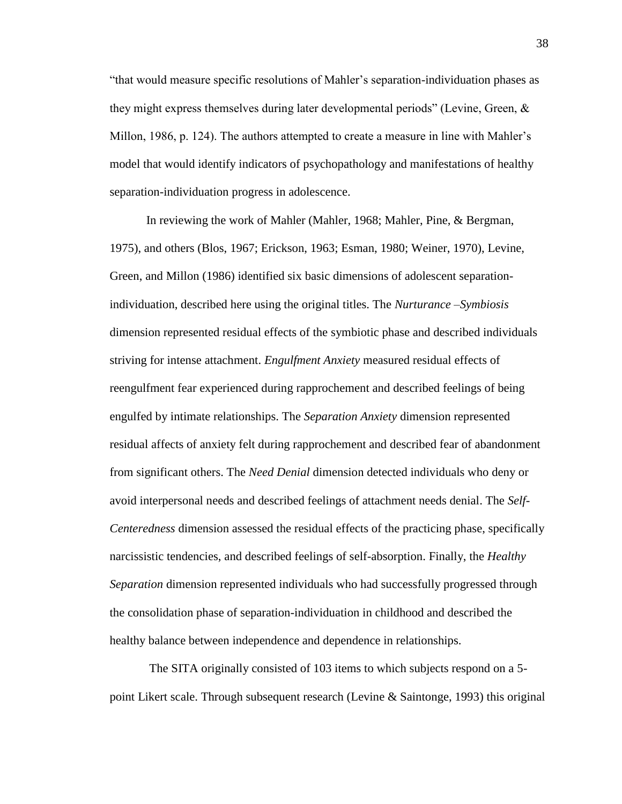"that would measure specific resolutions of Mahler"s separation-individuation phases as they might express themselves during later developmental periods" (Levine, Green, & Millon, 1986, p. 124). The authors attempted to create a measure in line with Mahler"s model that would identify indicators of psychopathology and manifestations of healthy separation-individuation progress in adolescence.

In reviewing the work of Mahler (Mahler, 1968; Mahler, Pine, & Bergman, 1975), and others (Blos, 1967; Erickson, 1963; Esman, 1980; Weiner, 1970), Levine, Green, and Millon (1986) identified six basic dimensions of adolescent separationindividuation, described here using the original titles. The *Nurturance –Symbiosis* dimension represented residual effects of the symbiotic phase and described individuals striving for intense attachment. *Engulfment Anxiety* measured residual effects of reengulfment fear experienced during rapprochement and described feelings of being engulfed by intimate relationships. The *Separation Anxiety* dimension represented residual affects of anxiety felt during rapprochement and described fear of abandonment from significant others. The *Need Denial* dimension detected individuals who deny or avoid interpersonal needs and described feelings of attachment needs denial. The *Self-Centeredness* dimension assessed the residual effects of the practicing phase, specifically narcissistic tendencies, and described feelings of self-absorption. Finally, the *Healthy Separation* dimension represented individuals who had successfully progressed through the consolidation phase of separation-individuation in childhood and described the healthy balance between independence and dependence in relationships.

The SITA originally consisted of 103 items to which subjects respond on a 5 point Likert scale. Through subsequent research (Levine & Saintonge, 1993) this original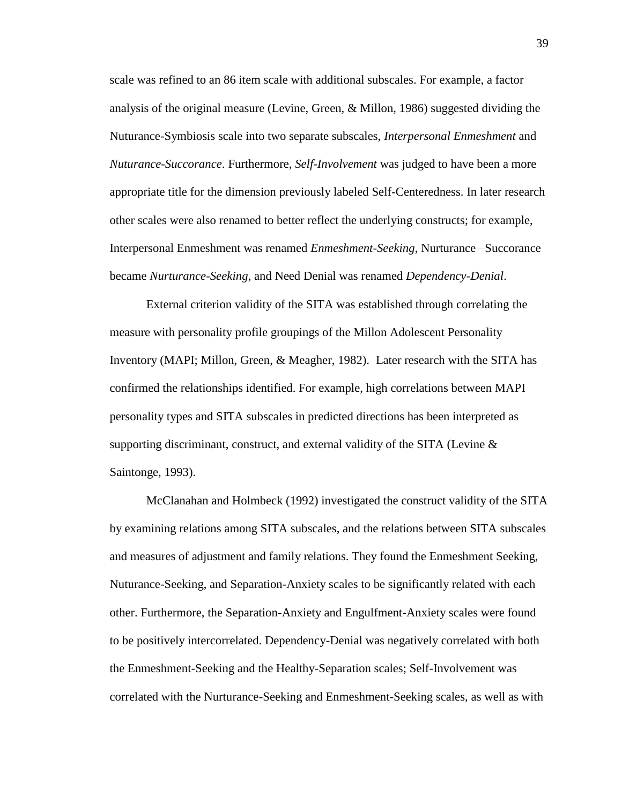scale was refined to an 86 item scale with additional subscales. For example, a factor analysis of the original measure (Levine, Green, & Millon, 1986) suggested dividing the Nuturance-Symbiosis scale into two separate subscales, *Interpersonal Enmeshment* and *Nuturance-Succorance*. Furthermore, *Self-Involvement* was judged to have been a more appropriate title for the dimension previously labeled Self-Centeredness. In later research other scales were also renamed to better reflect the underlying constructs; for example, Interpersonal Enmeshment was renamed *Enmeshment-Seeking*, Nurturance –Succorance became *Nurturance-Seeking*, and Need Denial was renamed *Dependency-Denial*.

External criterion validity of the SITA was established through correlating the measure with personality profile groupings of the Millon Adolescent Personality Inventory (MAPI; Millon, Green, & Meagher, 1982). Later research with the SITA has confirmed the relationships identified. For example, high correlations between MAPI personality types and SITA subscales in predicted directions has been interpreted as supporting discriminant, construct, and external validity of the SITA (Levine  $\&$ Saintonge, 1993).

McClanahan and Holmbeck (1992) investigated the construct validity of the SITA by examining relations among SITA subscales, and the relations between SITA subscales and measures of adjustment and family relations. They found the Enmeshment Seeking, Nuturance-Seeking, and Separation-Anxiety scales to be significantly related with each other. Furthermore, the Separation-Anxiety and Engulfment-Anxiety scales were found to be positively intercorrelated. Dependency-Denial was negatively correlated with both the Enmeshment-Seeking and the Healthy-Separation scales; Self-Involvement was correlated with the Nurturance-Seeking and Enmeshment-Seeking scales, as well as with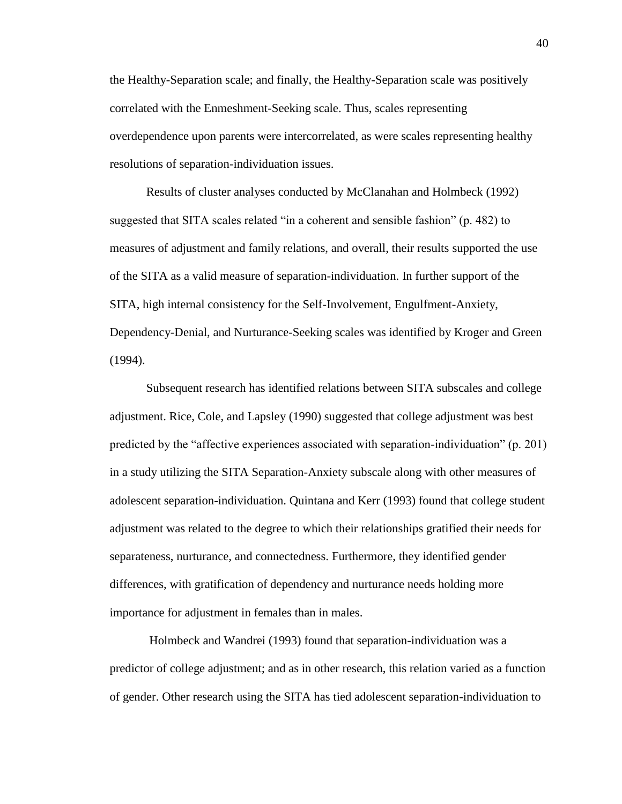the Healthy-Separation scale; and finally, the Healthy-Separation scale was positively correlated with the Enmeshment-Seeking scale. Thus, scales representing overdependence upon parents were intercorrelated, as were scales representing healthy resolutions of separation-individuation issues.

Results of cluster analyses conducted by McClanahan and Holmbeck (1992) suggested that SITA scales related "in a coherent and sensible fashion" (p. 482) to measures of adjustment and family relations, and overall, their results supported the use of the SITA as a valid measure of separation-individuation. In further support of the SITA, high internal consistency for the Self-Involvement, Engulfment-Anxiety, Dependency-Denial, and Nurturance-Seeking scales was identified by Kroger and Green (1994).

Subsequent research has identified relations between SITA subscales and college adjustment. Rice, Cole, and Lapsley (1990) suggested that college adjustment was best predicted by the "affective experiences associated with separation-individuation" (p. 201) in a study utilizing the SITA Separation-Anxiety subscale along with other measures of adolescent separation-individuation. Quintana and Kerr (1993) found that college student adjustment was related to the degree to which their relationships gratified their needs for separateness, nurturance, and connectedness. Furthermore, they identified gender differences, with gratification of dependency and nurturance needs holding more importance for adjustment in females than in males.

Holmbeck and Wandrei (1993) found that separation-individuation was a predictor of college adjustment; and as in other research, this relation varied as a function of gender. Other research using the SITA has tied adolescent separation-individuation to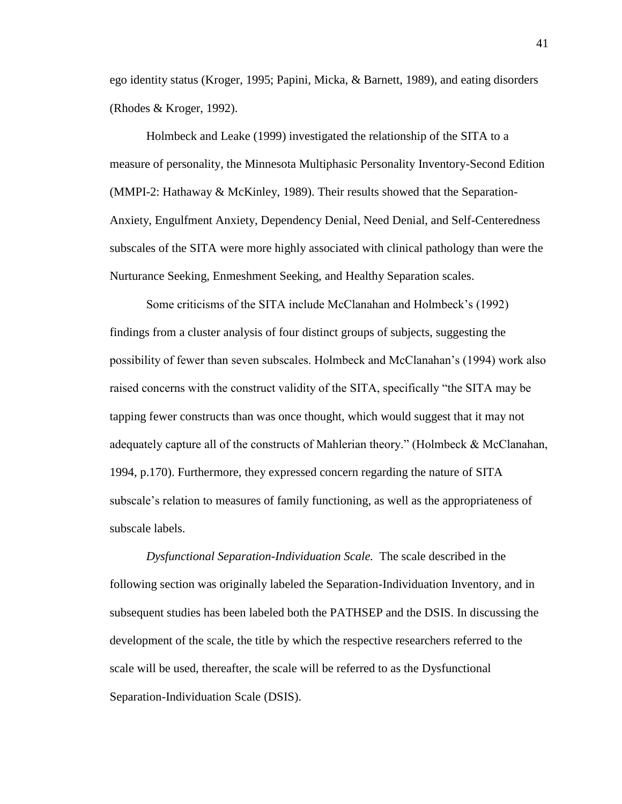ego identity status (Kroger, 1995; Papini, Micka, & Barnett, 1989), and eating disorders (Rhodes & Kroger, 1992).

Holmbeck and Leake (1999) investigated the relationship of the SITA to a measure of personality, the Minnesota Multiphasic Personality Inventory-Second Edition (MMPI-2: Hathaway & McKinley, 1989). Their results showed that the Separation-Anxiety, Engulfment Anxiety, Dependency Denial, Need Denial, and Self-Centeredness subscales of the SITA were more highly associated with clinical pathology than were the Nurturance Seeking, Enmeshment Seeking, and Healthy Separation scales.

Some criticisms of the SITA include McClanahan and Holmbeck"s (1992) findings from a cluster analysis of four distinct groups of subjects, suggesting the possibility of fewer than seven subscales. Holmbeck and McClanahan"s (1994) work also raised concerns with the construct validity of the SITA, specifically "the SITA may be tapping fewer constructs than was once thought, which would suggest that it may not adequately capture all of the constructs of Mahlerian theory." (Holmbeck & McClanahan, 1994, p.170). Furthermore, they expressed concern regarding the nature of SITA subscale"s relation to measures of family functioning, as well as the appropriateness of subscale labels.

*Dysfunctional Separation-Individuation Scale.* The scale described in the following section was originally labeled the Separation-Individuation Inventory, and in subsequent studies has been labeled both the PATHSEP and the DSIS. In discussing the development of the scale, the title by which the respective researchers referred to the scale will be used, thereafter, the scale will be referred to as the Dysfunctional Separation-Individuation Scale (DSIS).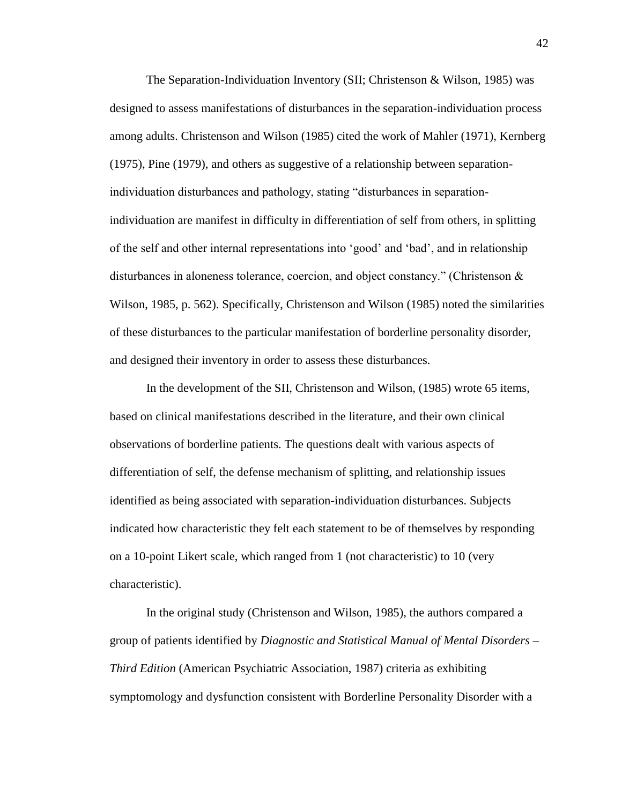The Separation-Individuation Inventory (SII; Christenson & Wilson, 1985) was designed to assess manifestations of disturbances in the separation-individuation process among adults. Christenson and Wilson (1985) cited the work of Mahler (1971), Kernberg (1975), Pine (1979), and others as suggestive of a relationship between separationindividuation disturbances and pathology, stating "disturbances in separationindividuation are manifest in difficulty in differentiation of self from others, in splitting of the self and other internal representations into "good" and "bad", and in relationship disturbances in aloneness tolerance, coercion, and object constancy." (Christenson  $\&$ Wilson, 1985, p. 562). Specifically, Christenson and Wilson (1985) noted the similarities of these disturbances to the particular manifestation of borderline personality disorder, and designed their inventory in order to assess these disturbances.

In the development of the SII, Christenson and Wilson, (1985) wrote 65 items, based on clinical manifestations described in the literature, and their own clinical observations of borderline patients. The questions dealt with various aspects of differentiation of self, the defense mechanism of splitting, and relationship issues identified as being associated with separation-individuation disturbances. Subjects indicated how characteristic they felt each statement to be of themselves by responding on a 10-point Likert scale, which ranged from 1 (not characteristic) to 10 (very characteristic).

In the original study (Christenson and Wilson, 1985), the authors compared a group of patients identified by *Diagnostic and Statistical Manual of Mental Disorders – Third Edition* (American Psychiatric Association, 1987) criteria as exhibiting symptomology and dysfunction consistent with Borderline Personality Disorder with a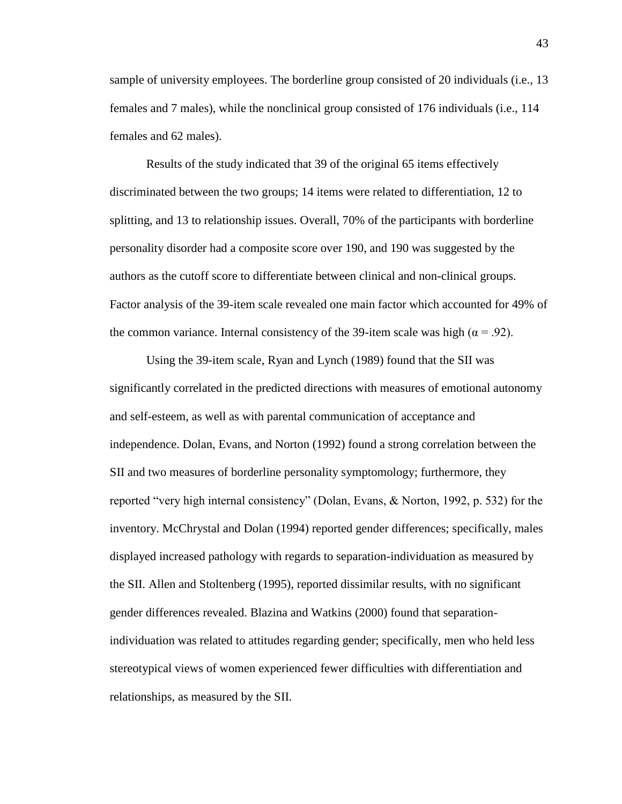sample of university employees. The borderline group consisted of 20 individuals (i.e., 13 females and 7 males), while the nonclinical group consisted of 176 individuals (i.e., 114 females and 62 males).

Results of the study indicated that 39 of the original 65 items effectively discriminated between the two groups; 14 items were related to differentiation, 12 to splitting, and 13 to relationship issues. Overall, 70% of the participants with borderline personality disorder had a composite score over 190, and 190 was suggested by the authors as the cutoff score to differentiate between clinical and non-clinical groups. Factor analysis of the 39-item scale revealed one main factor which accounted for 49% of the common variance. Internal consistency of the 39-item scale was high ( $\alpha$  = .92).

Using the 39-item scale, Ryan and Lynch (1989) found that the SII was significantly correlated in the predicted directions with measures of emotional autonomy and self-esteem, as well as with parental communication of acceptance and independence. Dolan, Evans, and Norton (1992) found a strong correlation between the SII and two measures of borderline personality symptomology; furthermore, they reported "very high internal consistency" (Dolan, Evans, & Norton, 1992, p. 532) for the inventory. McChrystal and Dolan (1994) reported gender differences; specifically, males displayed increased pathology with regards to separation-individuation as measured by the SII. Allen and Stoltenberg (1995), reported dissimilar results, with no significant gender differences revealed. Blazina and Watkins (2000) found that separationindividuation was related to attitudes regarding gender; specifically, men who held less stereotypical views of women experienced fewer difficulties with differentiation and relationships, as measured by the SII.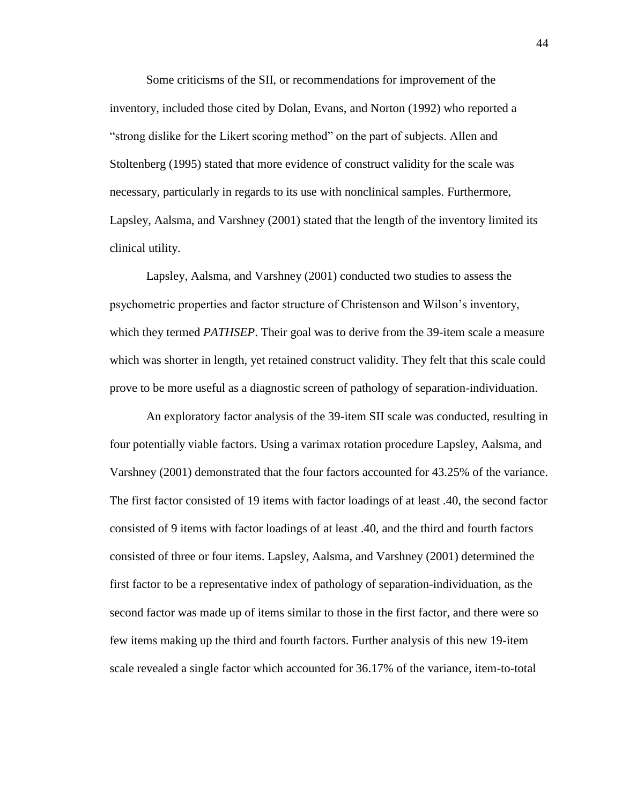Some criticisms of the SII, or recommendations for improvement of the inventory, included those cited by Dolan, Evans, and Norton (1992) who reported a "strong dislike for the Likert scoring method" on the part of subjects. Allen and Stoltenberg (1995) stated that more evidence of construct validity for the scale was necessary, particularly in regards to its use with nonclinical samples. Furthermore, Lapsley, Aalsma, and Varshney (2001) stated that the length of the inventory limited its clinical utility.

Lapsley, Aalsma, and Varshney (2001) conducted two studies to assess the psychometric properties and factor structure of Christenson and Wilson"s inventory, which they termed *PATHSEP*. Their goal was to derive from the 39-item scale a measure which was shorter in length, yet retained construct validity. They felt that this scale could prove to be more useful as a diagnostic screen of pathology of separation-individuation.

An exploratory factor analysis of the 39-item SII scale was conducted, resulting in four potentially viable factors. Using a varimax rotation procedure Lapsley, Aalsma, and Varshney (2001) demonstrated that the four factors accounted for 43.25% of the variance. The first factor consisted of 19 items with factor loadings of at least .40, the second factor consisted of 9 items with factor loadings of at least .40, and the third and fourth factors consisted of three or four items. Lapsley, Aalsma, and Varshney (2001) determined the first factor to be a representative index of pathology of separation-individuation, as the second factor was made up of items similar to those in the first factor, and there were so few items making up the third and fourth factors. Further analysis of this new 19-item scale revealed a single factor which accounted for 36.17% of the variance, item-to-total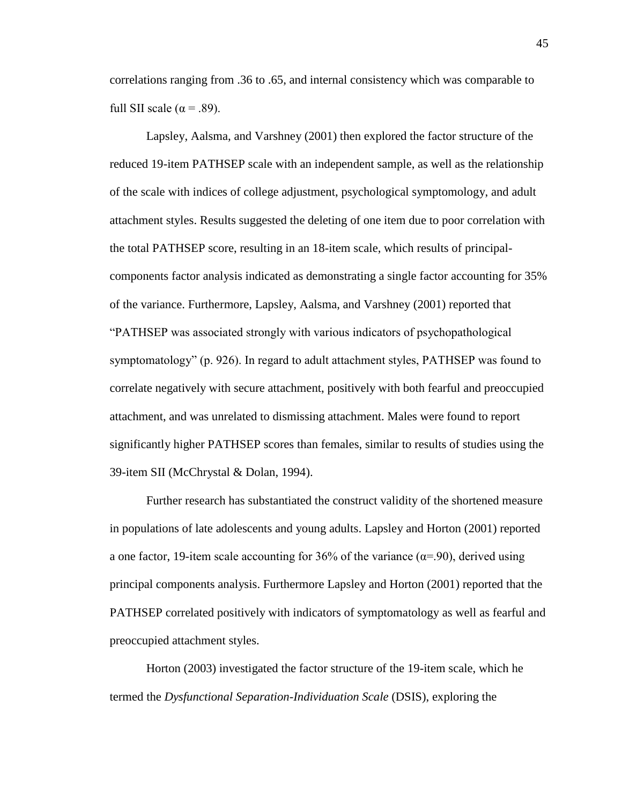correlations ranging from .36 to .65, and internal consistency which was comparable to full SII scale ( $\alpha$  = .89).

Lapsley, Aalsma, and Varshney (2001) then explored the factor structure of the reduced 19-item PATHSEP scale with an independent sample, as well as the relationship of the scale with indices of college adjustment, psychological symptomology, and adult attachment styles. Results suggested the deleting of one item due to poor correlation with the total PATHSEP score, resulting in an 18-item scale, which results of principalcomponents factor analysis indicated as demonstrating a single factor accounting for 35% of the variance. Furthermore, Lapsley, Aalsma, and Varshney (2001) reported that "PATHSEP was associated strongly with various indicators of psychopathological symptomatology" (p. 926). In regard to adult attachment styles, PATHSEP was found to correlate negatively with secure attachment, positively with both fearful and preoccupied attachment, and was unrelated to dismissing attachment. Males were found to report significantly higher PATHSEP scores than females, similar to results of studies using the 39-item SII (McChrystal & Dolan, 1994).

Further research has substantiated the construct validity of the shortened measure in populations of late adolescents and young adults. Lapsley and Horton (2001) reported a one factor, 19-item scale accounting for 36% of the variance ( $\alpha$ =.90), derived using principal components analysis. Furthermore Lapsley and Horton (2001) reported that the PATHSEP correlated positively with indicators of symptomatology as well as fearful and preoccupied attachment styles.

Horton (2003) investigated the factor structure of the 19-item scale, which he termed the *Dysfunctional Separation-Individuation Scale* (DSIS), exploring the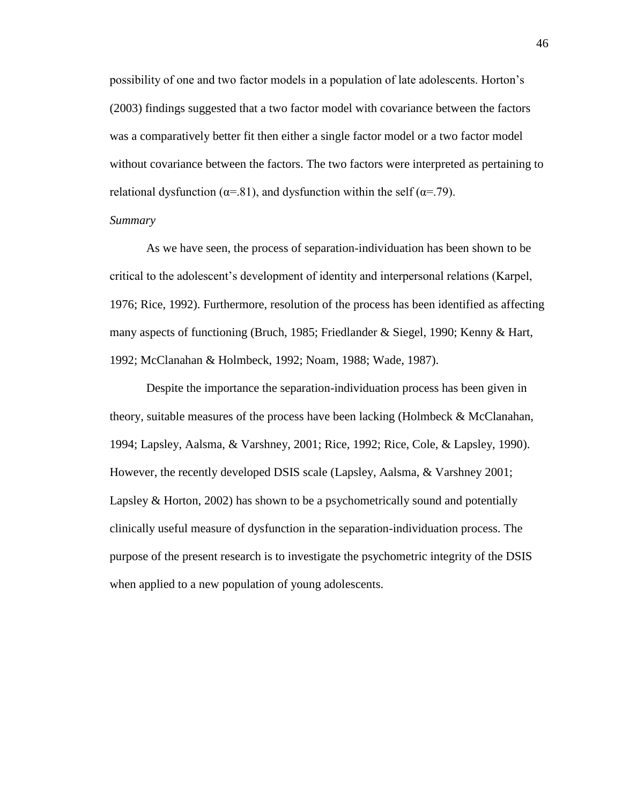possibility of one and two factor models in a population of late adolescents. Horton"s (2003) findings suggested that a two factor model with covariance between the factors was a comparatively better fit then either a single factor model or a two factor model without covariance between the factors. The two factors were interpreted as pertaining to relational dysfunction ( $\alpha$ =.81), and dysfunction within the self ( $\alpha$ =.79).

## *Summary*

As we have seen, the process of separation-individuation has been shown to be critical to the adolescent"s development of identity and interpersonal relations (Karpel, 1976; Rice, 1992). Furthermore, resolution of the process has been identified as affecting many aspects of functioning (Bruch, 1985; Friedlander & Siegel, 1990; Kenny & Hart, 1992; McClanahan & Holmbeck, 1992; Noam, 1988; Wade, 1987).

Despite the importance the separation-individuation process has been given in theory, suitable measures of the process have been lacking (Holmbeck & McClanahan, 1994; Lapsley, Aalsma, & Varshney, 2001; Rice, 1992; Rice, Cole, & Lapsley, 1990). However, the recently developed DSIS scale (Lapsley, Aalsma, & Varshney 2001; Lapsley & Horton, 2002) has shown to be a psychometrically sound and potentially clinically useful measure of dysfunction in the separation-individuation process. The purpose of the present research is to investigate the psychometric integrity of the DSIS when applied to a new population of young adolescents.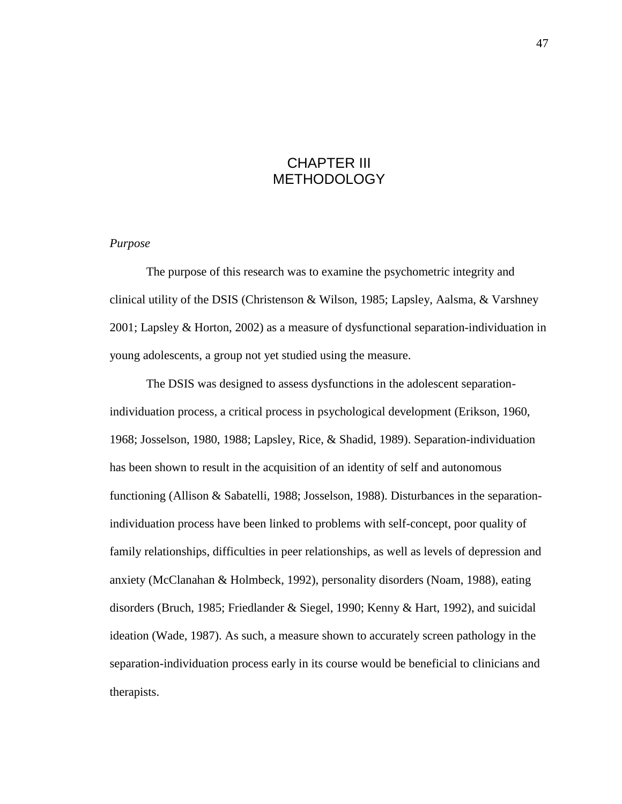# CHAPTER III **METHODOLOGY**

#### *Purpose*

The purpose of this research was to examine the psychometric integrity and clinical utility of the DSIS (Christenson & Wilson, 1985; Lapsley, Aalsma, & Varshney 2001; Lapsley & Horton, 2002) as a measure of dysfunctional separation-individuation in young adolescents, a group not yet studied using the measure.

The DSIS was designed to assess dysfunctions in the adolescent separationindividuation process, a critical process in psychological development (Erikson, 1960, 1968; Josselson, 1980, 1988; Lapsley, Rice, & Shadid, 1989). Separation-individuation has been shown to result in the acquisition of an identity of self and autonomous functioning (Allison & Sabatelli, 1988; Josselson, 1988). Disturbances in the separationindividuation process have been linked to problems with self-concept, poor quality of family relationships, difficulties in peer relationships, as well as levels of depression and anxiety (McClanahan & Holmbeck, 1992), personality disorders (Noam, 1988), eating disorders (Bruch, 1985; Friedlander & Siegel, 1990; Kenny & Hart, 1992), and suicidal ideation (Wade, 1987). As such, a measure shown to accurately screen pathology in the separation-individuation process early in its course would be beneficial to clinicians and therapists.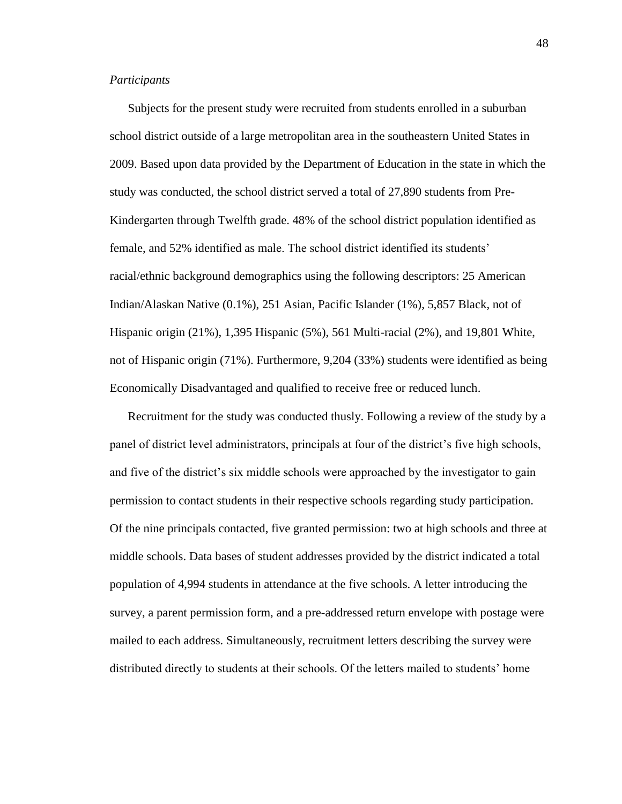#### *Participants*

Subjects for the present study were recruited from students enrolled in a suburban school district outside of a large metropolitan area in the southeastern United States in 2009. Based upon data provided by the Department of Education in the state in which the study was conducted, the school district served a total of 27,890 students from Pre-Kindergarten through Twelfth grade. 48% of the school district population identified as female, and 52% identified as male. The school district identified its students" racial/ethnic background demographics using the following descriptors: 25 American Indian/Alaskan Native (0.1%), 251 Asian, Pacific Islander (1%), 5,857 Black, not of Hispanic origin (21%), 1,395 Hispanic (5%), 561 Multi-racial (2%), and 19,801 White, not of Hispanic origin (71%). Furthermore, 9,204 (33%) students were identified as being Economically Disadvantaged and qualified to receive free or reduced lunch.

Recruitment for the study was conducted thusly. Following a review of the study by a panel of district level administrators, principals at four of the district's five high schools, and five of the district's six middle schools were approached by the investigator to gain permission to contact students in their respective schools regarding study participation. Of the nine principals contacted, five granted permission: two at high schools and three at middle schools. Data bases of student addresses provided by the district indicated a total population of 4,994 students in attendance at the five schools. A letter introducing the survey, a parent permission form, and a pre-addressed return envelope with postage were mailed to each address. Simultaneously, recruitment letters describing the survey were distributed directly to students at their schools. Of the letters mailed to students" home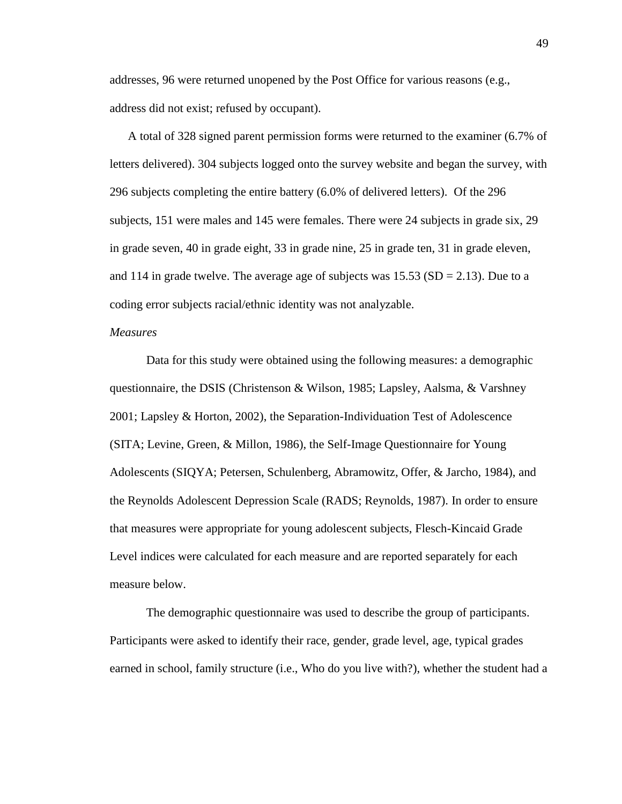addresses, 96 were returned unopened by the Post Office for various reasons (e.g., address did not exist; refused by occupant).

A total of 328 signed parent permission forms were returned to the examiner (6.7% of letters delivered). 304 subjects logged onto the survey website and began the survey, with 296 subjects completing the entire battery (6.0% of delivered letters). Of the 296 subjects, 151 were males and 145 were females. There were 24 subjects in grade six, 29 in grade seven, 40 in grade eight, 33 in grade nine, 25 in grade ten, 31 in grade eleven, and 114 in grade twelve. The average age of subjects was  $15.53$  (SD = 2.13). Due to a coding error subjects racial/ethnic identity was not analyzable.

### *Measures*

Data for this study were obtained using the following measures: a demographic questionnaire, the DSIS (Christenson & Wilson, 1985; Lapsley, Aalsma, & Varshney 2001; Lapsley & Horton, 2002), the Separation-Individuation Test of Adolescence (SITA; Levine, Green, & Millon, 1986), the Self-Image Questionnaire for Young Adolescents (SIQYA; Petersen, Schulenberg, Abramowitz, Offer, & Jarcho, 1984), and the Reynolds Adolescent Depression Scale (RADS; Reynolds, 1987). In order to ensure that measures were appropriate for young adolescent subjects, Flesch-Kincaid Grade Level indices were calculated for each measure and are reported separately for each measure below.

The demographic questionnaire was used to describe the group of participants. Participants were asked to identify their race, gender, grade level, age, typical grades earned in school, family structure (i.e., Who do you live with?), whether the student had a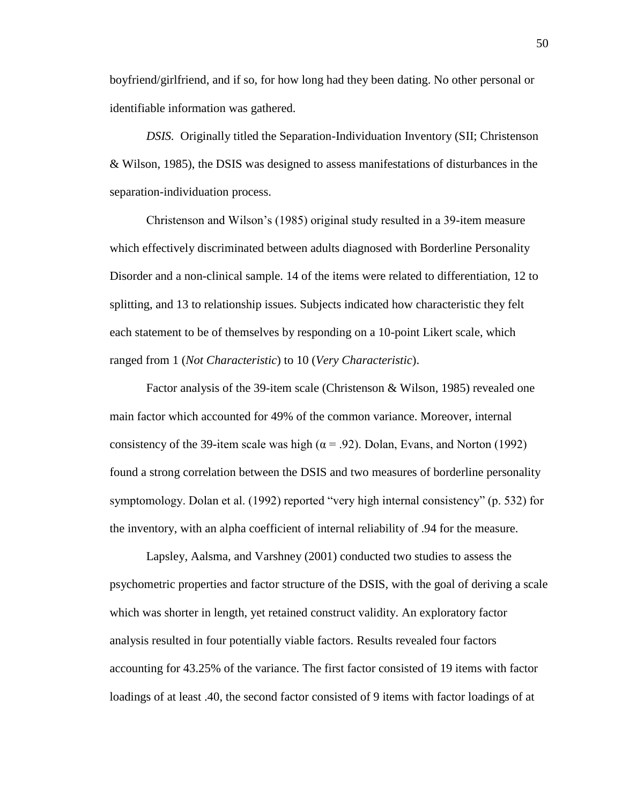boyfriend/girlfriend, and if so, for how long had they been dating. No other personal or identifiable information was gathered.

*DSIS.* Originally titled the Separation-Individuation Inventory (SII; Christenson & Wilson, 1985), the DSIS was designed to assess manifestations of disturbances in the separation-individuation process.

Christenson and Wilson"s (1985) original study resulted in a 39-item measure which effectively discriminated between adults diagnosed with Borderline Personality Disorder and a non-clinical sample. 14 of the items were related to differentiation, 12 to splitting, and 13 to relationship issues. Subjects indicated how characteristic they felt each statement to be of themselves by responding on a 10-point Likert scale, which ranged from 1 (*Not Characteristic*) to 10 (*Very Characteristic*).

Factor analysis of the 39-item scale (Christenson & Wilson, 1985) revealed one main factor which accounted for 49% of the common variance. Moreover, internal consistency of the 39-item scale was high ( $\alpha$  = .92). Dolan, Evans, and Norton (1992) found a strong correlation between the DSIS and two measures of borderline personality symptomology. Dolan et al. (1992) reported "very high internal consistency" (p. 532) for the inventory, with an alpha coefficient of internal reliability of .94 for the measure.

Lapsley, Aalsma, and Varshney (2001) conducted two studies to assess the psychometric properties and factor structure of the DSIS, with the goal of deriving a scale which was shorter in length, yet retained construct validity. An exploratory factor analysis resulted in four potentially viable factors. Results revealed four factors accounting for 43.25% of the variance. The first factor consisted of 19 items with factor loadings of at least .40, the second factor consisted of 9 items with factor loadings of at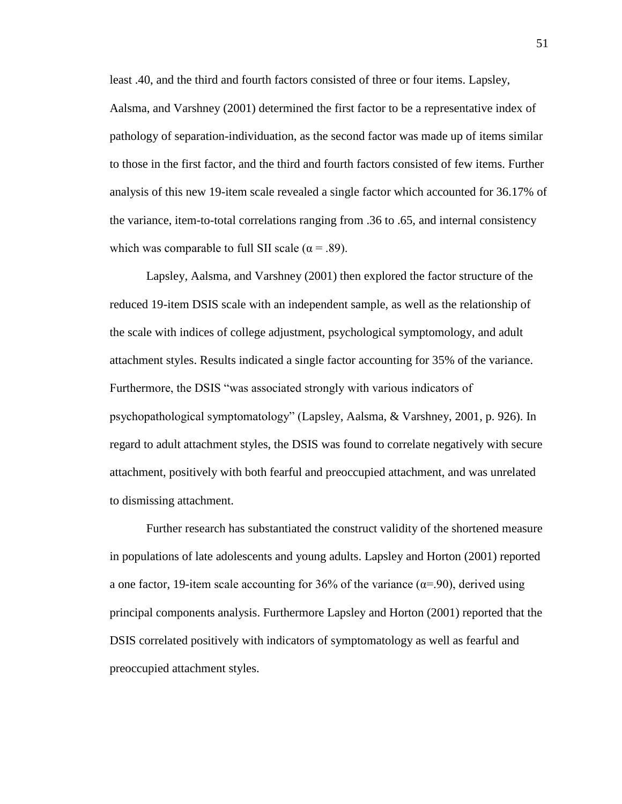least .40, and the third and fourth factors consisted of three or four items. Lapsley, Aalsma, and Varshney (2001) determined the first factor to be a representative index of pathology of separation-individuation, as the second factor was made up of items similar to those in the first factor, and the third and fourth factors consisted of few items. Further analysis of this new 19-item scale revealed a single factor which accounted for 36.17% of the variance, item-to-total correlations ranging from .36 to .65, and internal consistency which was comparable to full SII scale ( $\alpha$  = .89).

Lapsley, Aalsma, and Varshney (2001) then explored the factor structure of the reduced 19-item DSIS scale with an independent sample, as well as the relationship of the scale with indices of college adjustment, psychological symptomology, and adult attachment styles. Results indicated a single factor accounting for 35% of the variance. Furthermore, the DSIS "was associated strongly with various indicators of psychopathological symptomatology" (Lapsley, Aalsma, & Varshney, 2001, p. 926). In regard to adult attachment styles, the DSIS was found to correlate negatively with secure attachment, positively with both fearful and preoccupied attachment, and was unrelated to dismissing attachment.

Further research has substantiated the construct validity of the shortened measure in populations of late adolescents and young adults. Lapsley and Horton (2001) reported a one factor, 19-item scale accounting for 36% of the variance ( $\alpha$ =.90), derived using principal components analysis. Furthermore Lapsley and Horton (2001) reported that the DSIS correlated positively with indicators of symptomatology as well as fearful and preoccupied attachment styles.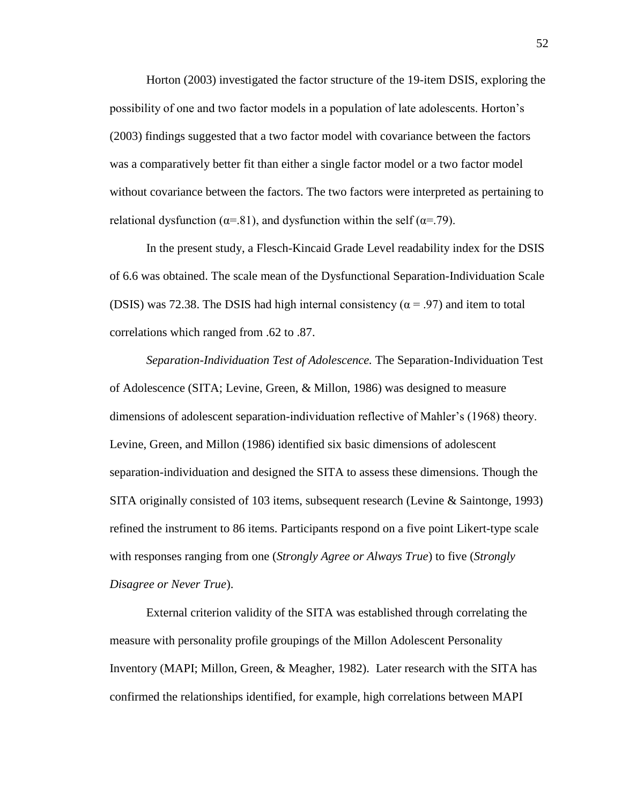Horton (2003) investigated the factor structure of the 19-item DSIS, exploring the possibility of one and two factor models in a population of late adolescents. Horton"s (2003) findings suggested that a two factor model with covariance between the factors was a comparatively better fit than either a single factor model or a two factor model without covariance between the factors. The two factors were interpreted as pertaining to relational dysfunction ( $\alpha$ =.81), and dysfunction within the self ( $\alpha$ =.79).

In the present study, a Flesch-Kincaid Grade Level readability index for the DSIS of 6.6 was obtained. The scale mean of the Dysfunctional Separation-Individuation Scale (DSIS) was 72.38. The DSIS had high internal consistency ( $\alpha$  = .97) and item to total correlations which ranged from .62 to .87.

*Separation-Individuation Test of Adolescence.* The Separation-Individuation Test of Adolescence (SITA; Levine, Green, & Millon, 1986) was designed to measure dimensions of adolescent separation-individuation reflective of Mahler"s (1968) theory. Levine, Green, and Millon (1986) identified six basic dimensions of adolescent separation-individuation and designed the SITA to assess these dimensions. Though the SITA originally consisted of 103 items, subsequent research (Levine & Saintonge, 1993) refined the instrument to 86 items. Participants respond on a five point Likert-type scale with responses ranging from one (*Strongly Agree or Always True*) to five (*Strongly Disagree or Never True*).

External criterion validity of the SITA was established through correlating the measure with personality profile groupings of the Millon Adolescent Personality Inventory (MAPI; Millon, Green, & Meagher, 1982). Later research with the SITA has confirmed the relationships identified, for example, high correlations between MAPI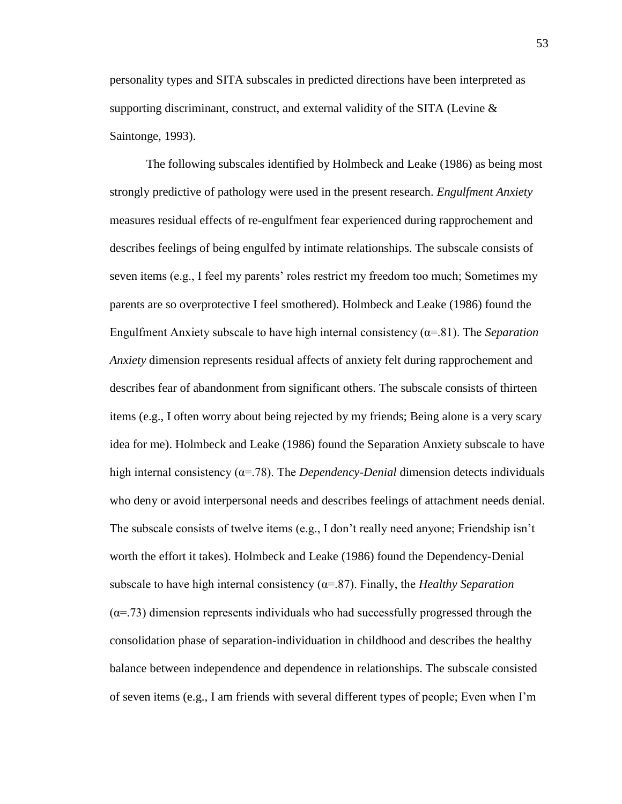personality types and SITA subscales in predicted directions have been interpreted as supporting discriminant, construct, and external validity of the SITA (Levine  $\&$ Saintonge, 1993).

The following subscales identified by Holmbeck and Leake (1986) as being most strongly predictive of pathology were used in the present research. *Engulfment Anxiety* measures residual effects of re-engulfment fear experienced during rapprochement and describes feelings of being engulfed by intimate relationships. The subscale consists of seven items (e.g., I feel my parents" roles restrict my freedom too much; Sometimes my parents are so overprotective I feel smothered). Holmbeck and Leake (1986) found the Engulfment Anxiety subscale to have high internal consistency  $(a=81)$ . The *Separation Anxiety* dimension represents residual affects of anxiety felt during rapprochement and describes fear of abandonment from significant others. The subscale consists of thirteen items (e.g., I often worry about being rejected by my friends; Being alone is a very scary idea for me). Holmbeck and Leake (1986) found the Separation Anxiety subscale to have high internal consistency ( $\alpha$ =.78). The *Dependency-Denial* dimension detects individuals who deny or avoid interpersonal needs and describes feelings of attachment needs denial. The subscale consists of twelve items (e.g., I don"t really need anyone; Friendship isn"t worth the effort it takes). Holmbeck and Leake (1986) found the Dependency-Denial subscale to have high internal consistency  $(\alpha = 87)$ . Finally, the *Healthy Separation*  $(\alpha = 73)$  dimension represents individuals who had successfully progressed through the consolidation phase of separation-individuation in childhood and describes the healthy balance between independence and dependence in relationships. The subscale consisted of seven items (e.g., I am friends with several different types of people; Even when I"m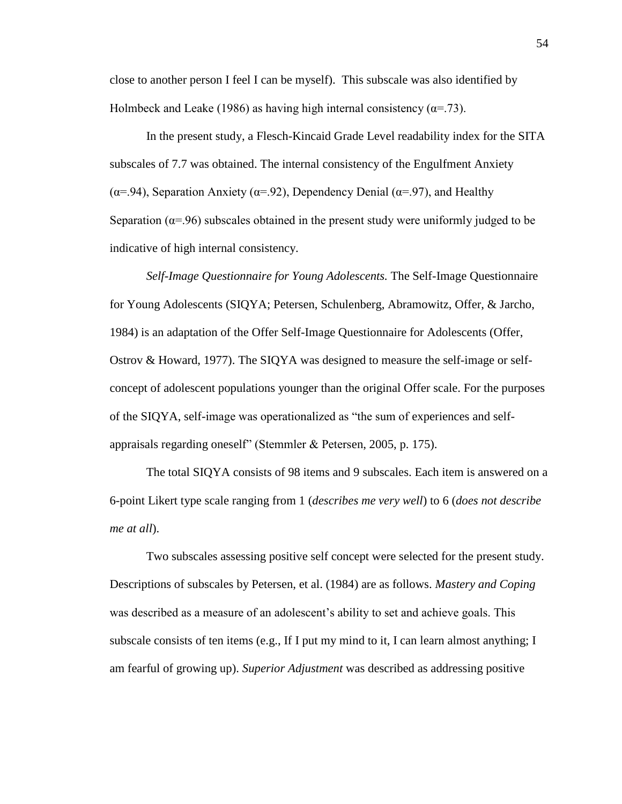close to another person I feel I can be myself). This subscale was also identified by Holmbeck and Leake (1986) as having high internal consistency ( $\alpha$ =.73).

In the present study, a Flesch-Kincaid Grade Level readability index for the SITA subscales of 7.7 was obtained. The internal consistency of the Engulfment Anxiety ( $\alpha$ =.94), Separation Anxiety ( $\alpha$ =.92), Dependency Denial ( $\alpha$ =.97), and Healthy Separation ( $\alpha$ =.96) subscales obtained in the present study were uniformly judged to be indicative of high internal consistency.

*Self-Image Questionnaire for Young Adolescents.* The Self-Image Questionnaire for Young Adolescents (SIQYA; Petersen, Schulenberg, Abramowitz, Offer, & Jarcho, 1984) is an adaptation of the Offer Self-Image Questionnaire for Adolescents (Offer, Ostrov & Howard, 1977). The SIQYA was designed to measure the self-image or selfconcept of adolescent populations younger than the original Offer scale. For the purposes of the SIQYA, self-image was operationalized as "the sum of experiences and selfappraisals regarding oneself" (Stemmler & Petersen, 2005, p. 175).

The total SIQYA consists of 98 items and 9 subscales. Each item is answered on a 6-point Likert type scale ranging from 1 (*describes me very well*) to 6 (*does not describe me at all*).

Two subscales assessing positive self concept were selected for the present study. Descriptions of subscales by Petersen, et al. (1984) are as follows. *Mastery and Coping* was described as a measure of an adolescent's ability to set and achieve goals. This subscale consists of ten items (e.g., If I put my mind to it, I can learn almost anything; I am fearful of growing up). *Superior Adjustment* was described as addressing positive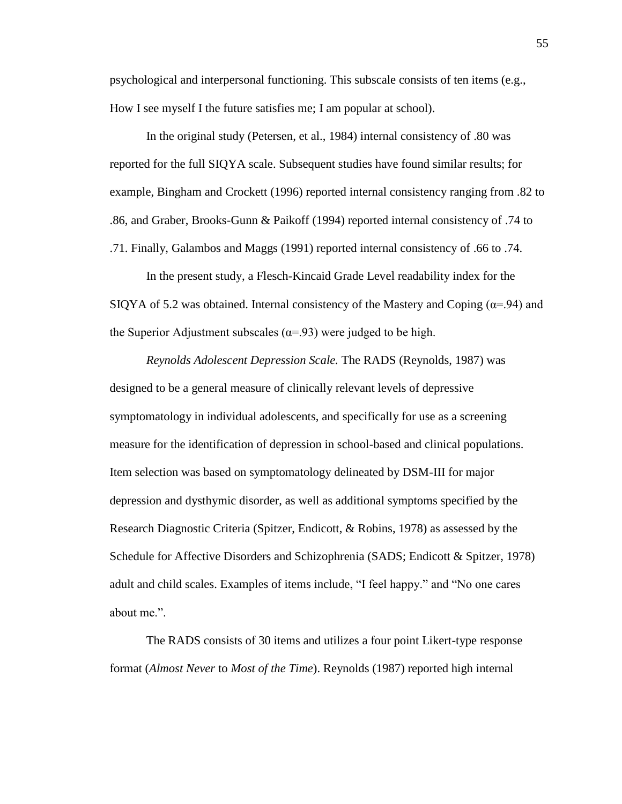psychological and interpersonal functioning. This subscale consists of ten items (e.g., How I see myself I the future satisfies me; I am popular at school).

In the original study (Petersen, et al., 1984) internal consistency of .80 was reported for the full SIQYA scale. Subsequent studies have found similar results; for example, Bingham and Crockett (1996) reported internal consistency ranging from .82 to .86, and Graber, Brooks-Gunn & Paikoff (1994) reported internal consistency of .74 to .71. Finally, Galambos and Maggs (1991) reported internal consistency of .66 to .74.

In the present study, a Flesch-Kincaid Grade Level readability index for the SIQYA of 5.2 was obtained. Internal consistency of the Mastery and Coping ( $\alpha$ =.94) and the Superior Adjustment subscales ( $\alpha$ =.93) were judged to be high.

*Reynolds Adolescent Depression Scale.* The RADS (Reynolds, 1987) was designed to be a general measure of clinically relevant levels of depressive symptomatology in individual adolescents, and specifically for use as a screening measure for the identification of depression in school-based and clinical populations. Item selection was based on symptomatology delineated by DSM-III for major depression and dysthymic disorder, as well as additional symptoms specified by the Research Diagnostic Criteria (Spitzer, Endicott, & Robins, 1978) as assessed by the Schedule for Affective Disorders and Schizophrenia (SADS; Endicott & Spitzer, 1978) adult and child scales. Examples of items include, "I feel happy." and "No one cares about me.".

The RADS consists of 30 items and utilizes a four point Likert-type response format (*Almost Never* to *Most of the Time*). Reynolds (1987) reported high internal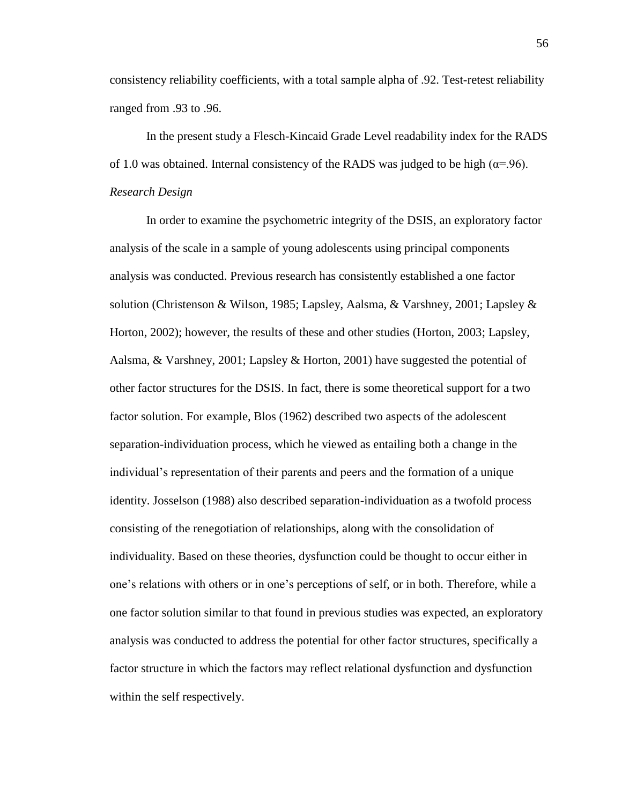consistency reliability coefficients, with a total sample alpha of .92. Test-retest reliability ranged from .93 to .96.

In the present study a Flesch-Kincaid Grade Level readability index for the RADS of 1.0 was obtained. Internal consistency of the RADS was judged to be high ( $\alpha$ =.96). *Research Design*

In order to examine the psychometric integrity of the DSIS, an exploratory factor analysis of the scale in a sample of young adolescents using principal components analysis was conducted. Previous research has consistently established a one factor solution (Christenson & Wilson, 1985; Lapsley, Aalsma, & Varshney, 2001; Lapsley & Horton, 2002); however, the results of these and other studies (Horton, 2003; Lapsley, Aalsma, & Varshney, 2001; Lapsley & Horton, 2001) have suggested the potential of other factor structures for the DSIS. In fact, there is some theoretical support for a two factor solution. For example, Blos (1962) described two aspects of the adolescent separation-individuation process, which he viewed as entailing both a change in the individual"s representation of their parents and peers and the formation of a unique identity. Josselson (1988) also described separation-individuation as a twofold process consisting of the renegotiation of relationships, along with the consolidation of individuality. Based on these theories, dysfunction could be thought to occur either in one"s relations with others or in one"s perceptions of self, or in both. Therefore, while a one factor solution similar to that found in previous studies was expected, an exploratory analysis was conducted to address the potential for other factor structures, specifically a factor structure in which the factors may reflect relational dysfunction and dysfunction within the self respectively.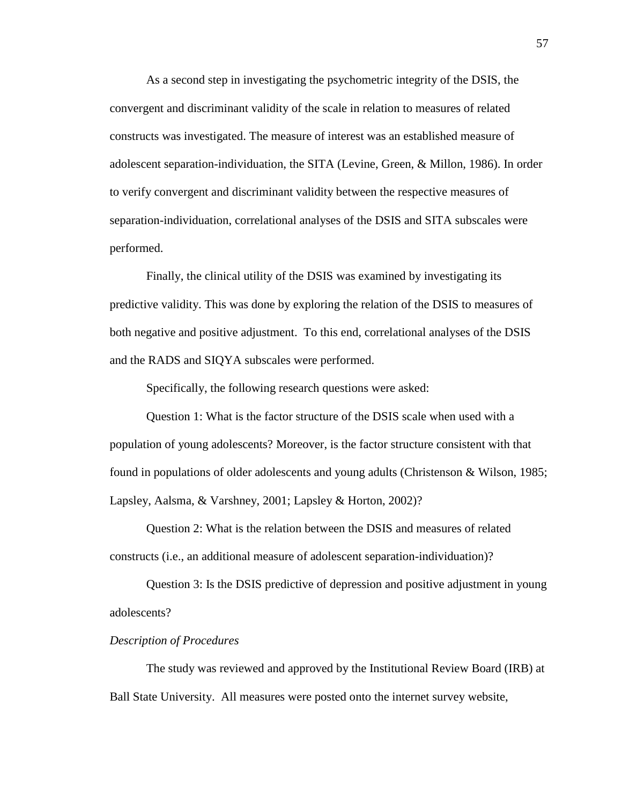As a second step in investigating the psychometric integrity of the DSIS, the convergent and discriminant validity of the scale in relation to measures of related constructs was investigated. The measure of interest was an established measure of adolescent separation-individuation, the SITA (Levine, Green, & Millon, 1986). In order to verify convergent and discriminant validity between the respective measures of separation-individuation, correlational analyses of the DSIS and SITA subscales were performed.

Finally, the clinical utility of the DSIS was examined by investigating its predictive validity. This was done by exploring the relation of the DSIS to measures of both negative and positive adjustment. To this end, correlational analyses of the DSIS and the RADS and SIQYA subscales were performed.

Specifically, the following research questions were asked:

Question 1: What is the factor structure of the DSIS scale when used with a population of young adolescents? Moreover, is the factor structure consistent with that found in populations of older adolescents and young adults (Christenson & Wilson, 1985; Lapsley, Aalsma, & Varshney, 2001; Lapsley & Horton, 2002)?

Question 2: What is the relation between the DSIS and measures of related constructs (i.e., an additional measure of adolescent separation-individuation)?

Question 3: Is the DSIS predictive of depression and positive adjustment in young adolescents?

### *Description of Procedures*

The study was reviewed and approved by the Institutional Review Board (IRB) at Ball State University. All measures were posted onto the internet survey website,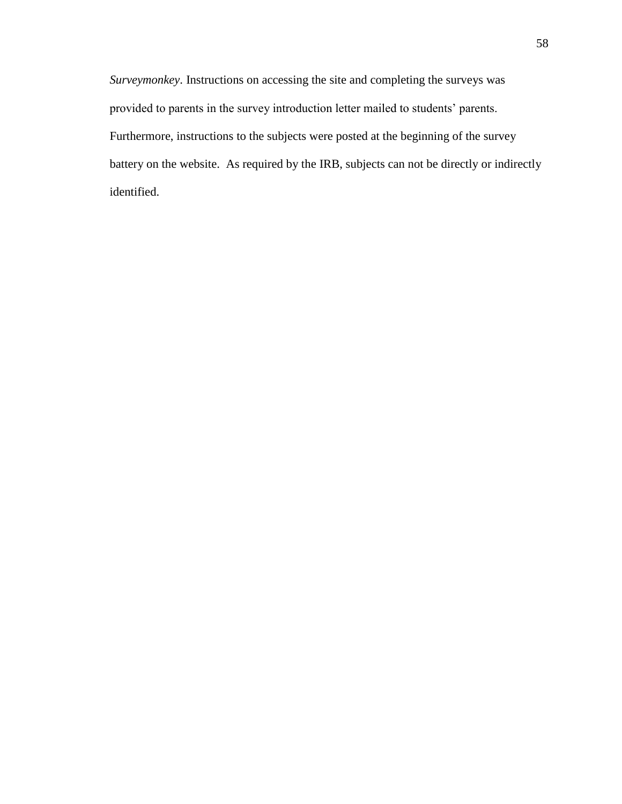*Surveymonkey*. Instructions on accessing the site and completing the surveys was provided to parents in the survey introduction letter mailed to students" parents. Furthermore, instructions to the subjects were posted at the beginning of the survey battery on the website. As required by the IRB, subjects can not be directly or indirectly identified.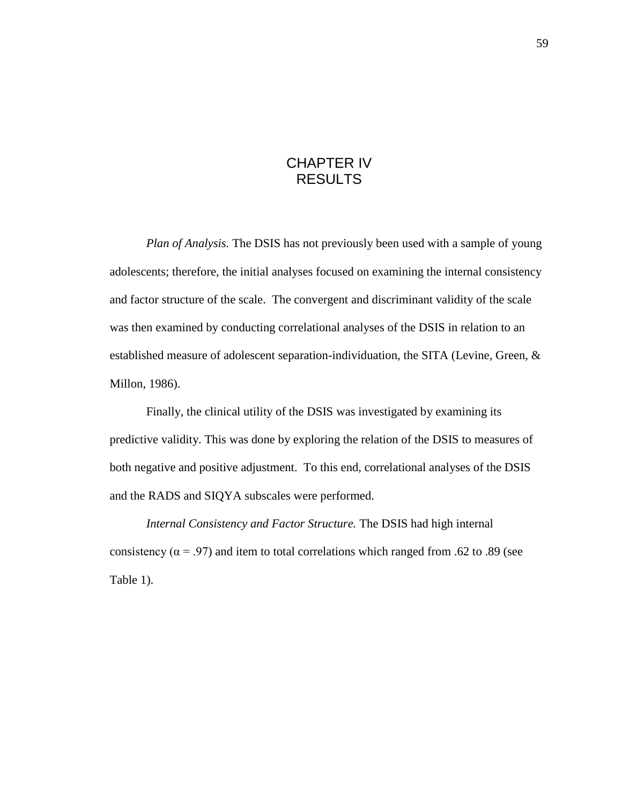# CHAPTER IV RESULTS

*Plan of Analysis.* The DSIS has not previously been used with a sample of young adolescents; therefore, the initial analyses focused on examining the internal consistency and factor structure of the scale. The convergent and discriminant validity of the scale was then examined by conducting correlational analyses of the DSIS in relation to an established measure of adolescent separation-individuation, the SITA (Levine, Green, & Millon, 1986).

Finally, the clinical utility of the DSIS was investigated by examining its predictive validity. This was done by exploring the relation of the DSIS to measures of both negative and positive adjustment. To this end, correlational analyses of the DSIS and the RADS and SIQYA subscales were performed.

*Internal Consistency and Factor Structure.* The DSIS had high internal consistency ( $\alpha$  = .97) and item to total correlations which ranged from .62 to .89 (see Table 1).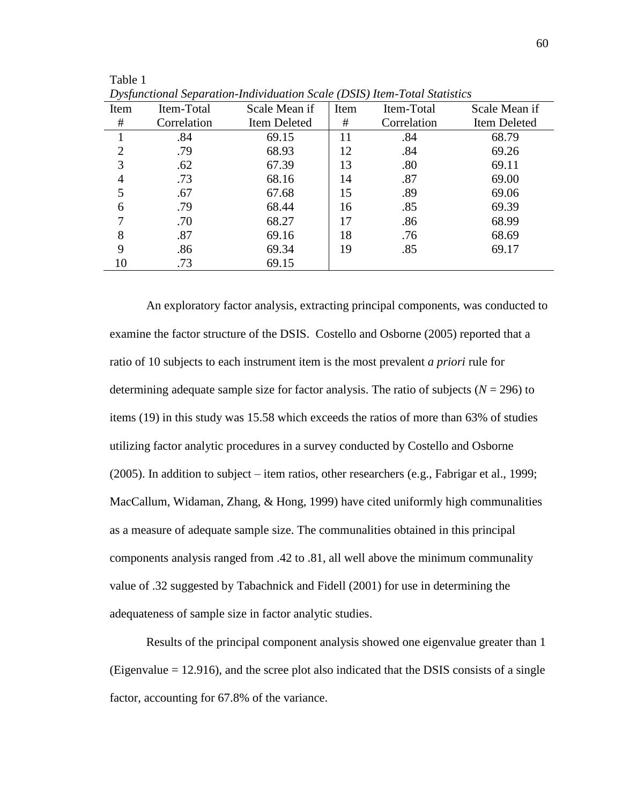|                | D Spanchonal Separation matriamulon Seate (DSIS) Hem Toldi Shahshes |               |      |             |               |  |
|----------------|---------------------------------------------------------------------|---------------|------|-------------|---------------|--|
| Item           | Item-Total                                                          | Scale Mean if | Item | Item-Total  | Scale Mean if |  |
| #              | Correlation                                                         | Item Deleted  | #    | Correlation | Item Deleted  |  |
|                | .84                                                                 | 69.15         | 11   | .84         | 68.79         |  |
| $\overline{2}$ | .79                                                                 | 68.93         | 12   | .84         | 69.26         |  |
| 3              | .62                                                                 | 67.39         | 13   | .80         | 69.11         |  |
| 4              | .73                                                                 | 68.16         | 14   | .87         | 69.00         |  |
| 5              | .67                                                                 | 67.68         | 15   | .89         | 69.06         |  |
| 6              | .79                                                                 | 68.44         | 16   | .85         | 69.39         |  |
| 7              | .70                                                                 | 68.27         | 17   | .86         | 68.99         |  |
| 8              | .87                                                                 | 69.16         | 18   | .76         | 68.69         |  |
| 9              | .86                                                                 | 69.34         | 19   | .85         | 69.17         |  |
| 10             | .73                                                                 | 69.15         |      |             |               |  |

*Dysfunctional Separation-Individuation Scale (DSIS) Item-Total Statistics*

Table 1

An exploratory factor analysis, extracting principal components, was conducted to examine the factor structure of the DSIS. Costello and Osborne (2005) reported that a ratio of 10 subjects to each instrument item is the most prevalent *a priori* rule for determining adequate sample size for factor analysis. The ratio of subjects  $(N = 296)$  to items (19) in this study was 15.58 which exceeds the ratios of more than 63% of studies utilizing factor analytic procedures in a survey conducted by Costello and Osborne (2005). In addition to subject – item ratios, other researchers (e.g., Fabrigar et al., 1999; MacCallum, Widaman, Zhang, & Hong, 1999) have cited uniformly high communalities as a measure of adequate sample size. The communalities obtained in this principal components analysis ranged from .42 to .81, all well above the minimum communality value of .32 suggested by Tabachnick and Fidell (2001) for use in determining the adequateness of sample size in factor analytic studies.

Results of the principal component analysis showed one eigenvalue greater than 1 (Eigenvalue = 12.916), and the scree plot also indicated that the DSIS consists of a single factor, accounting for 67.8% of the variance.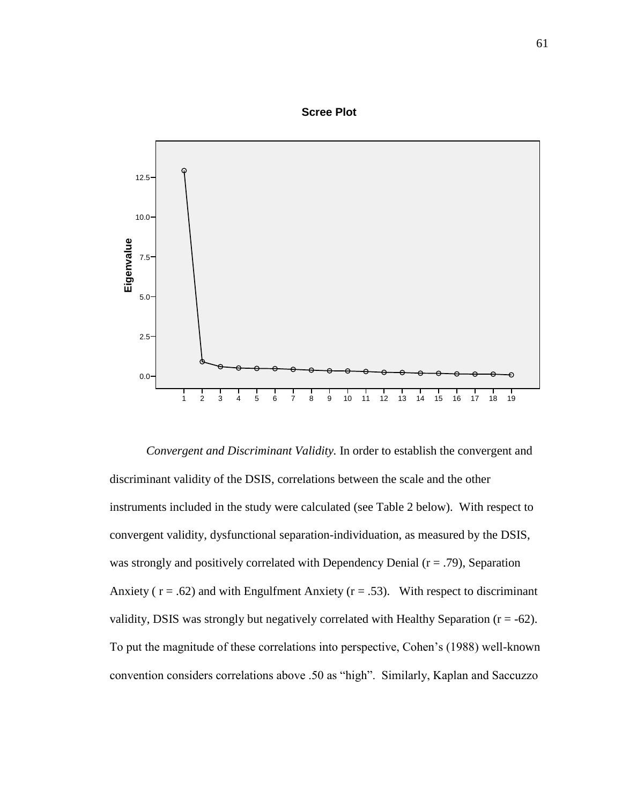

*Convergent and Discriminant Validity.* In order to establish the convergent and discriminant validity of the DSIS, correlations between the scale and the other instruments included in the study were calculated (see Table 2 below). With respect to convergent validity, dysfunctional separation-individuation, as measured by the DSIS, was strongly and positively correlated with Dependency Denial ( $r = .79$ ), Separation Anxiety ( $r = .62$ ) and with Engulfment Anxiety ( $r = .53$ ). With respect to discriminant validity, DSIS was strongly but negatively correlated with Healthy Separation ( $r = -62$ ). To put the magnitude of these correlations into perspective, Cohen"s (1988) well-known convention considers correlations above .50 as "high". Similarly, Kaplan and Saccuzzo

### **Scree Plot**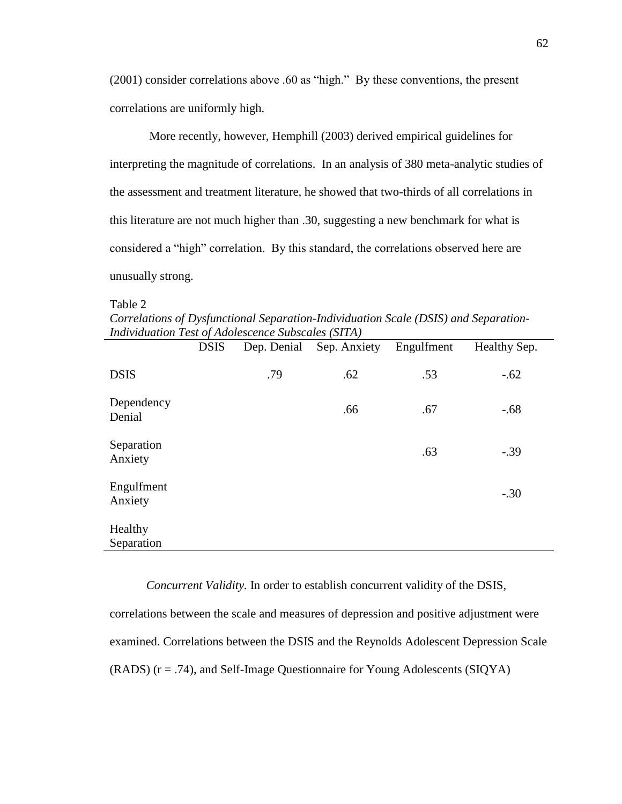(2001) consider correlations above .60 as "high." By these conventions, the present correlations are uniformly high.

More recently, however, Hemphill (2003) derived empirical guidelines for interpreting the magnitude of correlations. In an analysis of 380 meta-analytic studies of the assessment and treatment literature, he showed that two-thirds of all correlations in this literature are not much higher than .30, suggesting a new benchmark for what is considered a "high" correlation. By this standard, the correlations observed here are unusually strong.

Table 2

*Correlations of Dysfunctional Separation-Individuation Scale (DSIS) and Separation-Individuation Test of Adolescence Subscales (SITA)*

|                       | <b>DSIS</b> | Dep. Denial | Sep. Anxiety | Engulfment | Healthy Sep. |
|-----------------------|-------------|-------------|--------------|------------|--------------|
| <b>DSIS</b>           |             | .79         | .62          | .53        | $-.62$       |
| Dependency<br>Denial  |             |             | .66          | .67        | $-.68$       |
| Separation<br>Anxiety |             |             |              | .63        | $-.39$       |
| Engulfment<br>Anxiety |             |             |              |            | $-.30$       |
| Healthy<br>Separation |             |             |              |            |              |

*Concurrent Validity.* In order to establish concurrent validity of the DSIS, correlations between the scale and measures of depression and positive adjustment were examined. Correlations between the DSIS and the Reynolds Adolescent Depression Scale (RADS) (r = .74), and Self-Image Questionnaire for Young Adolescents (SIQYA)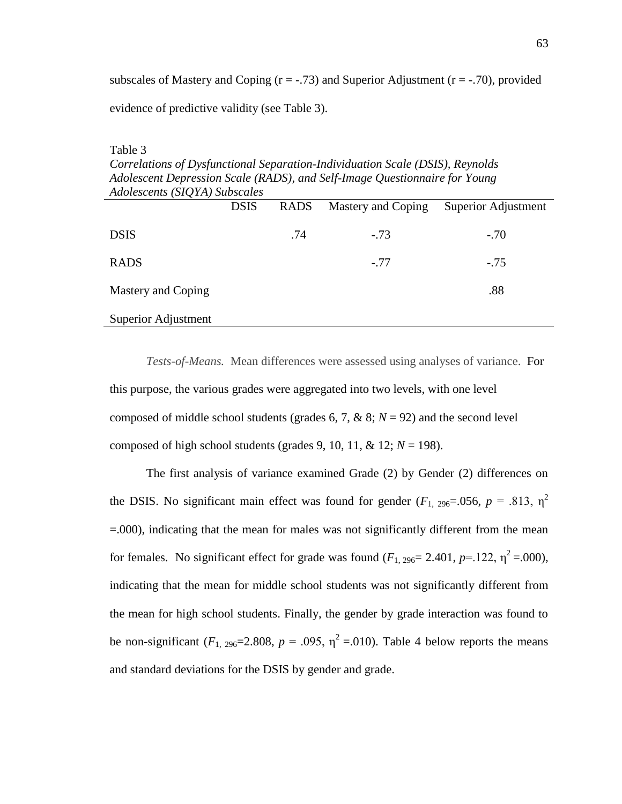subscales of Mastery and Coping  $(r = -.73)$  and Superior Adjustment  $(r = -.70)$ , provided evidence of predictive validity (see Table 3).

#### Table 3

*Correlations of Dysfunctional Separation-Individuation Scale (DSIS), Reynolds Adolescent Depression Scale (RADS), and Self-Image Questionnaire for Young Adolescents (SIQYA) Subscales*

|                     | <b>DSIS</b> | <b>RADS</b> | Mastery and Coping | Superior Adjustment |
|---------------------|-------------|-------------|--------------------|---------------------|
| <b>DSIS</b>         |             | .74         | $-.73$             | $-.70$              |
| <b>RADS</b>         |             |             | $-.77$             | $-.75$              |
| Mastery and Coping  |             |             |                    | .88                 |
| Superior Adjustment |             |             |                    |                     |

*Tests-of-Means.* Mean differences were assessed using analyses of variance. For this purpose, the various grades were aggregated into two levels, with one level composed of middle school students (grades 6, 7, & 8; *N* = 92) and the second level composed of high school students (grades 9, 10, 11,  $\&$  12;  $N = 198$ ).

The first analysis of variance examined Grade (2) by Gender (2) differences on the DSIS. No significant main effect was found for gender ( $F_{1, 296}$ =.056,  $p = .813$ ,  $\eta^2$ ) =.000), indicating that the mean for males was not significantly different from the mean for females. No significant effect for grade was found  $(F_{1, 296} = 2.401, p=122, \eta^2 = .000)$ , indicating that the mean for middle school students was not significantly different from the mean for high school students. Finally, the gender by grade interaction was found to be non-significant  $(F_1, 296=2.808, p = .095, \eta^2 = .010)$ . Table 4 below reports the means and standard deviations for the DSIS by gender and grade.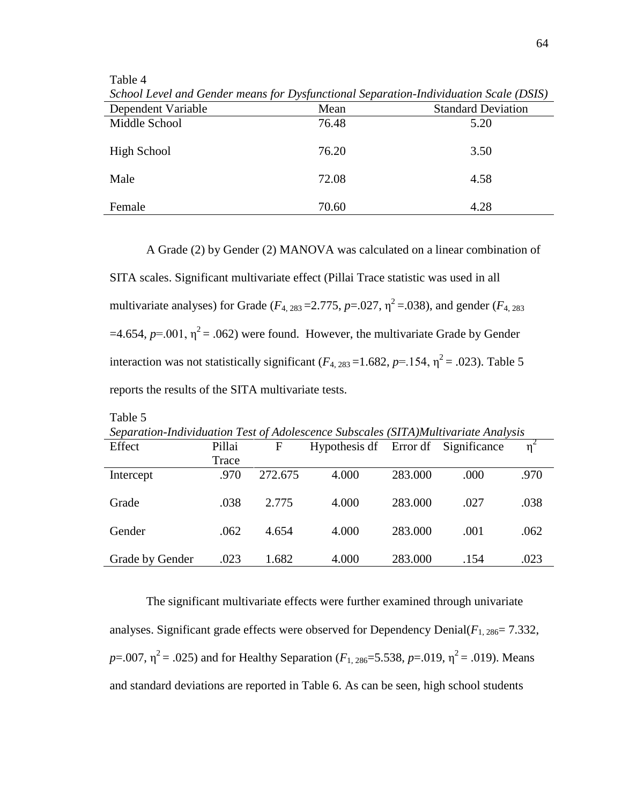Table 4

Table 5

| school Level and Genaer means for Dysfunctional separation-matrianum scale (DSD) |       |                           |
|----------------------------------------------------------------------------------|-------|---------------------------|
| Dependent Variable                                                               | Mean  | <b>Standard Deviation</b> |
| Middle School                                                                    | 76.48 | 5.20                      |
| High School                                                                      | 76.20 | 3.50                      |
|                                                                                  |       |                           |
| Male                                                                             | 72.08 | 4.58                      |
| Female                                                                           | 70.60 | 4.28                      |

*School Level and Gender means for Dysfunctional Separation-Individuation Scale (DSIS)*

A Grade (2) by Gender (2) MANOVA was calculated on a linear combination of

SITA scales. Significant multivariate effect (Pillai Trace statistic was used in all multivariate analyses) for Grade ( $F_{4, 283}$  = 2.775,  $p$  = .027,  $\eta^2$  = .038), and gender ( $F_{4, 283}$ )  $=4.654$ ,  $p=0.01$ ,  $\eta^2 = 0.062$ ) were found. However, the multivariate Grade by Gender interaction was not statistically significant ( $F_{4, 283}$ =1.682,  $p$ =.154,  $\eta^2$  = .023). Table 5 reports the results of the SITA multivariate tests.

| Separation-Individuation Test of Adolescence Subscales (SITA)Multivariate Analysis |        |         |               |         |                       |      |
|------------------------------------------------------------------------------------|--------|---------|---------------|---------|-----------------------|------|
| Effect                                                                             | Pillai | F       | Hypothesis df |         | Error df Significance | 'n   |
|                                                                                    | Trace  |         |               |         |                       |      |
| Intercept                                                                          | .970   | 272.675 | 4.000         | 283.000 | .000                  | .970 |
|                                                                                    |        |         |               |         |                       |      |
| Grade                                                                              | .038   | 2.775   | 4.000         | 283.000 | .027                  | .038 |
|                                                                                    |        |         |               |         |                       |      |
| Gender                                                                             | .062   | 4.654   | 4.000         | 283.000 | .001                  | .062 |
|                                                                                    |        |         |               |         |                       |      |
| Grade by Gender                                                                    | .023   | 1.682   | 4.000         | 283.000 | .154                  | .023 |

The significant multivariate effects were further examined through univariate analyses. Significant grade effects were observed for Dependency Denial $(F_{1, 286} = 7.332,$ *p*=.007,  $\eta^2$  = .025) and for Healthy Separation (*F*<sub>1, 286</sub>=5.538, *p*=.019,  $\eta^2$  = .019). Means and standard deviations are reported in Table 6. As can be seen, high school students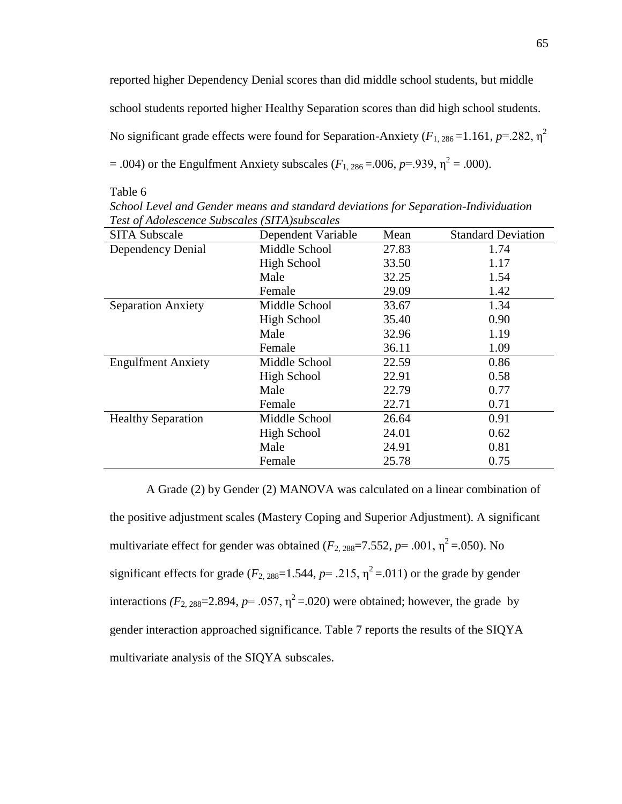reported higher Dependency Denial scores than did middle school students, but middle school students reported higher Healthy Separation scores than did high school students. No significant grade effects were found for Separation-Anxiety ( $F_{1, 286}$  =1.161,  $p$ =.282,  $\eta^2$ )  $= .004$ ) or the Engulfment Anxiety subscales ( $F_{1, 286} = .006$ ,  $p = .939$ ,  $\eta^2 = .000$ ).

Table 6

| <b>SITA Subscale</b>      | Dependent Variable | Mean  | <b>Standard Deviation</b> |
|---------------------------|--------------------|-------|---------------------------|
| Dependency Denial         | Middle School      | 27.83 | 1.74                      |
|                           | High School        | 33.50 | 1.17                      |
|                           | Male               | 32.25 | 1.54                      |
|                           | Female             | 29.09 | 1.42                      |
| <b>Separation Anxiety</b> | Middle School      | 33.67 | 1.34                      |
|                           | High School        | 35.40 | 0.90                      |
|                           | Male               | 32.96 | 1.19                      |
|                           | Female             | 36.11 | 1.09                      |
| <b>Engulfment Anxiety</b> | Middle School      | 22.59 | 0.86                      |
|                           | High School        | 22.91 | 0.58                      |
|                           | Male               | 22.79 | 0.77                      |
|                           | Female             | 22.71 | 0.71                      |
| <b>Healthy Separation</b> | Middle School      | 26.64 | 0.91                      |
|                           | High School        | 24.01 | 0.62                      |
|                           | Male               | 24.91 | 0.81                      |
|                           | Female             | 25.78 | 0.75                      |

*School Level and Gender means and standard deviations for Separation-Individuation Test of Adolescence Subscales (SITA)subscales*

A Grade (2) by Gender (2) MANOVA was calculated on a linear combination of the positive adjustment scales (Mastery Coping and Superior Adjustment). A significant multivariate effect for gender was obtained  $(F_{2, 288} = 7.552, p = .001, \eta^2 = .050)$ . No significant effects for grade ( $F_{2, 288}=1.544$ ,  $p= .215$ ,  $\eta^2 = .011$ ) or the grade by gender interactions  $(F_{2, 288}=2.894, p=.057, \eta^2=.020)$  were obtained; however, the grade by gender interaction approached significance. Table 7 reports the results of the SIQYA multivariate analysis of the SIQYA subscales.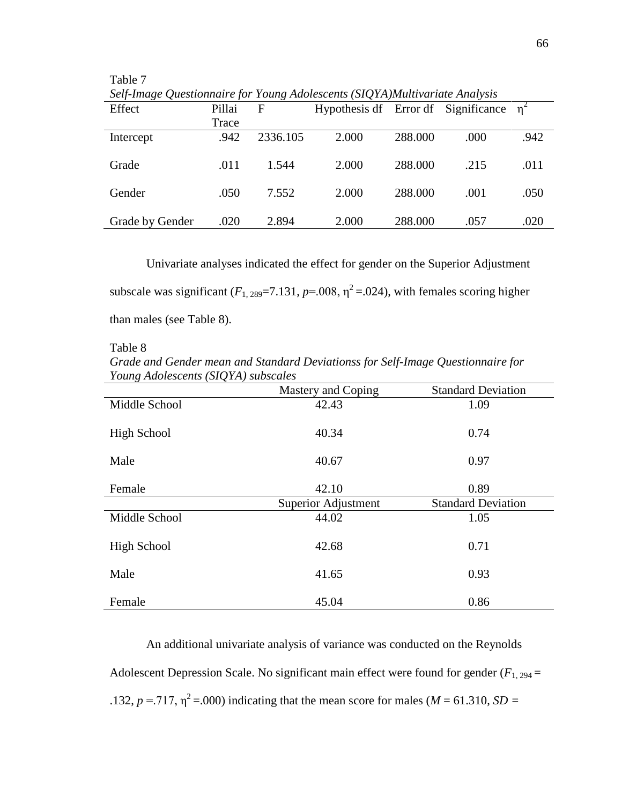| Self-Image Questionnaire for Young Adolescents (SIQYA)Multivariate Analysis |        |          |                                              |         |      |      |  |
|-----------------------------------------------------------------------------|--------|----------|----------------------------------------------|---------|------|------|--|
| Effect                                                                      | Pillai | F        | Hypothesis df Error df Significance $\eta^2$ |         |      |      |  |
|                                                                             | Trace  |          |                                              |         |      |      |  |
| Intercept                                                                   | .942   | 2336.105 | 2.000                                        | 288.000 | .000 | .942 |  |
| Grade                                                                       | .011   | 1.544    | 2.000                                        | 288.000 | .215 | .011 |  |
| Gender                                                                      | .050   | 7.552    | 2.000                                        | 288.000 | .001 | .050 |  |
| Grade by Gender                                                             | .020   | 2.894    | 2.000                                        | 288.000 | .057 | .020 |  |

Table 7 *Self-Image Questionnaire for Young Adolescents (SIQYA)Multivariate Analysis*

Univariate analyses indicated the effect for gender on the Superior Adjustment subscale was significant  $(F_{1, 289} = 7.131, p = .008, \eta^2 = .024)$ , with females scoring higher than males (see Table 8).

#### Table 8

*Grade and Gender mean and Standard Deviationss for Self-Image Questionnaire for Young Adolescents (SIQYA) subscales*

|               | Mastery and Coping  | <b>Standard Deviation</b> |
|---------------|---------------------|---------------------------|
| Middle School | 42.43               | 1.09                      |
| High School   | 40.34               | 0.74                      |
| Male          | 40.67               | 0.97                      |
| Female        | 42.10               | 0.89                      |
|               | Superior Adjustment | <b>Standard Deviation</b> |
| Middle School | 44.02               | 1.05                      |
| High School   | 42.68               | 0.71                      |
| Male          | 41.65               | 0.93                      |
| Female        | 45.04               | 0.86                      |

An additional univariate analysis of variance was conducted on the Reynolds Adolescent Depression Scale. No significant main effect were found for gender  $(F_{1, 294} =$ .132,  $p = 0.717$ ,  $\eta^2 = 0.000$ ) indicating that the mean score for males (*M* = 61.310, *SD* =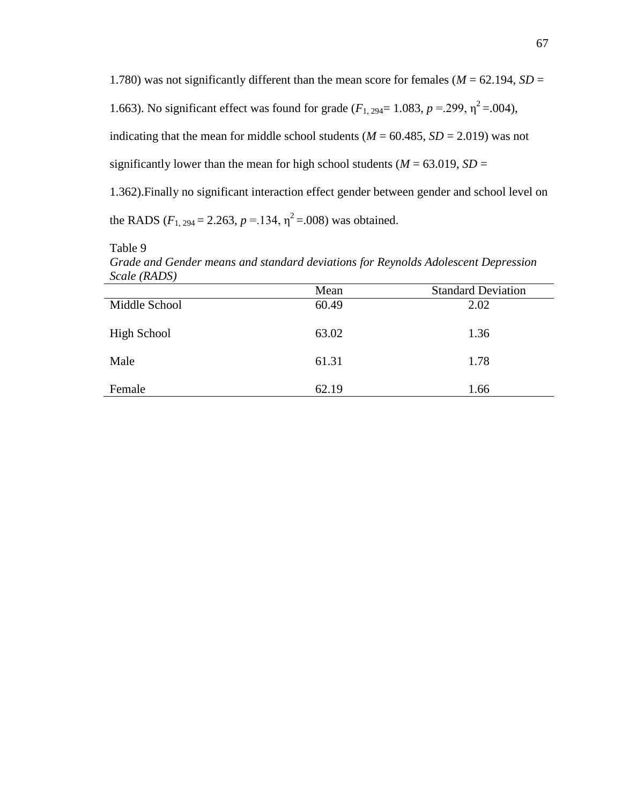1.780) was not significantly different than the mean score for females ( $M = 62.194$ ,  $SD =$ 1.663). No significant effect was found for grade  $(F_{1, 294} = 1.083, p = .299, \eta^2 = .004)$ , indicating that the mean for middle school students ( $M = 60.485$ ,  $SD = 2.019$ ) was not significantly lower than the mean for high school students ( $M = 63.019$ ,  $SD =$ 1.362).Finally no significant interaction effect gender between gender and school level on the RADS ( $F_{1, 294} = 2.263$ ,  $p = 134$ ,  $\eta^2 = .008$ ) was obtained.

Table 9

*Grade and Gender means and standard deviations for Reynolds Adolescent Depression Scale (RADS)*

|               | Mean  | <b>Standard Deviation</b> |
|---------------|-------|---------------------------|
| Middle School | 60.49 | 2.02                      |
| High School   | 63.02 | 1.36                      |
| Male          | 61.31 | 1.78                      |
| Female        | 62.19 | 1.66                      |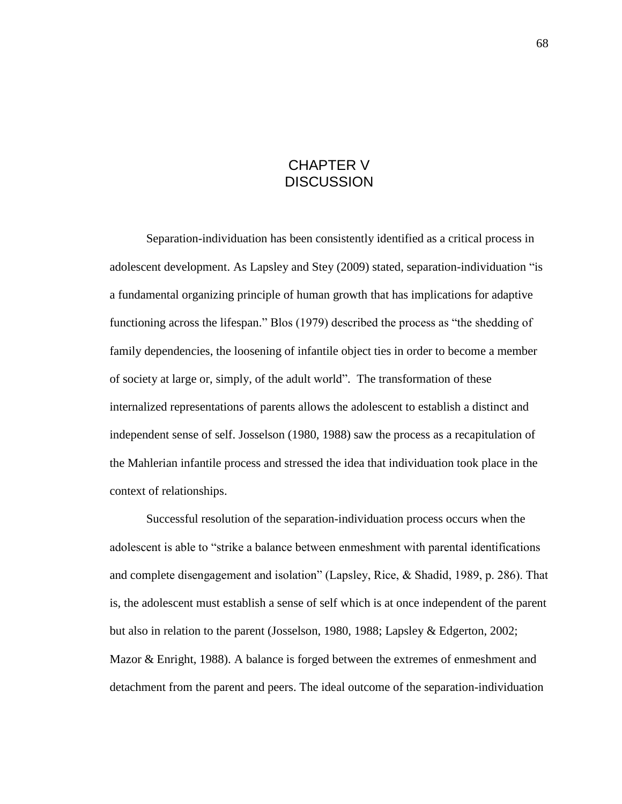# CHAPTER V **DISCUSSION**

Separation-individuation has been consistently identified as a critical process in adolescent development. As Lapsley and Stey (2009) stated, separation-individuation "is a fundamental organizing principle of human growth that has implications for adaptive functioning across the lifespan." Blos (1979) described the process as "the shedding of family dependencies, the loosening of infantile object ties in order to become a member of society at large or, simply, of the adult world". The transformation of these internalized representations of parents allows the adolescent to establish a distinct and independent sense of self. Josselson (1980, 1988) saw the process as a recapitulation of the Mahlerian infantile process and stressed the idea that individuation took place in the context of relationships.

Successful resolution of the separation-individuation process occurs when the adolescent is able to "strike a balance between enmeshment with parental identifications and complete disengagement and isolation" (Lapsley, Rice, & Shadid, 1989, p. 286). That is, the adolescent must establish a sense of self which is at once independent of the parent but also in relation to the parent (Josselson, 1980, 1988; Lapsley & Edgerton, 2002; Mazor & Enright, 1988). A balance is forged between the extremes of enmeshment and detachment from the parent and peers. The ideal outcome of the separation-individuation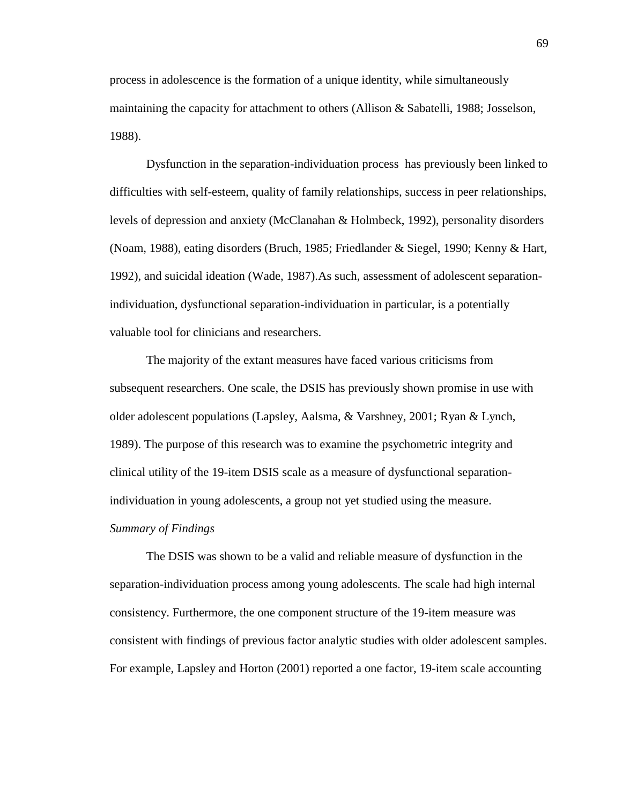process in adolescence is the formation of a unique identity, while simultaneously maintaining the capacity for attachment to others (Allison & Sabatelli, 1988; Josselson, 1988).

Dysfunction in the separation-individuation process has previously been linked to difficulties with self-esteem, quality of family relationships, success in peer relationships, levels of depression and anxiety (McClanahan & Holmbeck, 1992), personality disorders (Noam, 1988), eating disorders (Bruch, 1985; Friedlander & Siegel, 1990; Kenny & Hart, 1992), and suicidal ideation (Wade, 1987).As such, assessment of adolescent separationindividuation, dysfunctional separation-individuation in particular, is a potentially valuable tool for clinicians and researchers.

The majority of the extant measures have faced various criticisms from subsequent researchers. One scale, the DSIS has previously shown promise in use with older adolescent populations (Lapsley, Aalsma, & Varshney, 2001; Ryan & Lynch, 1989). The purpose of this research was to examine the psychometric integrity and clinical utility of the 19-item DSIS scale as a measure of dysfunctional separationindividuation in young adolescents, a group not yet studied using the measure. *Summary of Findings*

The DSIS was shown to be a valid and reliable measure of dysfunction in the separation-individuation process among young adolescents. The scale had high internal consistency. Furthermore, the one component structure of the 19-item measure was consistent with findings of previous factor analytic studies with older adolescent samples. For example, Lapsley and Horton (2001) reported a one factor, 19-item scale accounting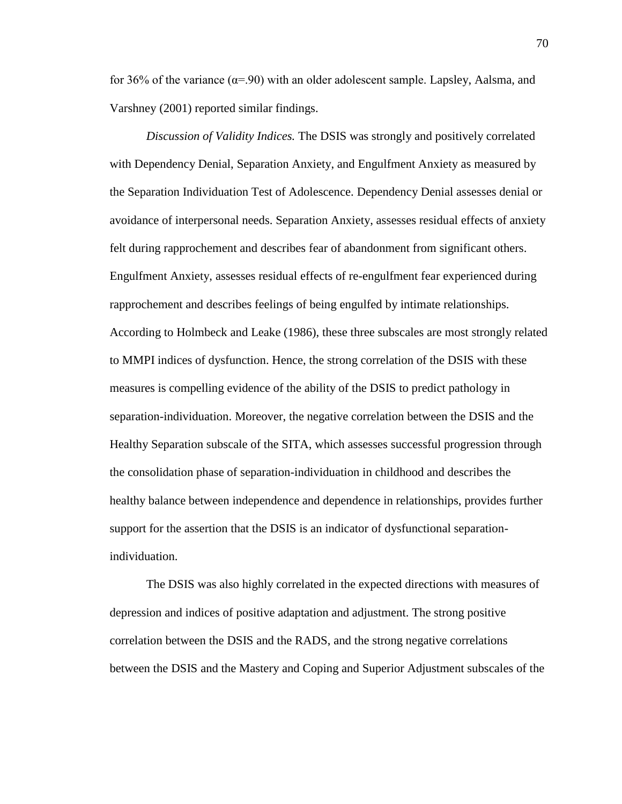for 36% of the variance  $(\alpha = 90)$  with an older adolescent sample. Lapsley, Aalsma, and Varshney (2001) reported similar findings.

*Discussion of Validity Indices.* The DSIS was strongly and positively correlated with Dependency Denial, Separation Anxiety, and Engulfment Anxiety as measured by the Separation Individuation Test of Adolescence. Dependency Denial assesses denial or avoidance of interpersonal needs. Separation Anxiety, assesses residual effects of anxiety felt during rapprochement and describes fear of abandonment from significant others. Engulfment Anxiety, assesses residual effects of re-engulfment fear experienced during rapprochement and describes feelings of being engulfed by intimate relationships. According to Holmbeck and Leake (1986), these three subscales are most strongly related to MMPI indices of dysfunction. Hence, the strong correlation of the DSIS with these measures is compelling evidence of the ability of the DSIS to predict pathology in separation-individuation. Moreover, the negative correlation between the DSIS and the Healthy Separation subscale of the SITA, which assesses successful progression through the consolidation phase of separation-individuation in childhood and describes the healthy balance between independence and dependence in relationships, provides further support for the assertion that the DSIS is an indicator of dysfunctional separationindividuation.

The DSIS was also highly correlated in the expected directions with measures of depression and indices of positive adaptation and adjustment. The strong positive correlation between the DSIS and the RADS, and the strong negative correlations between the DSIS and the Mastery and Coping and Superior Adjustment subscales of the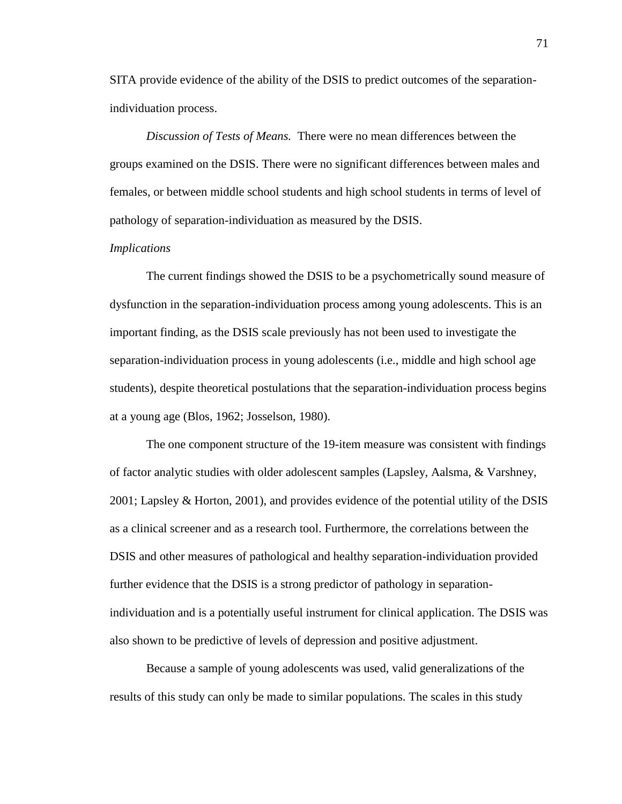SITA provide evidence of the ability of the DSIS to predict outcomes of the separationindividuation process.

*Discussion of Tests of Means.* There were no mean differences between the groups examined on the DSIS. There were no significant differences between males and females, or between middle school students and high school students in terms of level of pathology of separation-individuation as measured by the DSIS.

### *Implications*

The current findings showed the DSIS to be a psychometrically sound measure of dysfunction in the separation-individuation process among young adolescents. This is an important finding, as the DSIS scale previously has not been used to investigate the separation-individuation process in young adolescents (i.e., middle and high school age students), despite theoretical postulations that the separation-individuation process begins at a young age (Blos, 1962; Josselson, 1980).

The one component structure of the 19-item measure was consistent with findings of factor analytic studies with older adolescent samples (Lapsley, Aalsma, & Varshney, 2001; Lapsley & Horton, 2001), and provides evidence of the potential utility of the DSIS as a clinical screener and as a research tool. Furthermore, the correlations between the DSIS and other measures of pathological and healthy separation-individuation provided further evidence that the DSIS is a strong predictor of pathology in separationindividuation and is a potentially useful instrument for clinical application. The DSIS was also shown to be predictive of levels of depression and positive adjustment.

Because a sample of young adolescents was used, valid generalizations of the results of this study can only be made to similar populations. The scales in this study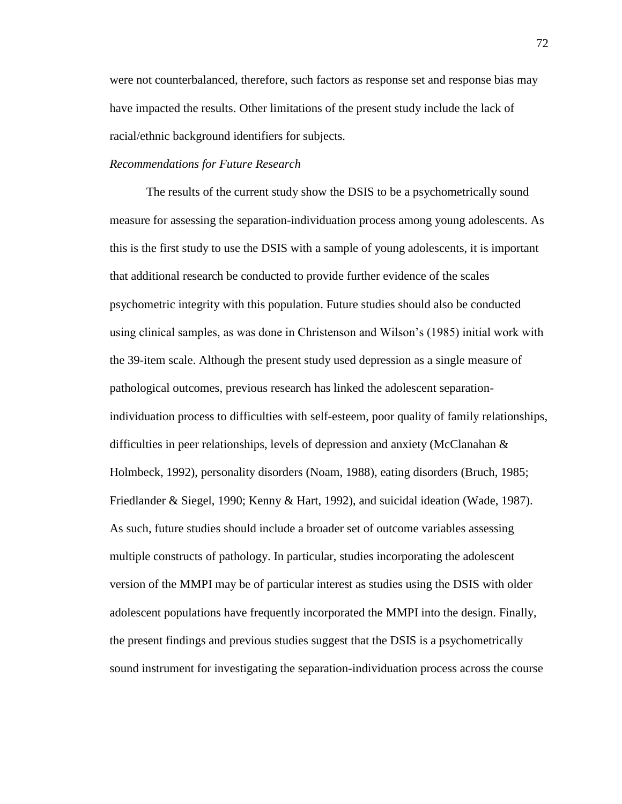were not counterbalanced, therefore, such factors as response set and response bias may have impacted the results. Other limitations of the present study include the lack of racial/ethnic background identifiers for subjects.

## *Recommendations for Future Research*

The results of the current study show the DSIS to be a psychometrically sound measure for assessing the separation-individuation process among young adolescents. As this is the first study to use the DSIS with a sample of young adolescents, it is important that additional research be conducted to provide further evidence of the scales psychometric integrity with this population. Future studies should also be conducted using clinical samples, as was done in Christenson and Wilson"s (1985) initial work with the 39-item scale. Although the present study used depression as a single measure of pathological outcomes, previous research has linked the adolescent separationindividuation process to difficulties with self-esteem, poor quality of family relationships, difficulties in peer relationships, levels of depression and anxiety (McClanahan & Holmbeck, 1992), personality disorders (Noam, 1988), eating disorders (Bruch, 1985; Friedlander & Siegel, 1990; Kenny & Hart, 1992), and suicidal ideation (Wade, 1987). As such, future studies should include a broader set of outcome variables assessing multiple constructs of pathology. In particular, studies incorporating the adolescent version of the MMPI may be of particular interest as studies using the DSIS with older adolescent populations have frequently incorporated the MMPI into the design. Finally, the present findings and previous studies suggest that the DSIS is a psychometrically sound instrument for investigating the separation-individuation process across the course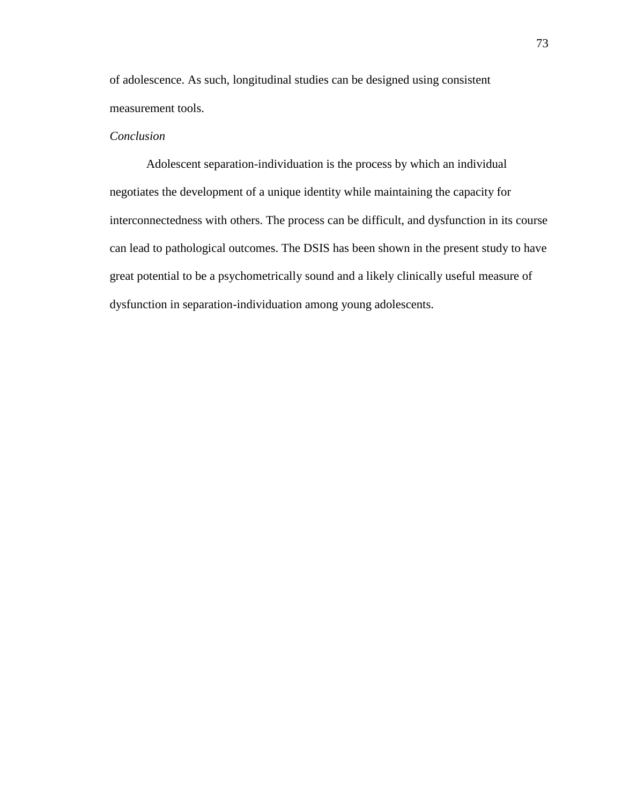of adolescence. As such, longitudinal studies can be designed using consistent measurement tools.

# *Conclusion*

Adolescent separation-individuation is the process by which an individual negotiates the development of a unique identity while maintaining the capacity for interconnectedness with others. The process can be difficult, and dysfunction in its course can lead to pathological outcomes. The DSIS has been shown in the present study to have great potential to be a psychometrically sound and a likely clinically useful measure of dysfunction in separation-individuation among young adolescents.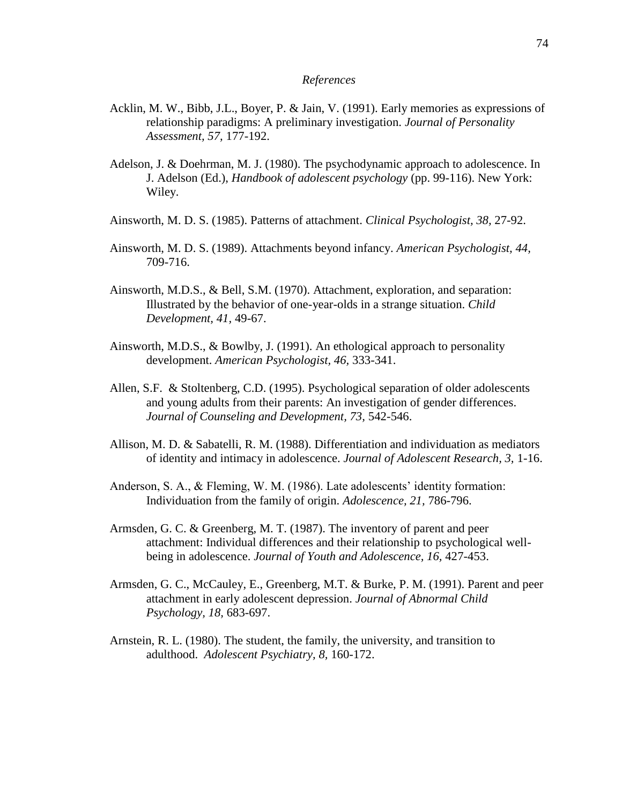## *References*

- Acklin, M. W., Bibb, J.L., Boyer, P. & Jain, V. (1991). Early memories as expressions of relationship paradigms: A preliminary investigation. *Journal of Personality Assessment, 57,* 177-192.
- Adelson, J. & Doehrman, M. J. (1980). The psychodynamic approach to adolescence. In J. Adelson (Ed.), *Handbook of adolescent psychology* (pp. 99-116). New York: Wiley.
- Ainsworth, M. D. S. (1985). Patterns of attachment. *Clinical Psychologist, 38,* 27-92.
- Ainsworth, M. D. S. (1989). Attachments beyond infancy. *American Psychologist, 44,* 709-716.
- Ainsworth, M.D.S., & Bell, S.M. (1970). Attachment, exploration, and separation: Illustrated by the behavior of one-year-olds in a strange situation. *Child Development, 41,* 49-67.
- Ainsworth, M.D.S., & Bowlby, J. (1991). An ethological approach to personality development. *American Psychologist, 46,* 333-341.
- Allen, S.F. & Stoltenberg, C.D. (1995). Psychological separation of older adolescents and young adults from their parents: An investigation of gender differences. *Journal of Counseling and Development, 73,* 542-546.
- Allison, M. D. & Sabatelli, R. M. (1988). Differentiation and individuation as mediators of identity and intimacy in adolescence. *Journal of Adolescent Research, 3,* 1-16.
- Anderson, S. A., & Fleming, W. M. (1986). Late adolescents' identity formation: Individuation from the family of origin. *Adolescence, 21,* 786-796.
- Armsden, G. C. & Greenberg, M. T. (1987). The inventory of parent and peer attachment: Individual differences and their relationship to psychological wellbeing in adolescence. *Journal of Youth and Adolescence, 16,* 427-453.
- Armsden, G. C., McCauley, E., Greenberg, M.T. & Burke, P. M. (1991). Parent and peer attachment in early adolescent depression. *Journal of Abnormal Child Psychology, 18,* 683-697.
- Arnstein, R. L. (1980). The student, the family, the university, and transition to adulthood. *Adolescent Psychiatry, 8,* 160-172.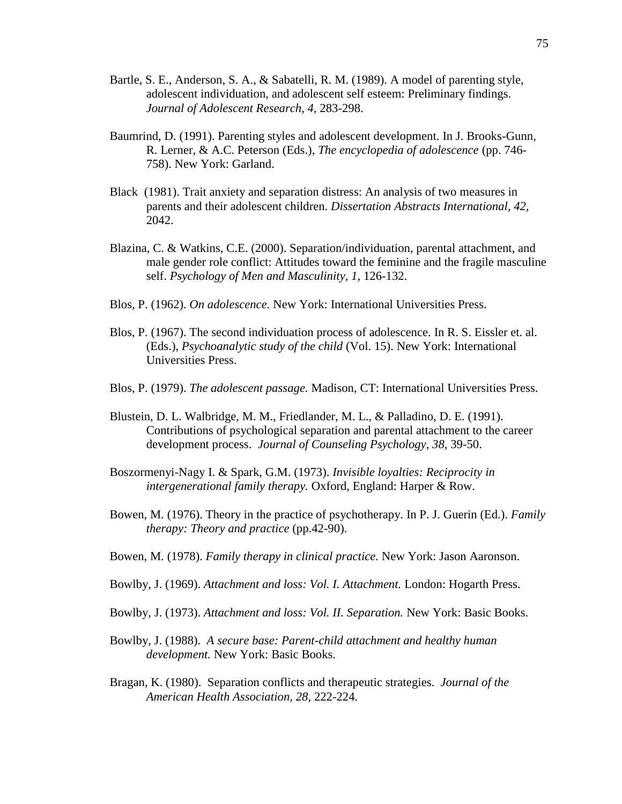- Bartle, S. E., Anderson, S. A., & Sabatelli, R. M. (1989). A model of parenting style, adolescent individuation, and adolescent self esteem: Preliminary findings. *Journal of Adolescent Research, 4,* 283-298.
- Baumrind, D. (1991). Parenting styles and adolescent development. In J. Brooks-Gunn, R. Lerner, & A.C. Peterson (Eds.), *The encyclopedia of adolescence* (pp. 746- 758). New York: Garland.
- Black (1981). Trait anxiety and separation distress: An analysis of two measures in parents and their adolescent children. *Dissertation Abstracts International, 42,* 2042.
- Blazina, C. & Watkins, C.E. (2000). Separation/individuation, parental attachment, and male gender role conflict: Attitudes toward the feminine and the fragile masculine self. *Psychology of Men and Masculinity, 1,* 126-132.
- Blos, P. (1962). *On adolescence.* New York: International Universities Press.
- Blos, P. (1967). The second individuation process of adolescence. In R. S. Eissler et. al. (Eds.), *Psychoanalytic study of the child* (Vol. 15). New York: International Universities Press.
- Blos, P. (1979). *The adolescent passage.* Madison, CT: International Universities Press.
- Blustein, D. L. Walbridge, M. M., Friedlander, M. L., & Palladino, D. E. (1991). Contributions of psychological separation and parental attachment to the career development process. *Journal of Counseling Psychology, 38,* 39-50.
- Boszormenyi-Nagy I. & Spark, G.M. (1973). *Invisible loyalties: Reciprocity in intergenerational family therapy.* Oxford, England: Harper & Row.
- Bowen, M. (1976). Theory in the practice of psychotherapy. In P. J. Guerin (Ed.). *Family therapy: Theory and practice* (pp.42-90).
- Bowen, M. (1978). *Family therapy in clinical practice.* New York: Jason Aaronson.
- Bowlby, J. (1969). *Attachment and loss: Vol. I. Attachment.* London: Hogarth Press.
- Bowlby, J. (1973). *Attachment and loss: Vol. II. Separation.* New York: Basic Books.
- Bowlby, J. (1988). *A secure base: Parent-child attachment and healthy human development.* New York: Basic Books.
- Bragan, K. (1980). Separation conflicts and therapeutic strategies. *Journal of the American Health Association, 28,* 222-224.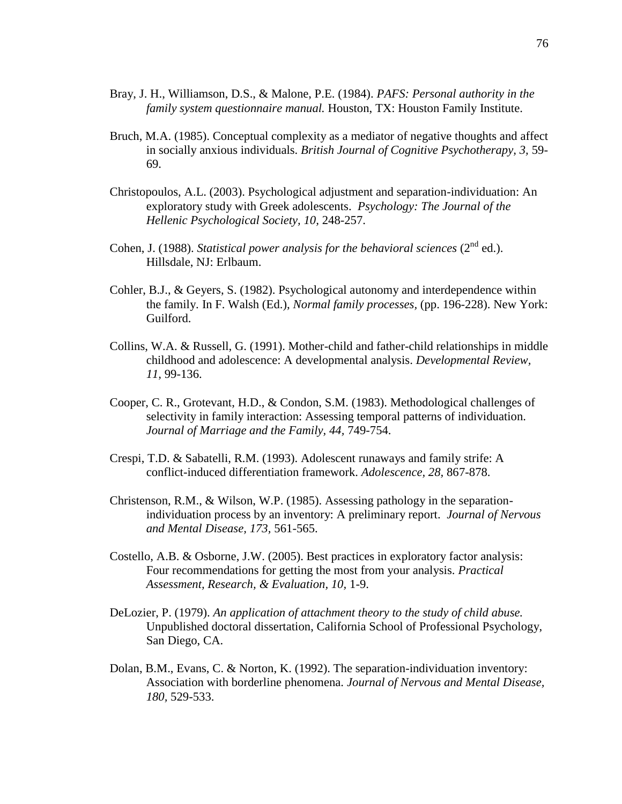- Bray, J. H., Williamson, D.S., & Malone, P.E. (1984). *PAFS: Personal authority in the family system questionnaire manual.* Houston, TX: Houston Family Institute.
- Bruch, M.A. (1985). Conceptual complexity as a mediator of negative thoughts and affect in socially anxious individuals. *British Journal of Cognitive Psychotherapy, 3,* 59- 69.
- Christopoulos, A.L. (2003). Psychological adjustment and separation-individuation: An exploratory study with Greek adolescents. *Psychology: The Journal of the Hellenic Psychological Society, 10,* 248-257.
- Cohen, J. (1988). *Statistical power analysis for the behavioral sciences* (2<sup>nd</sup> ed.). Hillsdale, NJ: Erlbaum.
- Cohler, B.J., & Geyers, S. (1982). Psychological autonomy and interdependence within the family. In F. Walsh (Ed.), *Normal family processes,* (pp. 196-228). New York: Guilford.
- Collins, W.A. & Russell, G. (1991). Mother-child and father-child relationships in middle childhood and adolescence: A developmental analysis. *Developmental Review, 11,* 99-136.
- Cooper, C. R., Grotevant, H.D., & Condon, S.M. (1983). Methodological challenges of selectivity in family interaction: Assessing temporal patterns of individuation. *Journal of Marriage and the Family, 44,* 749-754.
- Crespi, T.D. & Sabatelli, R.M. (1993). Adolescent runaways and family strife: A conflict-induced differentiation framework. *Adolescence, 28,* 867-878.
- Christenson, R.M., & Wilson, W.P. (1985). Assessing pathology in the separationindividuation process by an inventory: A preliminary report. *Journal of Nervous and Mental Disease, 173,* 561-565.
- Costello, A.B. & Osborne, J.W. (2005). Best practices in exploratory factor analysis: Four recommendations for getting the most from your analysis. *Practical Assessment, Research, & Evaluation, 10,* 1-9.
- DeLozier, P. (1979). *An application of attachment theory to the study of child abuse.* Unpublished doctoral dissertation, California School of Professional Psychology, San Diego, CA.
- Dolan, B.M., Evans, C. & Norton, K. (1992). The separation-individuation inventory: Association with borderline phenomena. *Journal of Nervous and Mental Disease, 180,* 529-533.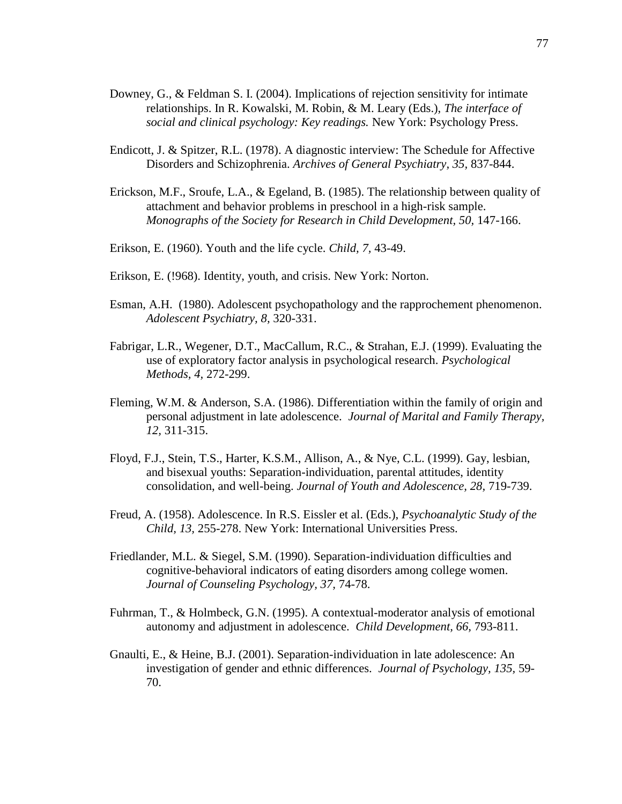- Downey, G., & Feldman S. I. (2004). Implications of rejection sensitivity for intimate relationships. In R. Kowalski, M. Robin, & M. Leary (Eds.), *The interface of social and clinical psychology: Key readings.* New York: Psychology Press.
- Endicott, J. & Spitzer, R.L. (1978). A diagnostic interview: The Schedule for Affective Disorders and Schizophrenia. *Archives of General Psychiatry, 35,* 837-844.
- Erickson, M.F., Sroufe, L.A., & Egeland, B. (1985). The relationship between quality of attachment and behavior problems in preschool in a high-risk sample. *Monographs of the Society for Research in Child Development, 50, 147-166.*
- Erikson, E. (1960). Youth and the life cycle. *Child, 7,* 43-49.
- Erikson, E. (!968). Identity, youth, and crisis. New York: Norton.
- Esman, A.H. (1980). Adolescent psychopathology and the rapprochement phenomenon. *Adolescent Psychiatry, 8,* 320-331.
- Fabrigar, L.R., Wegener, D.T., MacCallum, R.C., & Strahan, E.J. (1999). Evaluating the use of exploratory factor analysis in psychological research. *Psychological Methods, 4,* 272-299.
- Fleming, W.M. & Anderson, S.A. (1986). Differentiation within the family of origin and personal adjustment in late adolescence. *Journal of Marital and Family Therapy, 12,* 311-315.
- Floyd, F.J., Stein, T.S., Harter, K.S.M., Allison, A., & Nye, C.L. (1999). Gay, lesbian, and bisexual youths: Separation-individuation, parental attitudes, identity consolidation, and well-being. *Journal of Youth and Adolescence, 28,* 719-739.
- Freud, A. (1958). Adolescence. In R.S. Eissler et al. (Eds.), *Psychoanalytic Study of the Child, 13,* 255-278. New York: International Universities Press.
- Friedlander, M.L. & Siegel, S.M. (1990). Separation-individuation difficulties and cognitive-behavioral indicators of eating disorders among college women. *Journal of Counseling Psychology, 37,* 74-78.
- Fuhrman, T., & Holmbeck, G.N. (1995). A contextual-moderator analysis of emotional autonomy and adjustment in adolescence. *Child Development, 66,* 793-811.
- Gnaulti, E., & Heine, B.J. (2001). Separation-individuation in late adolescence: An investigation of gender and ethnic differences. *Journal of Psychology, 135,* 59- 70.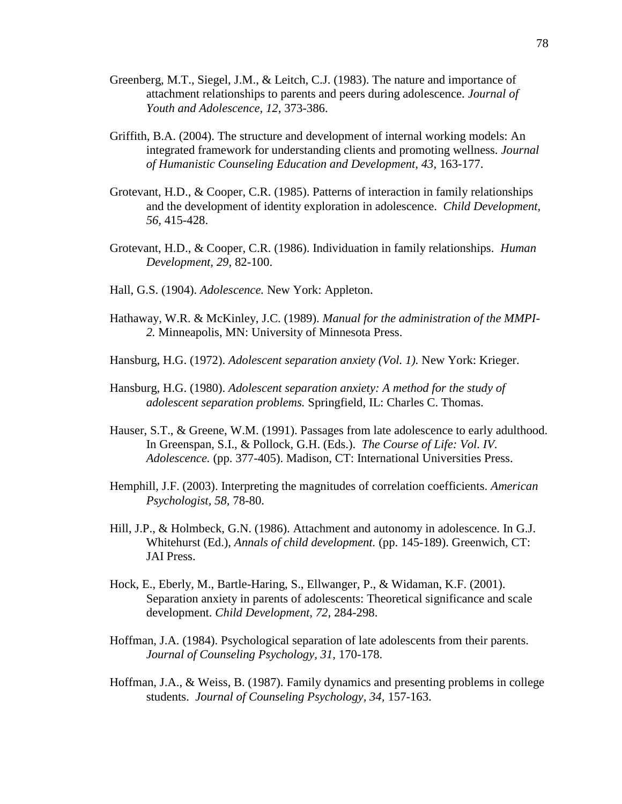- Greenberg, M.T., Siegel, J.M., & Leitch, C.J. (1983). The nature and importance of attachment relationships to parents and peers during adolescence. *Journal of Youth and Adolescence, 12,* 373-386.
- Griffith, B.A. (2004). The structure and development of internal working models: An integrated framework for understanding clients and promoting wellness. *Journal of Humanistic Counseling Education and Development, 43,* 163-177.
- Grotevant, H.D., & Cooper, C.R. (1985). Patterns of interaction in family relationships and the development of identity exploration in adolescence. *Child Development, 56,* 415-428.
- Grotevant, H.D., & Cooper, C.R. (1986). Individuation in family relationships. *Human Development, 29,* 82-100.
- Hall, G.S. (1904). *Adolescence.* New York: Appleton.
- Hathaway, W.R. & McKinley, J.C. (1989). *Manual for the administration of the MMPI-2.* Minneapolis, MN: University of Minnesota Press.
- Hansburg, H.G. (1972). *Adolescent separation anxiety (Vol. 1).* New York: Krieger.
- Hansburg, H.G. (1980). *Adolescent separation anxiety: A method for the study of adolescent separation problems.* Springfield, IL: Charles C. Thomas.
- Hauser, S.T., & Greene, W.M. (1991). Passages from late adolescence to early adulthood. In Greenspan, S.I., & Pollock, G.H. (Eds.). *The Course of Life: Vol. IV. Adolescence.* (pp. 377-405). Madison, CT: International Universities Press.
- Hemphill, J.F. (2003). Interpreting the magnitudes of correlation coefficients. *American Psychologist, 58,* 78-80.
- Hill, J.P., & Holmbeck, G.N. (1986). Attachment and autonomy in adolescence. In G.J. Whitehurst (Ed.), *Annals of child development.* (pp. 145-189). Greenwich, CT: JAI Press.
- Hock, E., Eberly, M., Bartle-Haring, S., Ellwanger, P., & Widaman, K.F. (2001). Separation anxiety in parents of adolescents: Theoretical significance and scale development. *Child Development, 72,* 284-298.
- Hoffman, J.A. (1984). Psychological separation of late adolescents from their parents. *Journal of Counseling Psychology, 31,* 170-178.
- Hoffman, J.A., & Weiss, B. (1987). Family dynamics and presenting problems in college students. *Journal of Counseling Psychology, 34,* 157-163.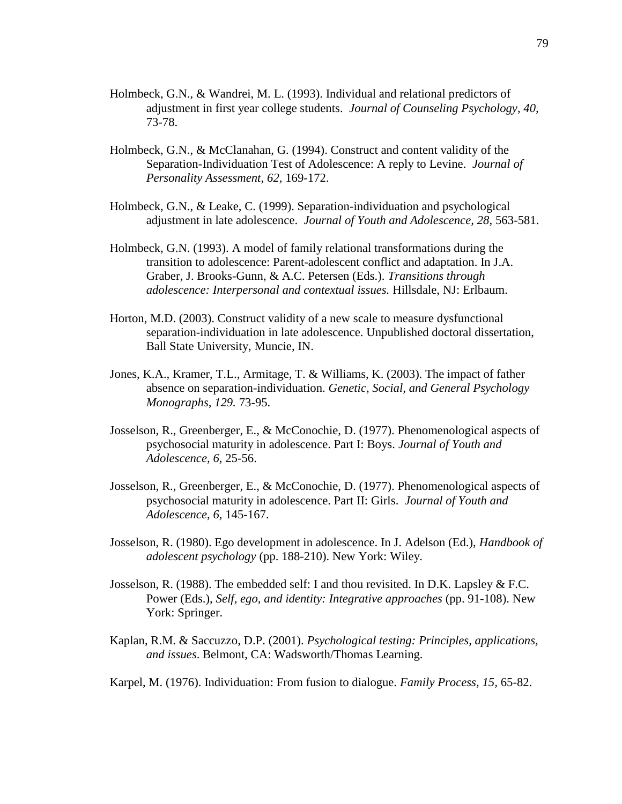- Holmbeck, G.N., & Wandrei, M. L. (1993). Individual and relational predictors of adjustment in first year college students. *Journal of Counseling Psychology, 40,* 73-78.
- Holmbeck, G.N., & McClanahan, G. (1994). Construct and content validity of the Separation-Individuation Test of Adolescence: A reply to Levine. *Journal of Personality Assessment, 62,* 169-172.
- Holmbeck, G.N., & Leake, C. (1999). Separation-individuation and psychological adjustment in late adolescence. *Journal of Youth and Adolescence, 28,* 563-581.
- Holmbeck, G.N. (1993). A model of family relational transformations during the transition to adolescence: Parent-adolescent conflict and adaptation. In J.A. Graber, J. Brooks-Gunn, & A.C. Petersen (Eds.). *Transitions through adolescence: Interpersonal and contextual issues.* Hillsdale, NJ: Erlbaum.
- Horton, M.D. (2003). Construct validity of a new scale to measure dysfunctional separation-individuation in late adolescence. Unpublished doctoral dissertation, Ball State University, Muncie, IN.
- Jones, K.A., Kramer, T.L., Armitage, T. & Williams, K. (2003). The impact of father absence on separation-individuation. *Genetic, Social, and General Psychology Monographs, 129.* 73-95.
- Josselson, R., Greenberger, E., & McConochie, D. (1977). Phenomenological aspects of psychosocial maturity in adolescence. Part I: Boys. *Journal of Youth and Adolescence, 6,* 25-56.
- Josselson, R., Greenberger, E., & McConochie, D. (1977). Phenomenological aspects of psychosocial maturity in adolescence. Part II: Girls. *Journal of Youth and Adolescence, 6,* 145-167.
- Josselson, R. (1980). Ego development in adolescence. In J. Adelson (Ed.), *Handbook of adolescent psychology* (pp. 188-210). New York: Wiley.
- Josselson, R. (1988). The embedded self: I and thou revisited. In D.K. Lapsley  $\&$  F.C. Power (Eds.), *Self, ego, and identity: Integrative approaches* (pp. 91-108). New York: Springer.
- Kaplan, R.M. & Saccuzzo, D.P. (2001). *Psychological testing: Principles, applications, and issues*. Belmont, CA: Wadsworth/Thomas Learning.
- Karpel, M. (1976). Individuation: From fusion to dialogue. *Family Process, 15,* 65-82.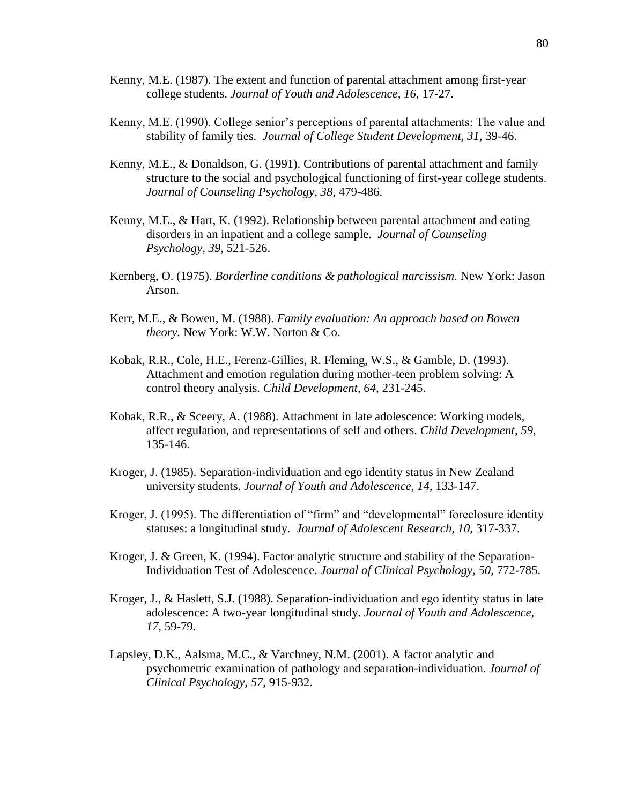- Kenny, M.E. (1987). The extent and function of parental attachment among first-year college students. *Journal of Youth and Adolescence, 16,* 17-27.
- Kenny, M.E. (1990). College senior's perceptions of parental attachments: The value and stability of family ties. *Journal of College Student Development, 31,* 39-46.
- Kenny, M.E., & Donaldson, G. (1991). Contributions of parental attachment and family structure to the social and psychological functioning of first-year college students. *Journal of Counseling Psychology, 38,* 479-486.
- Kenny, M.E., & Hart, K. (1992). Relationship between parental attachment and eating disorders in an inpatient and a college sample. *Journal of Counseling Psychology, 39,* 521-526.
- Kernberg, O. (1975). *Borderline conditions & pathological narcissism.* New York: Jason Arson.
- Kerr, M.E., & Bowen, M. (1988). *Family evaluation: An approach based on Bowen theory.* New York: W.W. Norton & Co.
- Kobak, R.R., Cole, H.E., Ferenz-Gillies, R. Fleming, W.S., & Gamble, D. (1993). Attachment and emotion regulation during mother-teen problem solving: A control theory analysis. *Child Development, 64,* 231-245.
- Kobak, R.R., & Sceery, A. (1988). Attachment in late adolescence: Working models, affect regulation, and representations of self and others. *Child Development, 59,*  135-146.
- Kroger, J. (1985). Separation-individuation and ego identity status in New Zealand university students. *Journal of Youth and Adolescence, 14,* 133-147.
- Kroger, J. (1995). The differentiation of "firm" and "developmental" foreclosure identity statuses: a longitudinal study. *Journal of Adolescent Research, 10,* 317-337.
- Kroger, J. & Green, K. (1994). Factor analytic structure and stability of the Separation-Individuation Test of Adolescence. *Journal of Clinical Psychology, 50,* 772-785.
- Kroger, J., & Haslett, S.J. (1988). Separation-individuation and ego identity status in late adolescence: A two-year longitudinal study. *Journal of Youth and Adolescence, 17,* 59-79.
- Lapsley, D.K., Aalsma, M.C., & Varchney, N.M. (2001). A factor analytic and psychometric examination of pathology and separation-individuation. *Journal of Clinical Psychology, 57,* 915-932.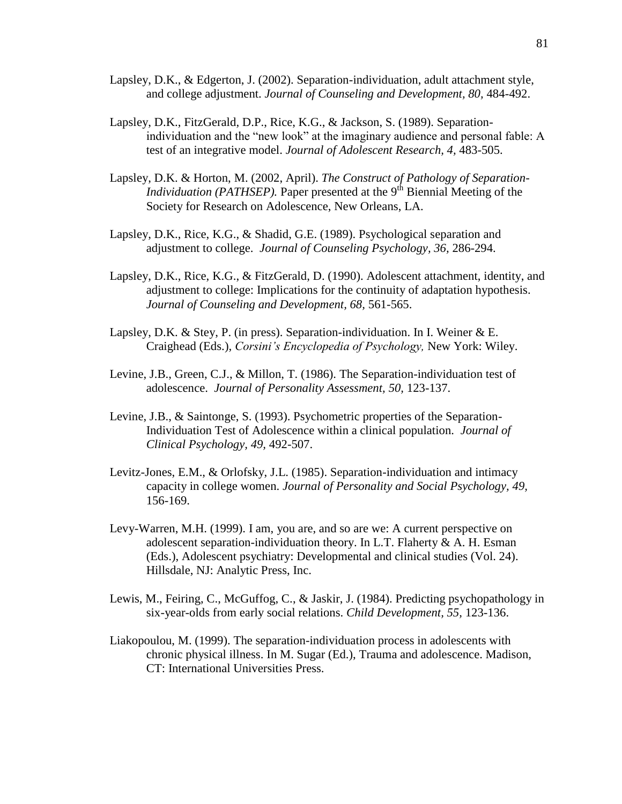- Lapsley, D.K., & Edgerton, J. (2002). Separation-individuation, adult attachment style, and college adjustment. *Journal of Counseling and Development, 80,* 484-492.
- Lapsley, D.K., FitzGerald, D.P., Rice, K.G., & Jackson, S. (1989). Separationindividuation and the "new look" at the imaginary audience and personal fable: A test of an integrative model. *Journal of Adolescent Research, 4,* 483-505.
- Lapsley, D.K. & Horton, M. (2002, April). *The Construct of Pathology of Separation-Individuation (PATHSEP)*. Paper presented at the 9<sup>th</sup> Biennial Meeting of the Society for Research on Adolescence, New Orleans, LA.
- Lapsley, D.K., Rice, K.G., & Shadid, G.E. (1989). Psychological separation and adjustment to college. *Journal of Counseling Psychology, 36,* 286-294.
- Lapsley, D.K., Rice, K.G., & FitzGerald, D. (1990). Adolescent attachment, identity, and adjustment to college: Implications for the continuity of adaptation hypothesis. *Journal of Counseling and Development, 68,* 561-565.
- Lapsley, D.K. & Stey, P. (in press). Separation-individuation. In I. Weiner & E. Craighead (Eds.), *Corsini's Encyclopedia of Psychology,* New York: Wiley.
- Levine, J.B., Green, C.J., & Millon, T. (1986). The Separation-individuation test of adolescence. *Journal of Personality Assessment, 50,* 123-137.
- Levine, J.B., & Saintonge, S. (1993). Psychometric properties of the Separation-Individuation Test of Adolescence within a clinical population. *Journal of Clinical Psychology, 49,* 492-507.
- Levitz-Jones, E.M., & Orlofsky, J.L. (1985). Separation-individuation and intimacy capacity in college women. *Journal of Personality and Social Psychology, 49,* 156-169.
- Levy-Warren, M.H. (1999). I am, you are, and so are we: A current perspective on adolescent separation-individuation theory. In L.T. Flaherty  $\& A$ . H. Esman (Eds.), Adolescent psychiatry: Developmental and clinical studies (Vol. 24). Hillsdale, NJ: Analytic Press, Inc.
- Lewis, M., Feiring, C., McGuffog, C., & Jaskir, J. (1984). Predicting psychopathology in six-year-olds from early social relations. *Child Development, 55,* 123-136.
- Liakopoulou, M. (1999). The separation-individuation process in adolescents with chronic physical illness. In M. Sugar (Ed.), Trauma and adolescence. Madison, CT: International Universities Press.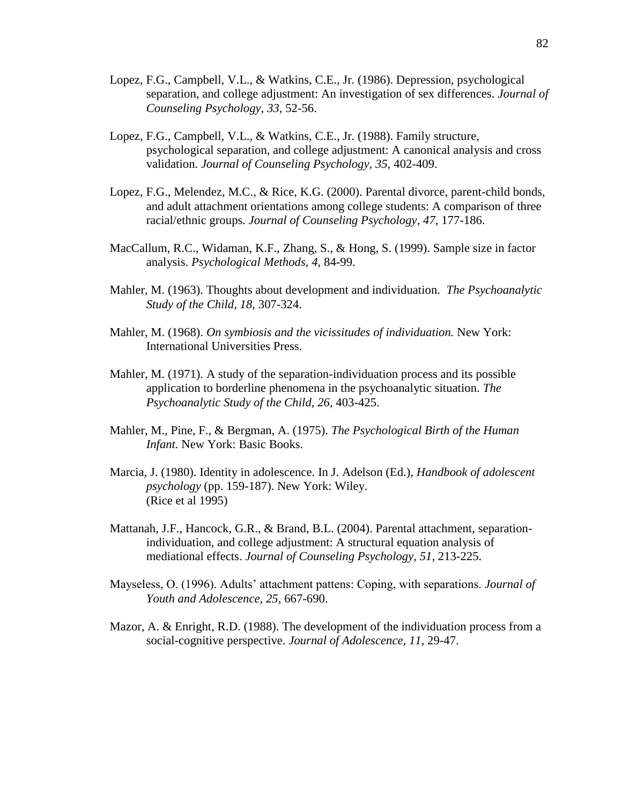- Lopez, F.G., Campbell, V.L., & Watkins, C.E., Jr. (1986). Depression, psychological separation, and college adjustment: An investigation of sex differences. *Journal of Counseling Psychology, 33,* 52-56.
- Lopez, F.G., Campbell, V.L., & Watkins, C.E., Jr. (1988). Family structure, psychological separation, and college adjustment: A canonical analysis and cross validation. *Journal of Counseling Psychology, 35,* 402-409.
- Lopez, F.G., Melendez, M.C., & Rice, K.G. (2000). Parental divorce, parent-child bonds, and adult attachment orientations among college students: A comparison of three racial/ethnic groups. *Journal of Counseling Psychology, 47,* 177-186.
- MacCallum, R.C., Widaman, K.F., Zhang, S., & Hong, S. (1999). Sample size in factor analysis. *Psychological Methods, 4,* 84-99.
- Mahler, M. (1963). Thoughts about development and individuation. *The Psychoanalytic Study of the Child, 18,* 307-324.
- Mahler, M. (1968). *On symbiosis and the vicissitudes of individuation.* New York: International Universities Press.
- Mahler, M. (1971). A study of the separation-individuation process and its possible application to borderline phenomena in the psychoanalytic situation. *The Psychoanalytic Study of the Child, 26,* 403-425.
- Mahler, M., Pine, F., & Bergman, A. (1975). *The Psychological Birth of the Human Infant.* New York: Basic Books.
- Marcia, J. (1980). Identity in adolescence. In J. Adelson (Ed.), *Handbook of adolescent psychology* (pp. 159-187). New York: Wiley. (Rice et al 1995)
- Mattanah, J.F., Hancock, G.R., & Brand, B.L. (2004). Parental attachment, separationindividuation, and college adjustment: A structural equation analysis of mediational effects. *Journal of Counseling Psychology, 51,* 213-225.
- Mayseless, O. (1996). Adults" attachment pattens: Coping, with separations. *Journal of Youth and Adolescence, 25,* 667-690.
- Mazor, A. & Enright, R.D. (1988). The development of the individuation process from a social-cognitive perspective. *Journal of Adolescence, 11,* 29-47.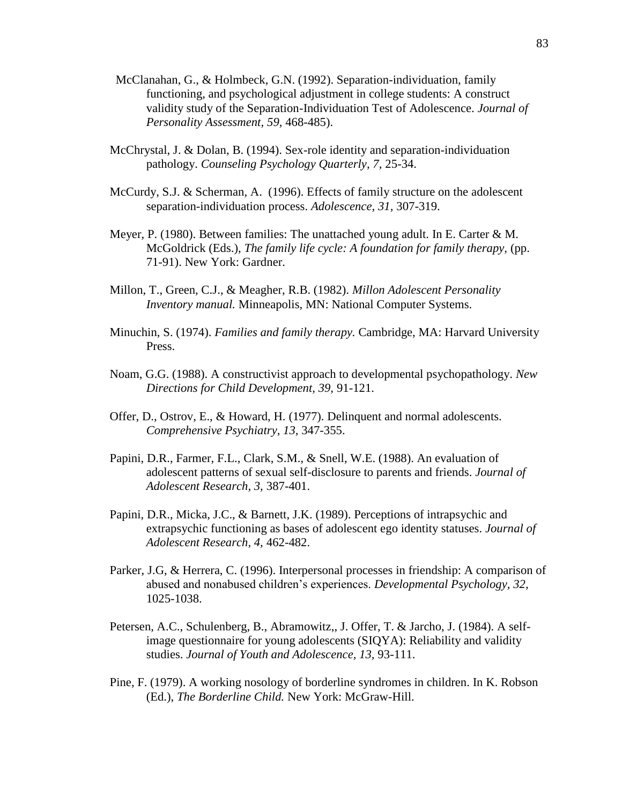- McClanahan, G., & Holmbeck, G.N. (1992). Separation-individuation, family functioning, and psychological adjustment in college students: A construct validity study of the Separation-Individuation Test of Adolescence. *Journal of Personality Assessment, 59,* 468-485).
- McChrystal, J. & Dolan, B. (1994). Sex-role identity and separation-individuation pathology. *Counseling Psychology Quarterly, 7,* 25-34.
- McCurdy, S.J. & Scherman, A. (1996). Effects of family structure on the adolescent separation-individuation process. *Adolescence, 31,* 307-319.
- Meyer, P. (1980). Between families: The unattached young adult. In E. Carter & M. McGoldrick (Eds.), *The family life cycle: A foundation for family therapy,* (pp. 71-91). New York: Gardner.
- Millon, T., Green, C.J., & Meagher, R.B. (1982). *Millon Adolescent Personality Inventory manual.* Minneapolis, MN: National Computer Systems.
- Minuchin, S. (1974). *Families and family therapy.* Cambridge, MA: Harvard University Press.
- Noam, G.G. (1988). A constructivist approach to developmental psychopathology. *New Directions for Child Development, 39,* 91-121.
- Offer, D., Ostrov, E., & Howard, H. (1977). Delinquent and normal adolescents. *Comprehensive Psychiatry, 13,* 347-355.
- Papini, D.R., Farmer, F.L., Clark, S.M., & Snell, W.E. (1988). An evaluation of adolescent patterns of sexual self-disclosure to parents and friends. *Journal of Adolescent Research, 3,* 387-401.
- Papini, D.R., Micka, J.C., & Barnett, J.K. (1989). Perceptions of intrapsychic and extrapsychic functioning as bases of adolescent ego identity statuses. *Journal of Adolescent Research, 4,* 462-482.
- Parker, J.G, & Herrera, C. (1996). Interpersonal processes in friendship: A comparison of abused and nonabused children"s experiences. *Developmental Psychology, 32,* 1025-1038.
- Petersen, A.C., Schulenberg, B., Abramowitz,, J. Offer, T. & Jarcho, J. (1984). A selfimage questionnaire for young adolescents (SIQYA): Reliability and validity studies. *Journal of Youth and Adolescence, 13,* 93-111.
- Pine, F. (1979). A working nosology of borderline syndromes in children. In K. Robson (Ed.), *The Borderline Child.* New York: McGraw-Hill.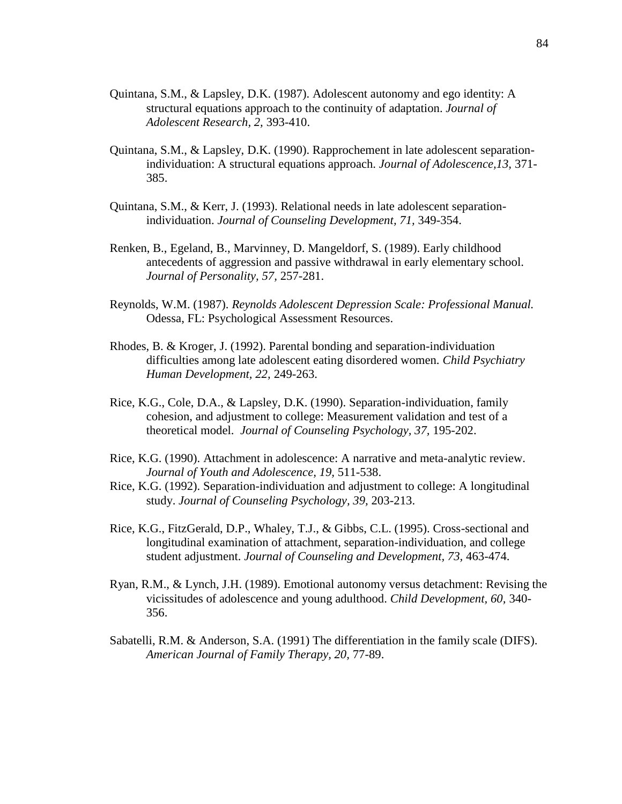- Quintana, S.M., & Lapsley, D.K. (1987). Adolescent autonomy and ego identity: A structural equations approach to the continuity of adaptation. *Journal of Adolescent Research, 2,* 393-410.
- Quintana, S.M., & Lapsley, D.K. (1990). Rapprochement in late adolescent separationindividuation: A structural equations approach. *Journal of Adolescence,13,* 371- 385.
- Quintana, S.M., & Kerr, J. (1993). Relational needs in late adolescent separationindividuation. *Journal of Counseling Development, 71,* 349-354.
- Renken, B., Egeland, B., Marvinney, D. Mangeldorf, S. (1989). Early childhood antecedents of aggression and passive withdrawal in early elementary school. *Journal of Personality, 57,* 257-281.
- Reynolds, W.M. (1987). *Reynolds Adolescent Depression Scale: Professional Manual.* Odessa, FL: Psychological Assessment Resources.
- Rhodes, B. & Kroger, J. (1992). Parental bonding and separation-individuation difficulties among late adolescent eating disordered women. *Child Psychiatry Human Development, 22,* 249-263.
- Rice, K.G., Cole, D.A., & Lapsley, D.K. (1990). Separation-individuation, family cohesion, and adjustment to college: Measurement validation and test of a theoretical model. *Journal of Counseling Psychology, 37,* 195-202.
- Rice, K.G. (1990). Attachment in adolescence: A narrative and meta-analytic review. *Journal of Youth and Adolescence, 19,* 511-538.
- Rice, K.G. (1992). Separation-individuation and adjustment to college: A longitudinal study. *Journal of Counseling Psychology, 39,* 203-213.
- Rice, K.G., FitzGerald, D.P., Whaley, T.J., & Gibbs, C.L. (1995). Cross-sectional and longitudinal examination of attachment, separation-individuation, and college student adjustment. *Journal of Counseling and Development, 73,* 463-474.
- Ryan, R.M., & Lynch, J.H. (1989). Emotional autonomy versus detachment: Revising the vicissitudes of adolescence and young adulthood. *Child Development, 60,* 340- 356.
- Sabatelli, R.M. & Anderson, S.A. (1991) The differentiation in the family scale (DIFS). *American Journal of Family Therapy, 20,* 77-89.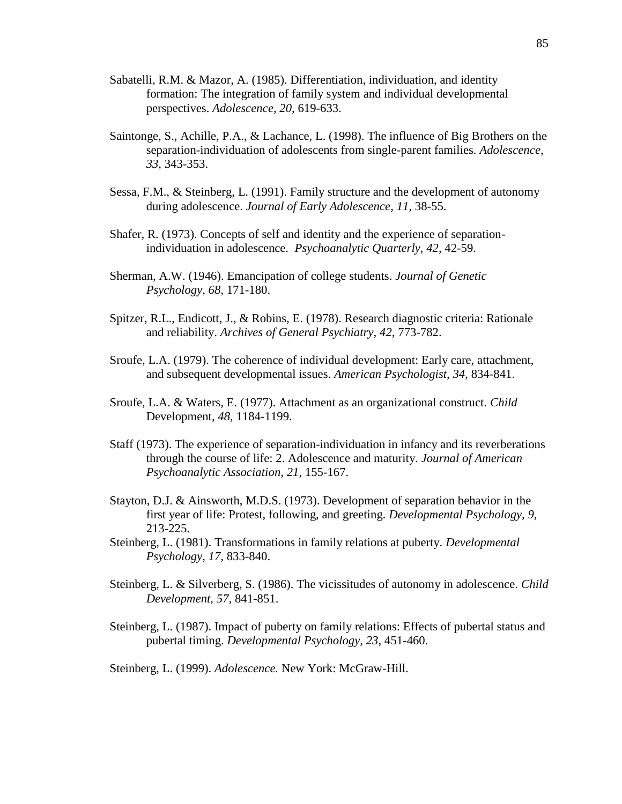- Sabatelli, R.M. & Mazor, A. (1985). Differentiation, individuation, and identity formation: The integration of family system and individual developmental perspectives. *Adolescence, 20,* 619-633.
- Saintonge, S., Achille, P.A., & Lachance, L. (1998). The influence of Big Brothers on the separation-individuation of adolescents from single-parent families. *Adolescence, 33,* 343-353.
- Sessa, F.M., & Steinberg, L. (1991). Family structure and the development of autonomy during adolescence. *Journal of Early Adolescence, 11,* 38-55.
- Shafer, R. (1973). Concepts of self and identity and the experience of separationindividuation in adolescence. *Psychoanalytic Quarterly, 42,* 42-59.
- Sherman, A.W. (1946). Emancipation of college students. *Journal of Genetic Psychology, 68,* 171-180.
- Spitzer, R.L., Endicott, J., & Robins, E. (1978). Research diagnostic criteria: Rationale and reliability. *Archives of General Psychiatry, 42,* 773-782.
- Sroufe, L.A. (1979). The coherence of individual development: Early care, attachment, and subsequent developmental issues. *American Psychologist, 34,* 834-841.
- Sroufe, L.A. & Waters, E. (1977). Attachment as an organizational construct. *Child*  Development*, 48,* 1184-1199.
- Staff (1973). The experience of separation-individuation in infancy and its reverberations through the course of life: 2. Adolescence and maturity. *Journal of American Psychoanalytic Association, 21,* 155-167.
- Stayton, D.J. & Ainsworth, M.D.S. (1973). Development of separation behavior in the first year of life: Protest, following, and greeting. *Developmental Psychology, 9,* 213-225.
- Steinberg, L. (1981). Transformations in family relations at puberty. *Developmental Psychology, 17,* 833-840.
- Steinberg, L. & Silverberg, S. (1986). The vicissitudes of autonomy in adolescence. *Child Development, 57,* 841-851.
- Steinberg, L. (1987). Impact of puberty on family relations: Effects of pubertal status and pubertal timing. *Developmental Psychology, 23,* 451-460.

Steinberg, L. (1999). *Adolescence.* New York: McGraw-Hill.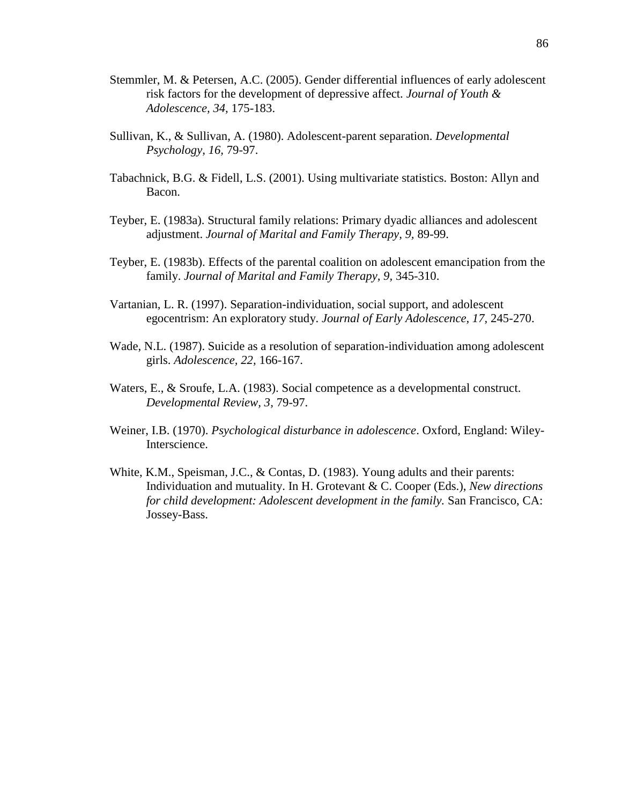- Stemmler, M. & Petersen, A.C. (2005). Gender differential influences of early adolescent risk factors for the development of depressive affect. *Journal of Youth & Adolescence, 34,* 175-183.
- Sullivan, K., & Sullivan, A. (1980). Adolescent-parent separation. *Developmental Psychology, 16,* 79-97.
- Tabachnick, B.G. & Fidell, L.S. (2001). Using multivariate statistics. Boston: Allyn and Bacon.
- Teyber, E. (1983a). Structural family relations: Primary dyadic alliances and adolescent adjustment. *Journal of Marital and Family Therapy, 9,* 89-99.
- Teyber, E. (1983b). Effects of the parental coalition on adolescent emancipation from the family. *Journal of Marital and Family Therapy, 9,* 345-310.
- Vartanian, L. R. (1997). Separation-individuation, social support, and adolescent egocentrism: An exploratory study. *Journal of Early Adolescence, 17,* 245-270.
- Wade, N.L. (1987). Suicide as a resolution of separation-individuation among adolescent girls. *Adolescence, 22,* 166-167.
- Waters, E., & Sroufe, L.A. (1983). Social competence as a developmental construct. *Developmental Review, 3,* 79-97.
- Weiner, I.B. (1970). *Psychological disturbance in adolescence*. Oxford, England: Wiley-Interscience.
- White, K.M., Speisman, J.C., & Contas, D. (1983). Young adults and their parents: Individuation and mutuality. In H. Grotevant & C. Cooper (Eds.), *New directions for child development: Adolescent development in the family.* San Francisco, CA: Jossey-Bass.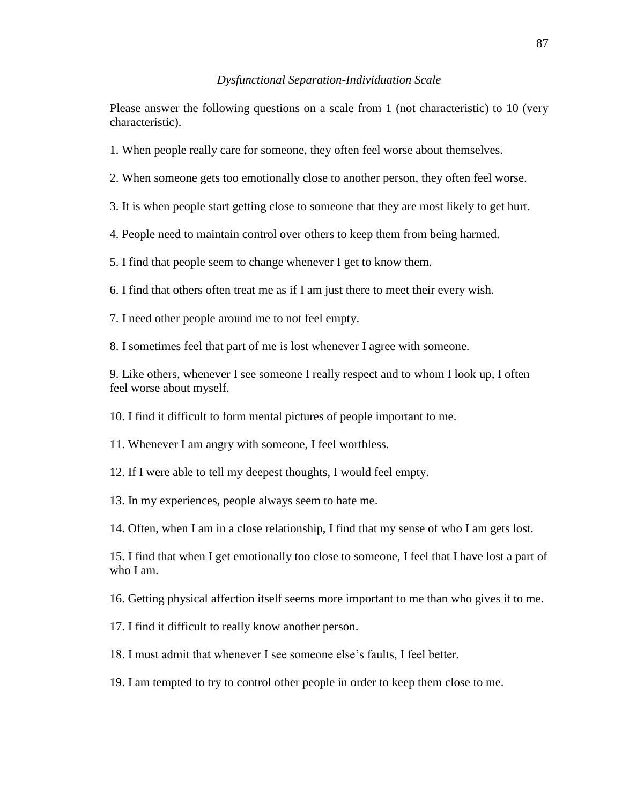#### *Dysfunctional Separation-Individuation Scale*

Please answer the following questions on a scale from 1 (not characteristic) to 10 (very characteristic).

- 1. When people really care for someone, they often feel worse about themselves.
- 2. When someone gets too emotionally close to another person, they often feel worse.
- 3. It is when people start getting close to someone that they are most likely to get hurt.
- 4. People need to maintain control over others to keep them from being harmed.

5. I find that people seem to change whenever I get to know them.

6. I find that others often treat me as if I am just there to meet their every wish.

7. I need other people around me to not feel empty.

8. I sometimes feel that part of me is lost whenever I agree with someone.

9. Like others, whenever I see someone I really respect and to whom I look up, I often feel worse about myself.

10. I find it difficult to form mental pictures of people important to me.

11. Whenever I am angry with someone, I feel worthless.

12. If I were able to tell my deepest thoughts, I would feel empty.

13. In my experiences, people always seem to hate me.

14. Often, when I am in a close relationship, I find that my sense of who I am gets lost.

15. I find that when I get emotionally too close to someone, I feel that I have lost a part of who I am.

16. Getting physical affection itself seems more important to me than who gives it to me.

17. I find it difficult to really know another person.

18. I must admit that whenever I see someone else"s faults, I feel better.

19. I am tempted to try to control other people in order to keep them close to me.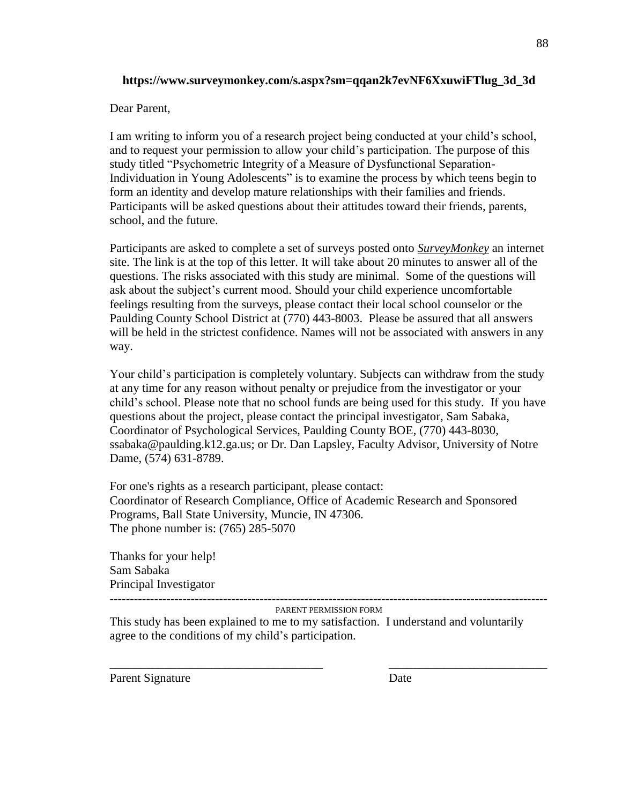# **https://www.surveymonkey.com/s.aspx?sm=qqan2k7evNF6XxuwiFTlug\_3d\_3d**

Dear Parent,

I am writing to inform you of a research project being conducted at your child"s school, and to request your permission to allow your child"s participation. The purpose of this study titled "Psychometric Integrity of a Measure of Dysfunctional Separation-Individuation in Young Adolescents" is to examine the process by which teens begin to form an identity and develop mature relationships with their families and friends. Participants will be asked questions about their attitudes toward their friends, parents, school, and the future.

Participants are asked to complete a set of surveys posted onto *SurveyMonkey* an internet site. The link is at the top of this letter. It will take about 20 minutes to answer all of the questions. The risks associated with this study are minimal. Some of the questions will ask about the subject's current mood. Should your child experience uncomfortable feelings resulting from the surveys, please contact their local school counselor or the Paulding County School District at (770) 443-8003. Please be assured that all answers will be held in the strictest confidence. Names will not be associated with answers in any way.

Your child"s participation is completely voluntary. Subjects can withdraw from the study at any time for any reason without penalty or prejudice from the investigator or your child"s school. Please note that no school funds are being used for this study. If you have questions about the project, please contact the principal investigator, Sam Sabaka, Coordinator of Psychological Services, Paulding County BOE, (770) 443-8030, ssabaka@paulding.k12.ga.us; or Dr. Dan Lapsley, Faculty Advisor, University of Notre Dame, (574) 631-8789.

For one's rights as a research participant, please contact: Coordinator of Research Compliance, Office of Academic Research and Sponsored Programs, Ball State University, Muncie, IN 47306. The phone number is: (765) 285-5070

Thanks for your help! Sam Sabaka Principal Investigator

------------------------------------------------------------------------------------------------------------ PARENT PERMISSION FORM

\_\_\_\_\_\_\_\_\_\_\_\_\_\_\_\_\_\_\_\_\_\_\_\_\_\_\_\_\_\_\_\_\_\_\_ \_\_\_\_\_\_\_\_\_\_\_\_\_\_\_\_\_\_\_\_\_\_\_\_\_\_

This study has been explained to me to my satisfaction. I understand and voluntarily agree to the conditions of my child's participation.

Parent Signature Date